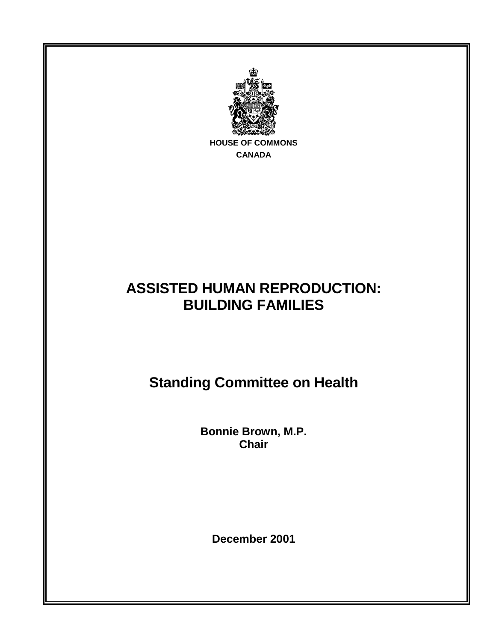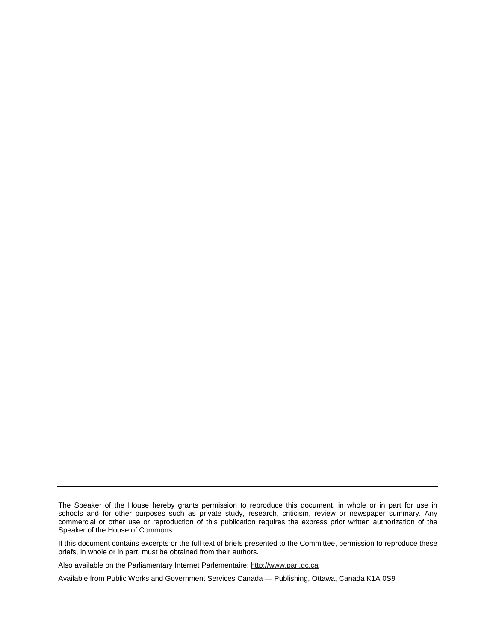If this document contains excerpts or the full text of briefs presented to the Committee, permission to reproduce these briefs, in whole or in part, must be obtained from their authors.

Also available on the Parliamentary Internet Parlementaire: http://www.parl.gc.ca

Available from Public Works and Government Services Canada — Publishing, Ottawa, Canada K1A 0S9

The Speaker of the House hereby grants permission to reproduce this document, in whole or in part for use in schools and for other purposes such as private study, research, criticism, review or newspaper summary. Any commercial or other use or reproduction of this publication requires the express prior written authorization of the Speaker of the House of Commons.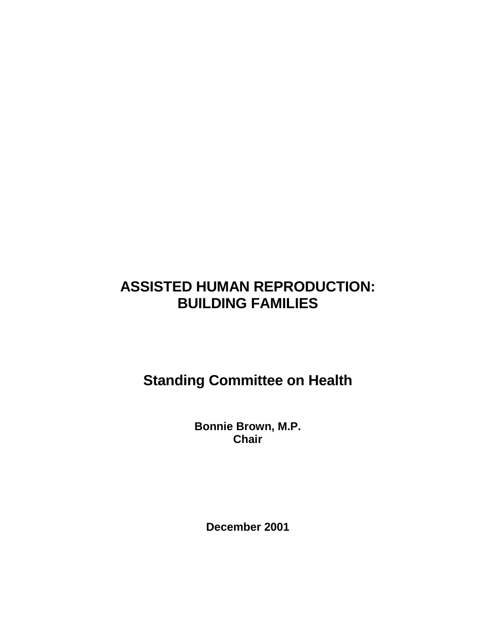# **ASSISTED HUMAN REPRODUCTION: BUILDING FAMILIES**

**Standing Committee on Health** 

**Bonnie Brown, M.P. Chair** 

**December 2001**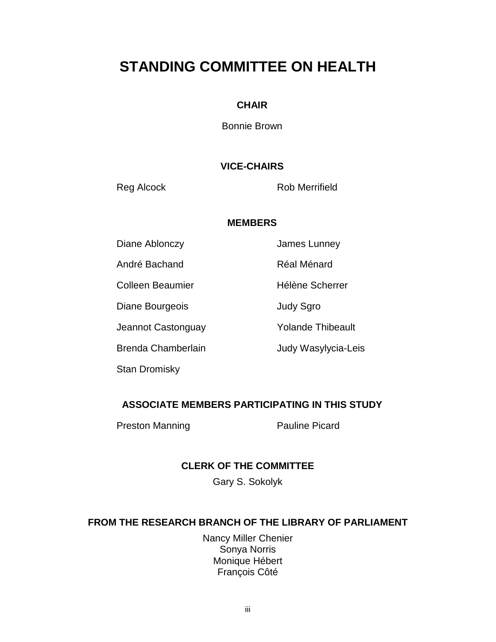# **STANDING COMMITTEE ON HEALTH**

### **CHAIR**

Bonnie Brown

# **VICE-CHAIRS**

Reg Alcock Rob Merrifield

#### **MEMBERS**

Diane Ablonczy **James Lunney** 

André Bachand **Réal Ménard** 

Diane Bourgeois **Diane Strategies** Judy Sgro

Jeannot Castonguay **Yolande Thibeault** 

Stan Dromisky

Colleen Beaumier **Hélène** Scherrer

Brenda Chamberlain **Judy Wasylycia-Leis** 

# **ASSOCIATE MEMBERS PARTICIPATING IN THIS STUDY**

Preston Manning Preston Manning Pauline Picard

# **CLERK OF THE COMMITTEE**

Gary S. Sokolyk

# **FROM THE RESEARCH BRANCH OF THE LIBRARY OF PARLIAMENT**

Nancy Miller Chenier Sonya Norris Monique Hébert François Côté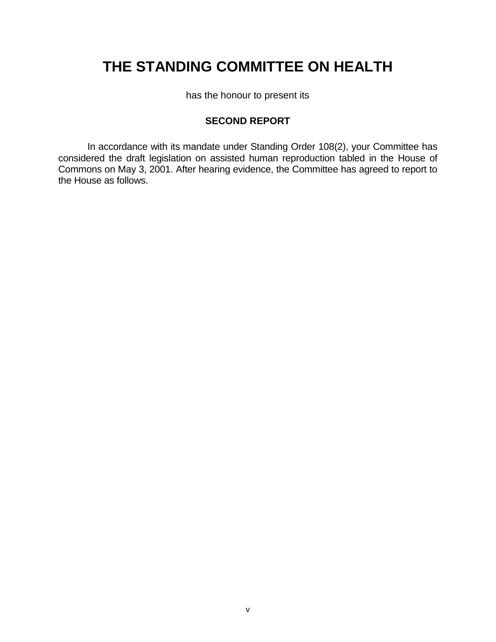# **THE STANDING COMMITTEE ON HEALTH**

has the honour to present its

# **SECOND REPORT**

In accordance with its mandate under Standing Order 108(2), your Committee has considered the draft legislation on assisted human reproduction tabled in the House of Commons on May 3, 2001. After hearing evidence, the Committee has agreed to report to the House as follows.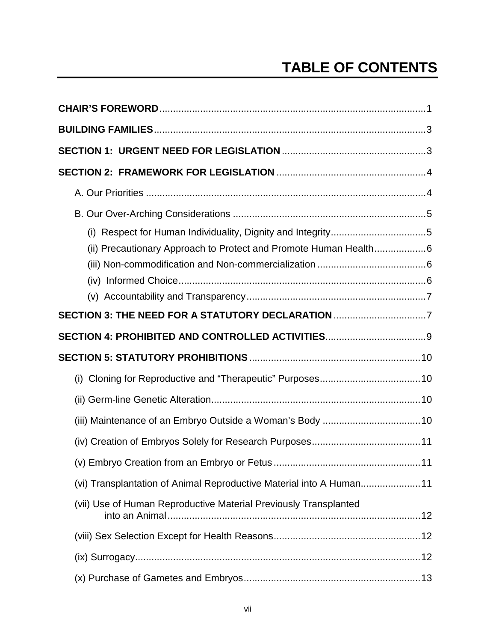# **TABLE OF CONTENTS**

| (i) Respect for Human Individuality, Dignity and Integrity5         |
|---------------------------------------------------------------------|
| (ii) Precautionary Approach to Protect and Promote Human Health6    |
|                                                                     |
|                                                                     |
|                                                                     |
| SECTION 3: THE NEED FOR A STATUTORY DECLARATION 7                   |
|                                                                     |
|                                                                     |
|                                                                     |
|                                                                     |
|                                                                     |
|                                                                     |
|                                                                     |
| (vi) Transplantation of Animal Reproductive Material into A Human11 |
| (vii) Use of Human Reproductive Material Previously Transplanted    |
|                                                                     |
|                                                                     |
|                                                                     |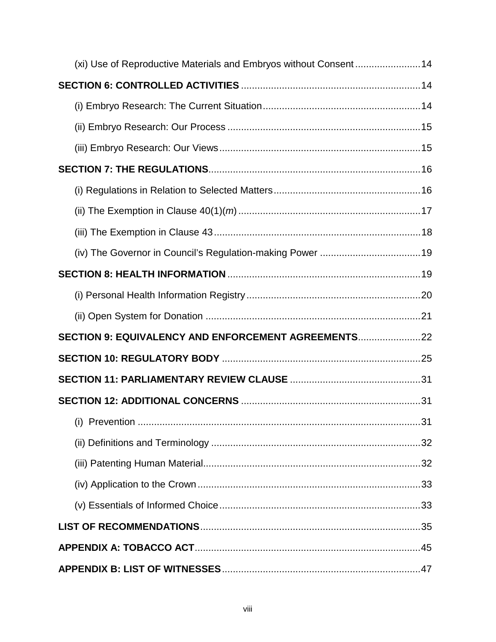| (xi) Use of Reproductive Materials and Embryos without Consent14 |  |
|------------------------------------------------------------------|--|
|                                                                  |  |
|                                                                  |  |
|                                                                  |  |
|                                                                  |  |
|                                                                  |  |
|                                                                  |  |
|                                                                  |  |
|                                                                  |  |
|                                                                  |  |
|                                                                  |  |
|                                                                  |  |
|                                                                  |  |
| SECTION 9: EQUIVALENCY AND ENFORCEMENT AGREEMENTS                |  |
|                                                                  |  |
|                                                                  |  |
|                                                                  |  |
|                                                                  |  |
|                                                                  |  |
|                                                                  |  |
|                                                                  |  |
|                                                                  |  |
|                                                                  |  |
|                                                                  |  |
|                                                                  |  |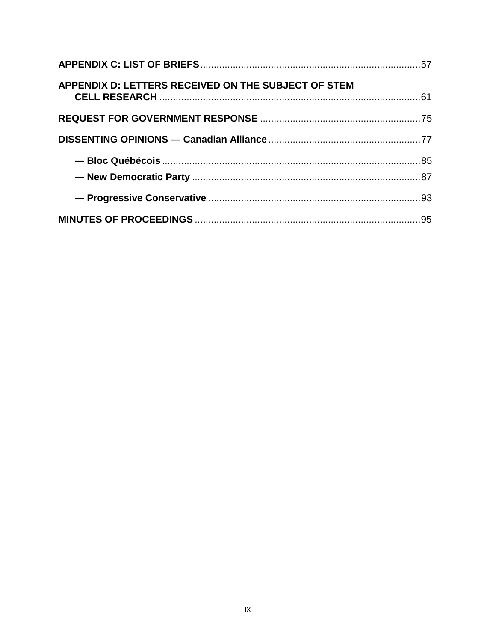| APPENDIX D: LETTERS RECEIVED ON THE SUBJECT OF STEM |  |
|-----------------------------------------------------|--|
|                                                     |  |
|                                                     |  |
|                                                     |  |
|                                                     |  |
|                                                     |  |
|                                                     |  |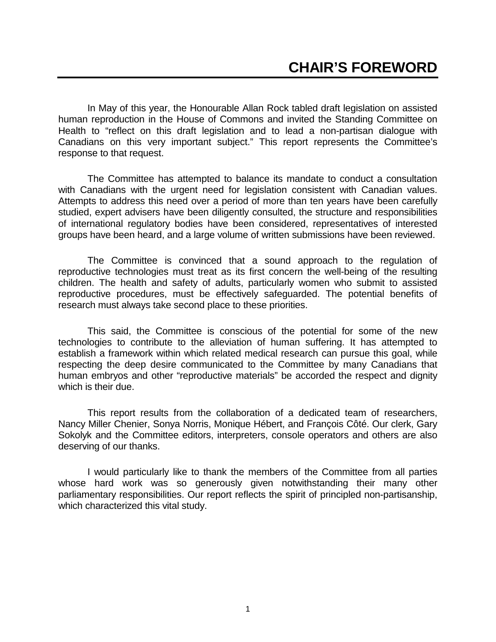In May of this year, the Honourable Allan Rock tabled draft legislation on assisted human reproduction in the House of Commons and invited the Standing Committee on Health to "reflect on this draft legislation and to lead a non-partisan dialogue with Canadians on this very important subject." This report represents the Committee's response to that request.

The Committee has attempted to balance its mandate to conduct a consultation with Canadians with the urgent need for legislation consistent with Canadian values. Attempts to address this need over a period of more than ten years have been carefully studied, expert advisers have been diligently consulted, the structure and responsibilities of international regulatory bodies have been considered, representatives of interested groups have been heard, and a large volume of written submissions have been reviewed.

The Committee is convinced that a sound approach to the regulation of reproductive technologies must treat as its first concern the well-being of the resulting children. The health and safety of adults, particularly women who submit to assisted reproductive procedures, must be effectively safeguarded. The potential benefits of research must always take second place to these priorities.

This said, the Committee is conscious of the potential for some of the new technologies to contribute to the alleviation of human suffering. It has attempted to establish a framework within which related medical research can pursue this goal, while respecting the deep desire communicated to the Committee by many Canadians that human embryos and other "reproductive materials" be accorded the respect and dignity which is their due.

This report results from the collaboration of a dedicated team of researchers, Nancy Miller Chenier, Sonya Norris, Monique Hébert, and François Côté. Our clerk, Gary Sokolyk and the Committee editors, interpreters, console operators and others are also deserving of our thanks.

I would particularly like to thank the members of the Committee from all parties whose hard work was so generously given notwithstanding their many other parliamentary responsibilities. Our report reflects the spirit of principled non-partisanship, which characterized this vital study.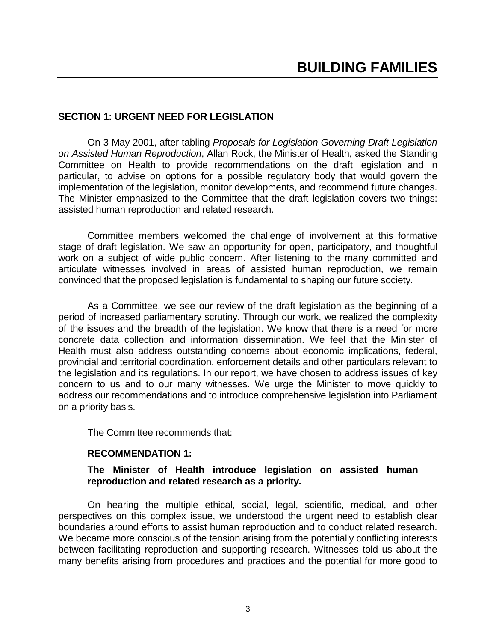#### **SECTION 1: URGENT NEED FOR LEGISLATION**

On 3 May 2001, after tabling *Proposals for Legislation Governing Draft Legislation on Assisted Human Reproduction*, Allan Rock, the Minister of Health, asked the Standing Committee on Health to provide recommendations on the draft legislation and in particular, to advise on options for a possible regulatory body that would govern the implementation of the legislation, monitor developments, and recommend future changes. The Minister emphasized to the Committee that the draft legislation covers two things: assisted human reproduction and related research.

Committee members welcomed the challenge of involvement at this formative stage of draft legislation. We saw an opportunity for open, participatory, and thoughtful work on a subject of wide public concern. After listening to the many committed and articulate witnesses involved in areas of assisted human reproduction, we remain convinced that the proposed legislation is fundamental to shaping our future society.

As a Committee, we see our review of the draft legislation as the beginning of a period of increased parliamentary scrutiny. Through our work, we realized the complexity of the issues and the breadth of the legislation. We know that there is a need for more concrete data collection and information dissemination. We feel that the Minister of Health must also address outstanding concerns about economic implications, federal, provincial and territorial coordination, enforcement details and other particulars relevant to the legislation and its regulations. In our report, we have chosen to address issues of key concern to us and to our many witnesses. We urge the Minister to move quickly to address our recommendations and to introduce comprehensive legislation into Parliament on a priority basis.

The Committee recommends that:

#### **RECOMMENDATION 1:**

#### **The Minister of Health introduce legislation on assisted human reproduction and related research as a priority.**

On hearing the multiple ethical, social, legal, scientific, medical, and other perspectives on this complex issue, we understood the urgent need to establish clear boundaries around efforts to assist human reproduction and to conduct related research. We became more conscious of the tension arising from the potentially conflicting interests between facilitating reproduction and supporting research. Witnesses told us about the many benefits arising from procedures and practices and the potential for more good to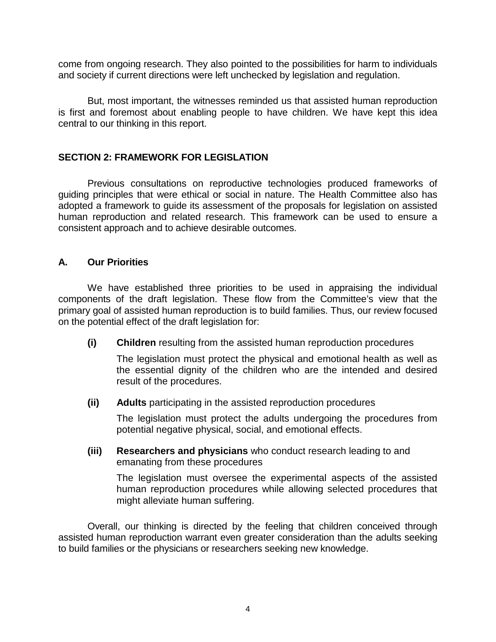come from ongoing research. They also pointed to the possibilities for harm to individuals and society if current directions were left unchecked by legislation and regulation.

But, most important, the witnesses reminded us that assisted human reproduction is first and foremost about enabling people to have children. We have kept this idea central to our thinking in this report.

#### **SECTION 2: FRAMEWORK FOR LEGISLATION**

Previous consultations on reproductive technologies produced frameworks of guiding principles that were ethical or social in nature. The Health Committee also has adopted a framework to guide its assessment of the proposals for legislation on assisted human reproduction and related research. This framework can be used to ensure a consistent approach and to achieve desirable outcomes.

# **A. Our Priorities**

We have established three priorities to be used in appraising the individual components of the draft legislation. These flow from the Committee's view that the primary goal of assisted human reproduction is to build families. Thus, our review focused on the potential effect of the draft legislation for:

**(i) Children** resulting from the assisted human reproduction procedures

The legislation must protect the physical and emotional health as well as the essential dignity of the children who are the intended and desired result of the procedures.

**(ii) Adults** participating in the assisted reproduction procedures

The legislation must protect the adults undergoing the procedures from potential negative physical, social, and emotional effects.

**(iii) Researchers and physicians** who conduct research leading to and emanating from these procedures

The legislation must oversee the experimental aspects of the assisted human reproduction procedures while allowing selected procedures that might alleviate human suffering.

Overall, our thinking is directed by the feeling that children conceived through assisted human reproduction warrant even greater consideration than the adults seeking to build families or the physicians or researchers seeking new knowledge.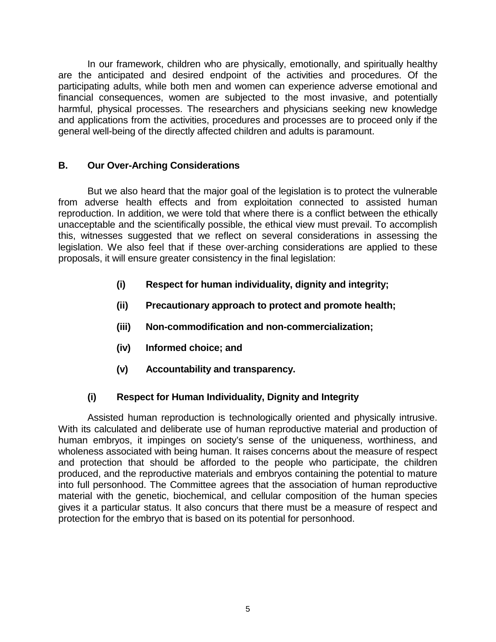In our framework, children who are physically, emotionally, and spiritually healthy are the anticipated and desired endpoint of the activities and procedures. Of the participating adults, while both men and women can experience adverse emotional and financial consequences, women are subjected to the most invasive, and potentially harmful, physical processes. The researchers and physicians seeking new knowledge and applications from the activities, procedures and processes are to proceed only if the general well-being of the directly affected children and adults is paramount.

# **B. Our Over-Arching Considerations**

But we also heard that the major goal of the legislation is to protect the vulnerable from adverse health effects and from exploitation connected to assisted human reproduction. In addition, we were told that where there is a conflict between the ethically unacceptable and the scientifically possible, the ethical view must prevail. To accomplish this, witnesses suggested that we reflect on several considerations in assessing the legislation. We also feel that if these over-arching considerations are applied to these proposals, it will ensure greater consistency in the final legislation:

- **(i) Respect for human individuality, dignity and integrity;**
- **(ii) Precautionary approach to protect and promote health;**
- **(iii) Non-commodification and non-commercialization;**
- **(iv) Informed choice; and**
- **(v) Accountability and transparency.**

# **(i) Respect for Human Individuality, Dignity and Integrity**

Assisted human reproduction is technologically oriented and physically intrusive. With its calculated and deliberate use of human reproductive material and production of human embryos, it impinges on society's sense of the uniqueness, worthiness, and wholeness associated with being human. It raises concerns about the measure of respect and protection that should be afforded to the people who participate, the children produced, and the reproductive materials and embryos containing the potential to mature into full personhood. The Committee agrees that the association of human reproductive material with the genetic, biochemical, and cellular composition of the human species gives it a particular status. It also concurs that there must be a measure of respect and protection for the embryo that is based on its potential for personhood.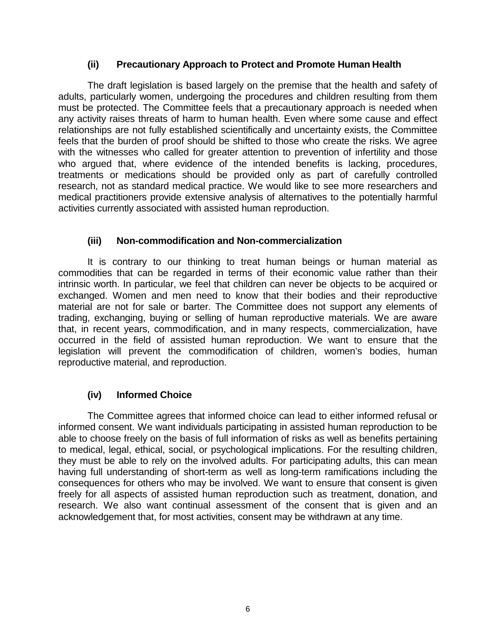#### **(ii) Precautionary Approach to Protect and Promote Human Health**

The draft legislation is based largely on the premise that the health and safety of adults, particularly women, undergoing the procedures and children resulting from them must be protected. The Committee feels that a precautionary approach is needed when any activity raises threats of harm to human health. Even where some cause and effect relationships are not fully established scientifically and uncertainty exists, the Committee feels that the burden of proof should be shifted to those who create the risks. We agree with the witnesses who called for greater attention to prevention of infertility and those who argued that, where evidence of the intended benefits is lacking, procedures, treatments or medications should be provided only as part of carefully controlled research, not as standard medical practice. We would like to see more researchers and medical practitioners provide extensive analysis of alternatives to the potentially harmful activities currently associated with assisted human reproduction.

#### **(iii) Non-commodification and Non-commercialization**

It is contrary to our thinking to treat human beings or human material as commodities that can be regarded in terms of their economic value rather than their intrinsic worth. In particular, we feel that children can never be objects to be acquired or exchanged. Women and men need to know that their bodies and their reproductive material are not for sale or barter. The Committee does not support any elements of trading, exchanging, buying or selling of human reproductive materials. We are aware that, in recent years, commodification, and in many respects, commercialization, have occurred in the field of assisted human reproduction. We want to ensure that the legislation will prevent the commodification of children, women's bodies, human reproductive material, and reproduction.

#### **(iv) Informed Choice**

The Committee agrees that informed choice can lead to either informed refusal or informed consent. We want individuals participating in assisted human reproduction to be able to choose freely on the basis of full information of risks as well as benefits pertaining to medical, legal, ethical, social, or psychological implications. For the resulting children, they must be able to rely on the involved adults. For participating adults, this can mean having full understanding of short-term as well as long-term ramifications including the consequences for others who may be involved. We want to ensure that consent is given freely for all aspects of assisted human reproduction such as treatment, donation, and research. We also want continual assessment of the consent that is given and an acknowledgement that, for most activities, consent may be withdrawn at any time.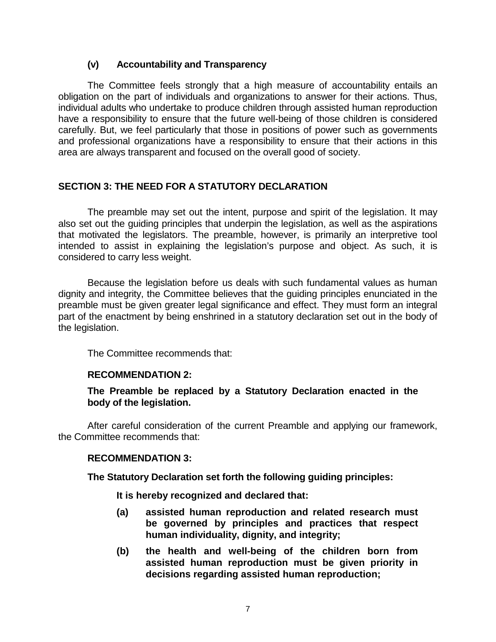# **(v) Accountability and Transparency**

The Committee feels strongly that a high measure of accountability entails an obligation on the part of individuals and organizations to answer for their actions. Thus, individual adults who undertake to produce children through assisted human reproduction have a responsibility to ensure that the future well-being of those children is considered carefully. But, we feel particularly that those in positions of power such as governments and professional organizations have a responsibility to ensure that their actions in this area are always transparent and focused on the overall good of society.

# **SECTION 3: THE NEED FOR A STATUTORY DECLARATION**

The preamble may set out the intent, purpose and spirit of the legislation. It may also set out the guiding principles that underpin the legislation, as well as the aspirations that motivated the legislators. The preamble, however, is primarily an interpretive tool intended to assist in explaining the legislation's purpose and object. As such, it is considered to carry less weight.

Because the legislation before us deals with such fundamental values as human dignity and integrity, the Committee believes that the guiding principles enunciated in the preamble must be given greater legal significance and effect. They must form an integral part of the enactment by being enshrined in a statutory declaration set out in the body of the legislation.

The Committee recommends that:

#### **RECOMMENDATION 2:**

**The Preamble be replaced by a Statutory Declaration enacted in the body of the legislation.** 

After careful consideration of the current Preamble and applying our framework, the Committee recommends that:

#### **RECOMMENDATION 3:**

**The Statutory Declaration set forth the following guiding principles:** 

**It is hereby recognized and declared that:** 

- **(a) assisted human reproduction and related research must be governed by principles and practices that respect human individuality, dignity, and integrity;**
- **(b) the health and well-being of the children born from assisted human reproduction must be given priority in decisions regarding assisted human reproduction;**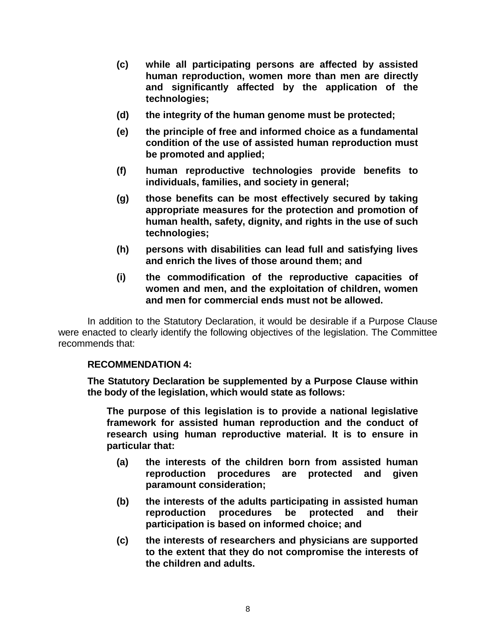- **(c) while all participating persons are affected by assisted human reproduction, women more than men are directly and significantly affected by the application of the technologies;**
- **(d) the integrity of the human genome must be protected;**
- **(e) the principle of free and informed choice as a fundamental condition of the use of assisted human reproduction must be promoted and applied;**
- **(f) human reproductive technologies provide benefits to individuals, families, and society in general;**
- **(g) those benefits can be most effectively secured by taking appropriate measures for the protection and promotion of human health, safety, dignity, and rights in the use of such technologies;**
- **(h) persons with disabilities can lead full and satisfying lives and enrich the lives of those around them; and**
- **(i) the commodification of the reproductive capacities of women and men, and the exploitation of children, women and men for commercial ends must not be allowed.**

In addition to the Statutory Declaration, it would be desirable if a Purpose Clause were enacted to clearly identify the following objectives of the legislation. The Committee recommends that:

#### **RECOMMENDATION 4:**

**The Statutory Declaration be supplemented by a Purpose Clause within the body of the legislation, which would state as follows:** 

**The purpose of this legislation is to provide a national legislative framework for assisted human reproduction and the conduct of research using human reproductive material. It is to ensure in particular that:** 

- **(a) the interests of the children born from assisted human reproduction procedures are protected and given paramount consideration;**
- **(b) the interests of the adults participating in assisted human reproduction procedures be protected and their participation is based on informed choice; and**
- **(c) the interests of researchers and physicians are supported to the extent that they do not compromise the interests of the children and adults.**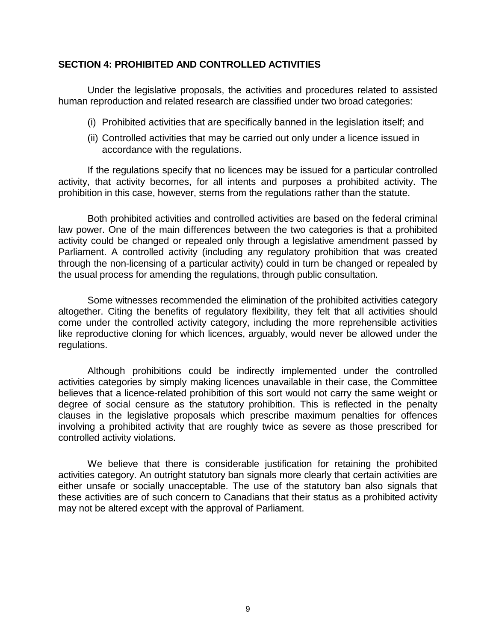#### **SECTION 4: PROHIBITED AND CONTROLLED ACTIVITIES**

Under the legislative proposals, the activities and procedures related to assisted human reproduction and related research are classified under two broad categories:

- (i) Prohibited activities that are specifically banned in the legislation itself; and
- (ii) Controlled activities that may be carried out only under a licence issued in accordance with the regulations.

If the regulations specify that no licences may be issued for a particular controlled activity, that activity becomes, for all intents and purposes a prohibited activity. The prohibition in this case, however, stems from the regulations rather than the statute.

Both prohibited activities and controlled activities are based on the federal criminal law power. One of the main differences between the two categories is that a prohibited activity could be changed or repealed only through a legislative amendment passed by Parliament. A controlled activity (including any regulatory prohibition that was created through the non-licensing of a particular activity) could in turn be changed or repealed by the usual process for amending the regulations, through public consultation.

Some witnesses recommended the elimination of the prohibited activities category altogether. Citing the benefits of regulatory flexibility, they felt that all activities should come under the controlled activity category, including the more reprehensible activities like reproductive cloning for which licences, arguably, would never be allowed under the regulations.

Although prohibitions could be indirectly implemented under the controlled activities categories by simply making licences unavailable in their case, the Committee believes that a licence-related prohibition of this sort would not carry the same weight or degree of social censure as the statutory prohibition. This is reflected in the penalty clauses in the legislative proposals which prescribe maximum penalties for offences involving a prohibited activity that are roughly twice as severe as those prescribed for controlled activity violations.

We believe that there is considerable justification for retaining the prohibited activities category. An outright statutory ban signals more clearly that certain activities are either unsafe or socially unacceptable. The use of the statutory ban also signals that these activities are of such concern to Canadians that their status as a prohibited activity may not be altered except with the approval of Parliament.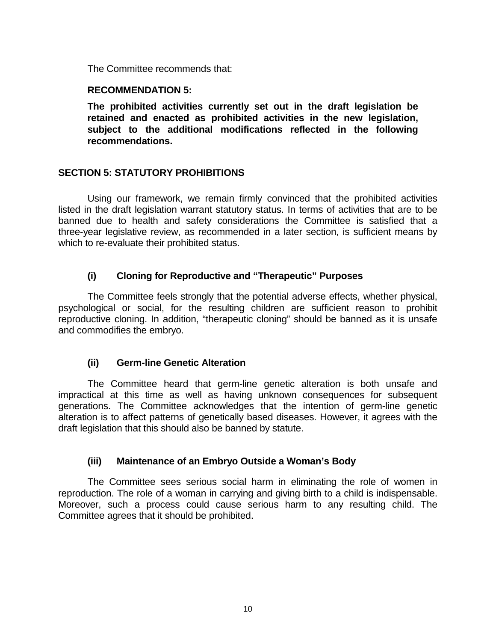The Committee recommends that:

#### **RECOMMENDATION 5:**

**The prohibited activities currently set out in the draft legislation be retained and enacted as prohibited activities in the new legislation, subject to the additional modifications reflected in the following recommendations.** 

#### **SECTION 5: STATUTORY PROHIBITIONS**

Using our framework, we remain firmly convinced that the prohibited activities listed in the draft legislation warrant statutory status. In terms of activities that are to be banned due to health and safety considerations the Committee is satisfied that a three-year legislative review, as recommended in a later section, is sufficient means by which to re-evaluate their prohibited status.

# **(i) Cloning for Reproductive and "Therapeutic" Purposes**

The Committee feels strongly that the potential adverse effects, whether physical, psychological or social, for the resulting children are sufficient reason to prohibit reproductive cloning. In addition, "therapeutic cloning" should be banned as it is unsafe and commodifies the embryo.

#### **(ii) Germ-line Genetic Alteration**

The Committee heard that germ-line genetic alteration is both unsafe and impractical at this time as well as having unknown consequences for subsequent generations. The Committee acknowledges that the intention of germ-line genetic alteration is to affect patterns of genetically based diseases. However, it agrees with the draft legislation that this should also be banned by statute.

#### **(iii) Maintenance of an Embryo Outside a Woman's Body**

The Committee sees serious social harm in eliminating the role of women in reproduction. The role of a woman in carrying and giving birth to a child is indispensable. Moreover, such a process could cause serious harm to any resulting child. The Committee agrees that it should be prohibited.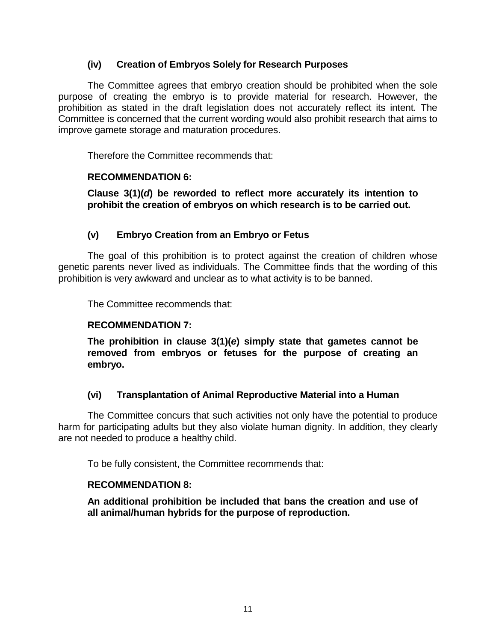#### **(iv) Creation of Embryos Solely for Research Purposes**

The Committee agrees that embryo creation should be prohibited when the sole purpose of creating the embryo is to provide material for research. However, the prohibition as stated in the draft legislation does not accurately reflect its intent. The Committee is concerned that the current wording would also prohibit research that aims to improve gamete storage and maturation procedures.

Therefore the Committee recommends that:

#### **RECOMMENDATION 6:**

**Clause 3(1)(***d***) be reworded to reflect more accurately its intention to prohibit the creation of embryos on which research is to be carried out.** 

# **(v) Embryo Creation from an Embryo or Fetus**

The goal of this prohibition is to protect against the creation of children whose genetic parents never lived as individuals. The Committee finds that the wording of this prohibition is very awkward and unclear as to what activity is to be banned.

The Committee recommends that:

#### **RECOMMENDATION 7:**

**The prohibition in clause 3(1)(***e***) simply state that gametes cannot be removed from embryos or fetuses for the purpose of creating an embryo.** 

#### **(vi) Transplantation of Animal Reproductive Material into a Human**

The Committee concurs that such activities not only have the potential to produce harm for participating adults but they also violate human dignity. In addition, they clearly are not needed to produce a healthy child.

To be fully consistent, the Committee recommends that:

#### **RECOMMENDATION 8:**

**An additional prohibition be included that bans the creation and use of all animal/human hybrids for the purpose of reproduction.**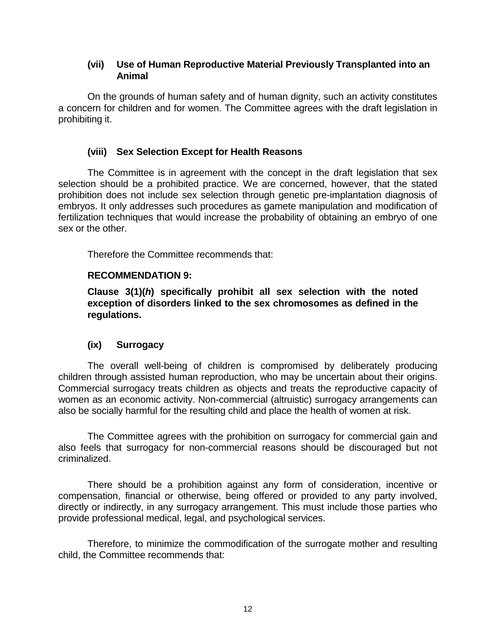### **(vii) Use of Human Reproductive Material Previously Transplanted into an Animal**

On the grounds of human safety and of human dignity, such an activity constitutes a concern for children and for women. The Committee agrees with the draft legislation in prohibiting it.

# **(viii) Sex Selection Except for Health Reasons**

The Committee is in agreement with the concept in the draft legislation that sex selection should be a prohibited practice. We are concerned, however, that the stated prohibition does not include sex selection through genetic pre-implantation diagnosis of embryos. It only addresses such procedures as gamete manipulation and modification of fertilization techniques that would increase the probability of obtaining an embryo of one sex or the other.

Therefore the Committee recommends that:

#### **RECOMMENDATION 9:**

**Clause 3(1)(***h***) specifically prohibit all sex selection with the noted exception of disorders linked to the sex chromosomes as defined in the regulations.** 

#### **(ix) Surrogacy**

The overall well-being of children is compromised by deliberately producing children through assisted human reproduction, who may be uncertain about their origins. Commercial surrogacy treats children as objects and treats the reproductive capacity of women as an economic activity. Non-commercial (altruistic) surrogacy arrangements can also be socially harmful for the resulting child and place the health of women at risk.

The Committee agrees with the prohibition on surrogacy for commercial gain and also feels that surrogacy for non-commercial reasons should be discouraged but not criminalized.

There should be a prohibition against any form of consideration, incentive or compensation, financial or otherwise, being offered or provided to any party involved, directly or indirectly, in any surrogacy arrangement. This must include those parties who provide professional medical, legal, and psychological services.

Therefore, to minimize the commodification of the surrogate mother and resulting child, the Committee recommends that: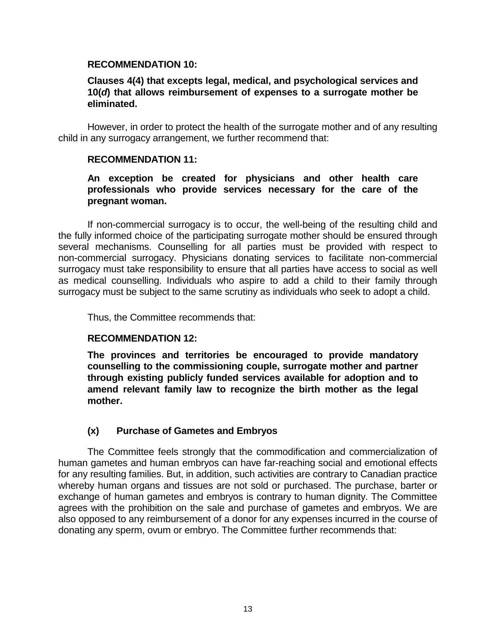#### **RECOMMENDATION 10:**

#### **Clauses 4(4) that excepts legal, medical, and psychological services and 10(***d***) that allows reimbursement of expenses to a surrogate mother be eliminated.**

However, in order to protect the health of the surrogate mother and of any resulting child in any surrogacy arrangement, we further recommend that:

#### **RECOMMENDATION 11:**

#### **An exception be created for physicians and other health care professionals who provide services necessary for the care of the pregnant woman.**

If non-commercial surrogacy is to occur, the well-being of the resulting child and the fully informed choice of the participating surrogate mother should be ensured through several mechanisms. Counselling for all parties must be provided with respect to non-commercial surrogacy. Physicians donating services to facilitate non-commercial surrogacy must take responsibility to ensure that all parties have access to social as well as medical counselling. Individuals who aspire to add a child to their family through surrogacy must be subject to the same scrutiny as individuals who seek to adopt a child.

Thus, the Committee recommends that:

#### **RECOMMENDATION 12:**

**The provinces and territories be encouraged to provide mandatory counselling to the commissioning couple, surrogate mother and partner through existing publicly funded services available for adoption and to amend relevant family law to recognize the birth mother as the legal mother.** 

#### **(x) Purchase of Gametes and Embryos**

The Committee feels strongly that the commodification and commercialization of human gametes and human embryos can have far-reaching social and emotional effects for any resulting families. But, in addition, such activities are contrary to Canadian practice whereby human organs and tissues are not sold or purchased. The purchase, barter or exchange of human gametes and embryos is contrary to human dignity. The Committee agrees with the prohibition on the sale and purchase of gametes and embryos. We are also opposed to any reimbursement of a donor for any expenses incurred in the course of donating any sperm, ovum or embryo. The Committee further recommends that: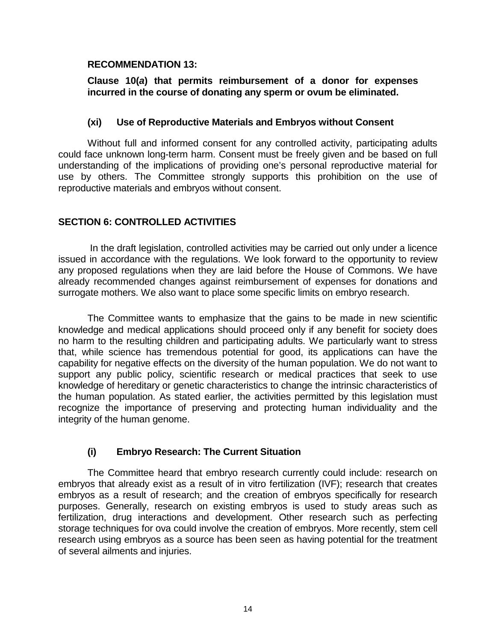#### **RECOMMENDATION 13:**

#### **Clause 10(***a***) that permits reimbursement of a donor for expenses incurred in the course of donating any sperm or ovum be eliminated.**

#### **(xi) Use of Reproductive Materials and Embryos without Consent**

Without full and informed consent for any controlled activity, participating adults could face unknown long-term harm. Consent must be freely given and be based on full understanding of the implications of providing one's personal reproductive material for use by others. The Committee strongly supports this prohibition on the use of reproductive materials and embryos without consent.

# **SECTION 6: CONTROLLED ACTIVITIES**

 In the draft legislation, controlled activities may be carried out only under a licence issued in accordance with the regulations. We look forward to the opportunity to review any proposed regulations when they are laid before the House of Commons. We have already recommended changes against reimbursement of expenses for donations and surrogate mothers. We also want to place some specific limits on embryo research.

The Committee wants to emphasize that the gains to be made in new scientific knowledge and medical applications should proceed only if any benefit for society does no harm to the resulting children and participating adults. We particularly want to stress that, while science has tremendous potential for good, its applications can have the capability for negative effects on the diversity of the human population. We do not want to support any public policy, scientific research or medical practices that seek to use knowledge of hereditary or genetic characteristics to change the intrinsic characteristics of the human population. As stated earlier, the activities permitted by this legislation must recognize the importance of preserving and protecting human individuality and the integrity of the human genome.

# **(i) Embryo Research: The Current Situation**

The Committee heard that embryo research currently could include: research on embryos that already exist as a result of in vitro fertilization (IVF); research that creates embryos as a result of research; and the creation of embryos specifically for research purposes. Generally, research on existing embryos is used to study areas such as fertilization, drug interactions and development. Other research such as perfecting storage techniques for ova could involve the creation of embryos. More recently, stem cell research using embryos as a source has been seen as having potential for the treatment of several ailments and injuries.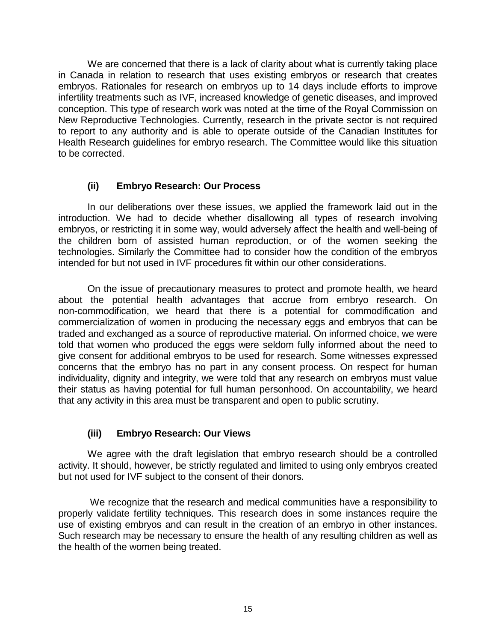We are concerned that there is a lack of clarity about what is currently taking place in Canada in relation to research that uses existing embryos or research that creates embryos. Rationales for research on embryos up to 14 days include efforts to improve infertility treatments such as IVF, increased knowledge of genetic diseases, and improved conception. This type of research work was noted at the time of the Royal Commission on New Reproductive Technologies. Currently, research in the private sector is not required to report to any authority and is able to operate outside of the Canadian Institutes for Health Research guidelines for embryo research. The Committee would like this situation to be corrected.

# **(ii) Embryo Research: Our Process**

In our deliberations over these issues, we applied the framework laid out in the introduction. We had to decide whether disallowing all types of research involving embryos, or restricting it in some way, would adversely affect the health and well-being of the children born of assisted human reproduction, or of the women seeking the technologies. Similarly the Committee had to consider how the condition of the embryos intended for but not used in IVF procedures fit within our other considerations.

On the issue of precautionary measures to protect and promote health, we heard about the potential health advantages that accrue from embryo research. On non-commodification, we heard that there is a potential for commodification and commercialization of women in producing the necessary eggs and embryos that can be traded and exchanged as a source of reproductive material. On informed choice, we were told that women who produced the eggs were seldom fully informed about the need to give consent for additional embryos to be used for research. Some witnesses expressed concerns that the embryo has no part in any consent process. On respect for human individuality, dignity and integrity, we were told that any research on embryos must value their status as having potential for full human personhood. On accountability, we heard that any activity in this area must be transparent and open to public scrutiny.

# **(iii) Embryo Research: Our Views**

We agree with the draft legislation that embryo research should be a controlled activity. It should, however, be strictly regulated and limited to using only embryos created but not used for IVF subject to the consent of their donors.

 We recognize that the research and medical communities have a responsibility to properly validate fertility techniques. This research does in some instances require the use of existing embryos and can result in the creation of an embryo in other instances. Such research may be necessary to ensure the health of any resulting children as well as the health of the women being treated.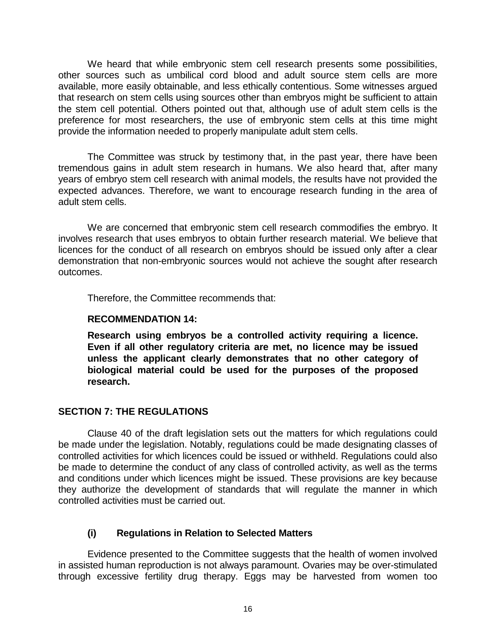We heard that while embryonic stem cell research presents some possibilities, other sources such as umbilical cord blood and adult source stem cells are more available, more easily obtainable, and less ethically contentious. Some witnesses argued that research on stem cells using sources other than embryos might be sufficient to attain the stem cell potential. Others pointed out that, although use of adult stem cells is the preference for most researchers, the use of embryonic stem cells at this time might provide the information needed to properly manipulate adult stem cells.

The Committee was struck by testimony that, in the past year, there have been tremendous gains in adult stem research in humans. We also heard that, after many years of embryo stem cell research with animal models, the results have not provided the expected advances. Therefore, we want to encourage research funding in the area of adult stem cells.

We are concerned that embryonic stem cell research commodifies the embryo. It involves research that uses embryos to obtain further research material. We believe that licences for the conduct of all research on embryos should be issued only after a clear demonstration that non-embryonic sources would not achieve the sought after research outcomes.

Therefore, the Committee recommends that:

#### **RECOMMENDATION 14:**

**Research using embryos be a controlled activity requiring a licence. Even if all other regulatory criteria are met, no licence may be issued unless the applicant clearly demonstrates that no other category of biological material could be used for the purposes of the proposed research.** 

#### **SECTION 7: THE REGULATIONS**

Clause 40 of the draft legislation sets out the matters for which regulations could be made under the legislation. Notably, regulations could be made designating classes of controlled activities for which licences could be issued or withheld. Regulations could also be made to determine the conduct of any class of controlled activity, as well as the terms and conditions under which licences might be issued. These provisions are key because they authorize the development of standards that will regulate the manner in which controlled activities must be carried out.

# **(i) Regulations in Relation to Selected Matters**

Evidence presented to the Committee suggests that the health of women involved in assisted human reproduction is not always paramount. Ovaries may be over-stimulated through excessive fertility drug therapy. Eggs may be harvested from women too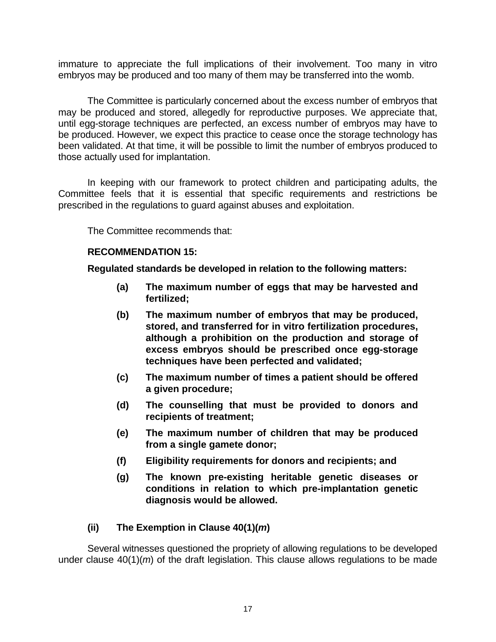immature to appreciate the full implications of their involvement. Too many in vitro embryos may be produced and too many of them may be transferred into the womb.

The Committee is particularly concerned about the excess number of embryos that may be produced and stored, allegedly for reproductive purposes. We appreciate that, until egg-storage techniques are perfected, an excess number of embryos may have to be produced. However, we expect this practice to cease once the storage technology has been validated. At that time, it will be possible to limit the number of embryos produced to those actually used for implantation.

In keeping with our framework to protect children and participating adults, the Committee feels that it is essential that specific requirements and restrictions be prescribed in the regulations to guard against abuses and exploitation.

The Committee recommends that:

#### **RECOMMENDATION 15:**

**Regulated standards be developed in relation to the following matters:** 

- **(a) The maximum number of eggs that may be harvested and fertilized;**
- **(b) The maximum number of embryos that may be produced, stored, and transferred for in vitro fertilization procedures, although a prohibition on the production and storage of excess embryos should be prescribed once egg-storage techniques have been perfected and validated;**
- **(c) The maximum number of times a patient should be offered a given procedure;**
- **(d) The counselling that must be provided to donors and recipients of treatment;**
- **(e) The maximum number of children that may be produced from a single gamete donor;**
- **(f) Eligibility requirements for donors and recipients; and**
- **(g) The known pre-existing heritable genetic diseases or conditions in relation to which pre-implantation genetic diagnosis would be allowed.**

#### **(ii) The Exemption in Clause 40(1)(***m***)**

Several witnesses questioned the propriety of allowing regulations to be developed under clause 40(1)(*m*) of the draft legislation. This clause allows regulations to be made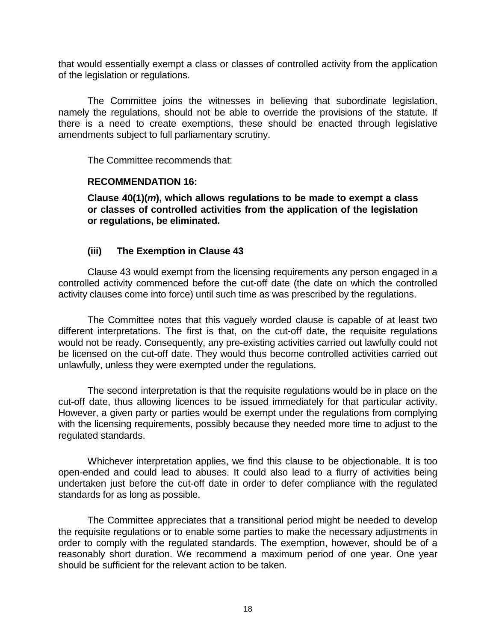that would essentially exempt a class or classes of controlled activity from the application of the legislation or regulations.

The Committee joins the witnesses in believing that subordinate legislation, namely the regulations, should not be able to override the provisions of the statute. If there is a need to create exemptions, these should be enacted through legislative amendments subject to full parliamentary scrutiny.

The Committee recommends that:

#### **RECOMMENDATION 16:**

**Clause 40(1)(***m***), which allows regulations to be made to exempt a class or classes of controlled activities from the application of the legislation or regulations, be eliminated.** 

# **(iii) The Exemption in Clause 43**

Clause 43 would exempt from the licensing requirements any person engaged in a controlled activity commenced before the cut-off date (the date on which the controlled activity clauses come into force) until such time as was prescribed by the regulations.

The Committee notes that this vaguely worded clause is capable of at least two different interpretations. The first is that, on the cut-off date, the requisite regulations would not be ready. Consequently, any pre-existing activities carried out lawfully could not be licensed on the cut-off date. They would thus become controlled activities carried out unlawfully, unless they were exempted under the regulations.

The second interpretation is that the requisite regulations would be in place on the cut-off date, thus allowing licences to be issued immediately for that particular activity. However, a given party or parties would be exempt under the regulations from complying with the licensing requirements, possibly because they needed more time to adjust to the regulated standards.

Whichever interpretation applies, we find this clause to be objectionable. It is too open-ended and could lead to abuses. It could also lead to a flurry of activities being undertaken just before the cut-off date in order to defer compliance with the regulated standards for as long as possible.

The Committee appreciates that a transitional period might be needed to develop the requisite regulations or to enable some parties to make the necessary adjustments in order to comply with the regulated standards. The exemption, however, should be of a reasonably short duration. We recommend a maximum period of one year. One year should be sufficient for the relevant action to be taken.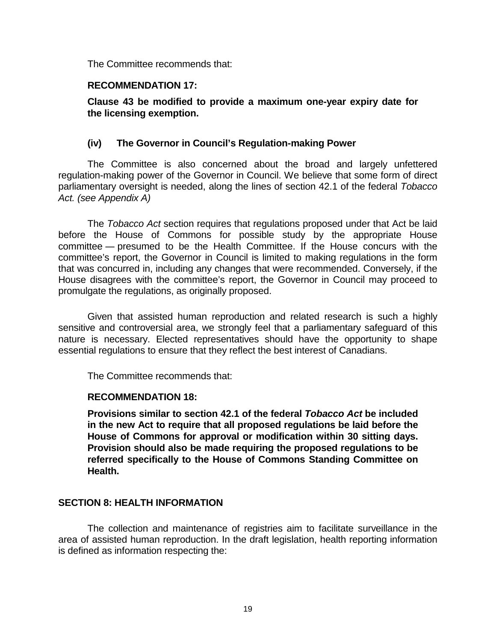The Committee recommends that:

#### **RECOMMENDATION 17:**

**Clause 43 be modified to provide a maximum one-year expiry date for the licensing exemption.** 

# **(iv) The Governor in Council's Regulation-making Power**

The Committee is also concerned about the broad and largely unfettered regulation-making power of the Governor in Council. We believe that some form of direct parliamentary oversight is needed, along the lines of section 42.1 of the federal *Tobacco Act. (see Appendix A)*

The *Tobacco Act* section requires that regulations proposed under that Act be laid before the House of Commons for possible study by the appropriate House committee ― presumed to be the Health Committee. If the House concurs with the committee's report, the Governor in Council is limited to making regulations in the form that was concurred in, including any changes that were recommended. Conversely, if the House disagrees with the committee's report, the Governor in Council may proceed to promulgate the regulations, as originally proposed.

Given that assisted human reproduction and related research is such a highly sensitive and controversial area, we strongly feel that a parliamentary safeguard of this nature is necessary. Elected representatives should have the opportunity to shape essential regulations to ensure that they reflect the best interest of Canadians.

The Committee recommends that:

#### **RECOMMENDATION 18:**

**Provisions similar to section 42.1 of the federal** *Tobacco Act* **be included in the new Act to require that all proposed regulations be laid before the House of Commons for approval or modification within 30 sitting days. Provision should also be made requiring the proposed regulations to be referred specifically to the House of Commons Standing Committee on Health.** 

#### **SECTION 8: HEALTH INFORMATION**

The collection and maintenance of registries aim to facilitate surveillance in the area of assisted human reproduction. In the draft legislation, health reporting information is defined as information respecting the: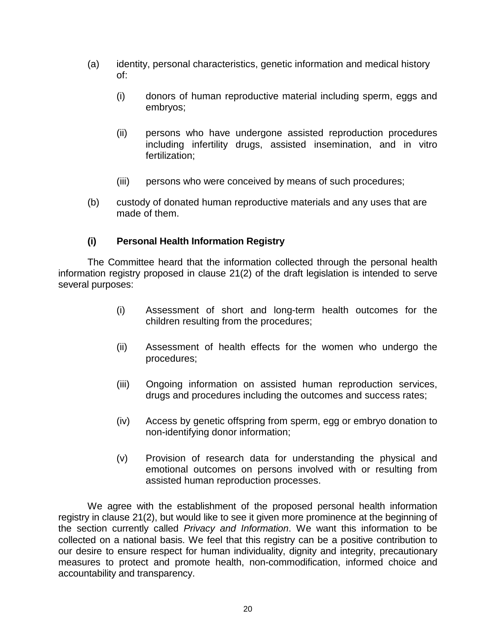- (a) identity, personal characteristics, genetic information and medical history of:
	- (i) donors of human reproductive material including sperm, eggs and embryos;
	- (ii) persons who have undergone assisted reproduction procedures including infertility drugs, assisted insemination, and in vitro fertilization;
	- (iii) persons who were conceived by means of such procedures;
- (b) custody of donated human reproductive materials and any uses that are made of them.

# **(i) Personal Health Information Registry**

The Committee heard that the information collected through the personal health information registry proposed in clause 21(2) of the draft legislation is intended to serve several purposes:

- (i) Assessment of short and long-term health outcomes for the children resulting from the procedures;
- (ii) Assessment of health effects for the women who undergo the procedures;
- (iii) Ongoing information on assisted human reproduction services, drugs and procedures including the outcomes and success rates;
- (iv) Access by genetic offspring from sperm, egg or embryo donation to non-identifying donor information;
- (v) Provision of research data for understanding the physical and emotional outcomes on persons involved with or resulting from assisted human reproduction processes.

We agree with the establishment of the proposed personal health information registry in clause 21(2), but would like to see it given more prominence at the beginning of the section currently called *Privacy and Information*. We want this information to be collected on a national basis. We feel that this registry can be a positive contribution to our desire to ensure respect for human individuality, dignity and integrity, precautionary measures to protect and promote health, non-commodification, informed choice and accountability and transparency.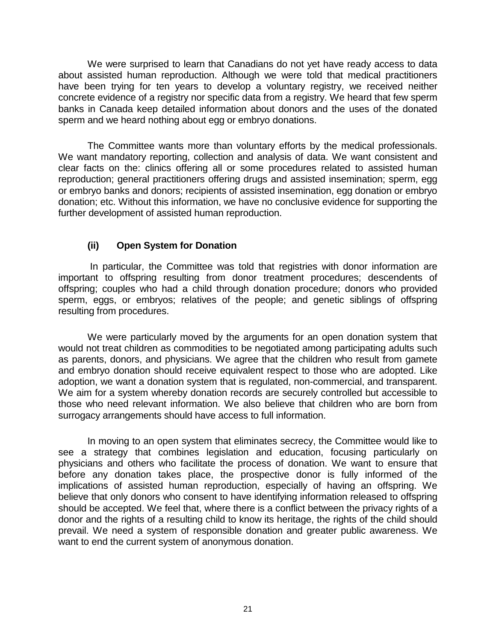We were surprised to learn that Canadians do not yet have ready access to data about assisted human reproduction. Although we were told that medical practitioners have been trying for ten years to develop a voluntary registry, we received neither concrete evidence of a registry nor specific data from a registry. We heard that few sperm banks in Canada keep detailed information about donors and the uses of the donated sperm and we heard nothing about egg or embryo donations.

The Committee wants more than voluntary efforts by the medical professionals. We want mandatory reporting, collection and analysis of data. We want consistent and clear facts on the: clinics offering all or some procedures related to assisted human reproduction; general practitioners offering drugs and assisted insemination; sperm, egg or embryo banks and donors; recipients of assisted insemination, egg donation or embryo donation; etc. Without this information, we have no conclusive evidence for supporting the further development of assisted human reproduction.

# **(ii) Open System for Donation**

 In particular, the Committee was told that registries with donor information are important to offspring resulting from donor treatment procedures; descendents of offspring; couples who had a child through donation procedure; donors who provided sperm, eggs, or embryos; relatives of the people; and genetic siblings of offspring resulting from procedures.

We were particularly moved by the arguments for an open donation system that would not treat children as commodities to be negotiated among participating adults such as parents, donors, and physicians. We agree that the children who result from gamete and embryo donation should receive equivalent respect to those who are adopted. Like adoption, we want a donation system that is regulated, non-commercial, and transparent. We aim for a system whereby donation records are securely controlled but accessible to those who need relevant information. We also believe that children who are born from surrogacy arrangements should have access to full information.

In moving to an open system that eliminates secrecy, the Committee would like to see a strategy that combines legislation and education, focusing particularly on physicians and others who facilitate the process of donation. We want to ensure that before any donation takes place, the prospective donor is fully informed of the implications of assisted human reproduction, especially of having an offspring. We believe that only donors who consent to have identifying information released to offspring should be accepted. We feel that, where there is a conflict between the privacy rights of a donor and the rights of a resulting child to know its heritage, the rights of the child should prevail. We need a system of responsible donation and greater public awareness. We want to end the current system of anonymous donation.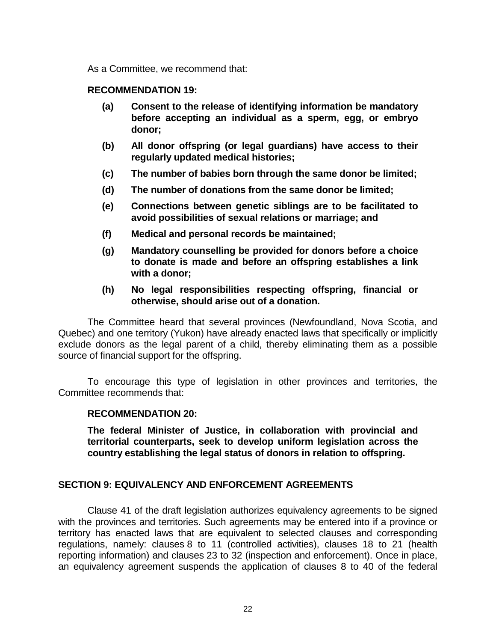As a Committee, we recommend that:

#### **RECOMMENDATION 19:**

- **(a) Consent to the release of identifying information be mandatory before accepting an individual as a sperm, egg, or embryo donor;**
- **(b) All donor offspring (or legal guardians) have access to their regularly updated medical histories;**
- **(c) The number of babies born through the same donor be limited;**
- **(d) The number of donations from the same donor be limited;**
- **(e) Connections between genetic siblings are to be facilitated to avoid possibilities of sexual relations or marriage; and**
- **(f) Medical and personal records be maintained;**
- **(g) Mandatory counselling be provided for donors before a choice to donate is made and before an offspring establishes a link with a donor;**
- **(h) No legal responsibilities respecting offspring, financial or otherwise, should arise out of a donation.**

The Committee heard that several provinces (Newfoundland, Nova Scotia, and Quebec) and one territory (Yukon) have already enacted laws that specifically or implicitly exclude donors as the legal parent of a child, thereby eliminating them as a possible source of financial support for the offspring.

To encourage this type of legislation in other provinces and territories, the Committee recommends that:

#### **RECOMMENDATION 20:**

**The federal Minister of Justice, in collaboration with provincial and territorial counterparts, seek to develop uniform legislation across the country establishing the legal status of donors in relation to offspring.** 

#### **SECTION 9: EQUIVALENCY AND ENFORCEMENT AGREEMENTS**

Clause 41 of the draft legislation authorizes equivalency agreements to be signed with the provinces and territories. Such agreements may be entered into if a province or territory has enacted laws that are equivalent to selected clauses and corresponding regulations, namely: clauses 8 to 11 (controlled activities), clauses 18 to 21 (health reporting information) and clauses 23 to 32 (inspection and enforcement). Once in place, an equivalency agreement suspends the application of clauses 8 to 40 of the federal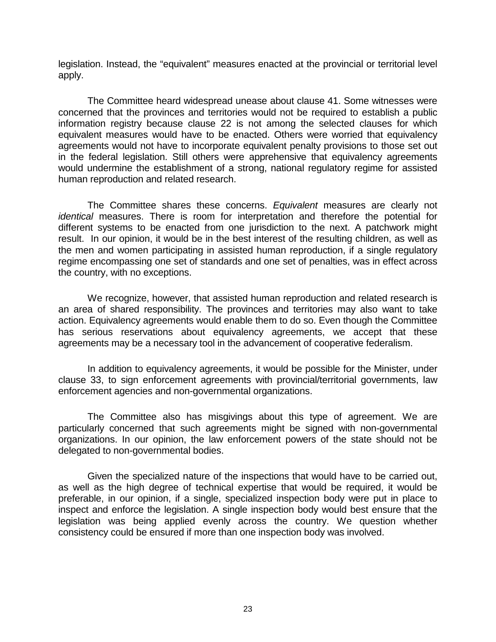legislation. Instead, the "equivalent" measures enacted at the provincial or territorial level apply.

The Committee heard widespread unease about clause 41. Some witnesses were concerned that the provinces and territories would not be required to establish a public information registry because clause 22 is not among the selected clauses for which equivalent measures would have to be enacted. Others were worried that equivalency agreements would not have to incorporate equivalent penalty provisions to those set out in the federal legislation. Still others were apprehensive that equivalency agreements would undermine the establishment of a strong, national regulatory regime for assisted human reproduction and related research.

The Committee shares these concerns. *Equivalent* measures are clearly not *identical* measures. There is room for interpretation and therefore the potential for different systems to be enacted from one jurisdiction to the next. A patchwork might result. In our opinion, it would be in the best interest of the resulting children, as well as the men and women participating in assisted human reproduction, if a single regulatory regime encompassing one set of standards and one set of penalties, was in effect across the country, with no exceptions.

We recognize, however, that assisted human reproduction and related research is an area of shared responsibility. The provinces and territories may also want to take action. Equivalency agreements would enable them to do so. Even though the Committee has serious reservations about equivalency agreements, we accept that these agreements may be a necessary tool in the advancement of cooperative federalism.

In addition to equivalency agreements, it would be possible for the Minister, under clause 33, to sign enforcement agreements with provincial/territorial governments, law enforcement agencies and non-governmental organizations.

The Committee also has misgivings about this type of agreement. We are particularly concerned that such agreements might be signed with non-governmental organizations. In our opinion, the law enforcement powers of the state should not be delegated to non-governmental bodies.

Given the specialized nature of the inspections that would have to be carried out, as well as the high degree of technical expertise that would be required, it would be preferable, in our opinion, if a single, specialized inspection body were put in place to inspect and enforce the legislation. A single inspection body would best ensure that the legislation was being applied evenly across the country. We question whether consistency could be ensured if more than one inspection body was involved.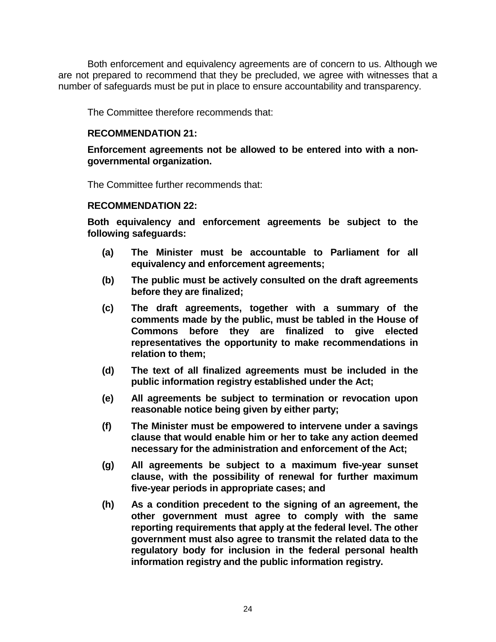Both enforcement and equivalency agreements are of concern to us. Although we are not prepared to recommend that they be precluded, we agree with witnesses that a number of safeguards must be put in place to ensure accountability and transparency.

The Committee therefore recommends that:

#### **RECOMMENDATION 21:**

#### **Enforcement agreements not be allowed to be entered into with a nongovernmental organization.**

The Committee further recommends that:

#### **RECOMMENDATION 22:**

**Both equivalency and enforcement agreements be subject to the following safeguards:** 

- **(a) The Minister must be accountable to Parliament for all equivalency and enforcement agreements;**
- **(b) The public must be actively consulted on the draft agreements before they are finalized;**
- **(c) The draft agreements, together with a summary of the comments made by the public, must be tabled in the House of Commons before they are finalized to give elected representatives the opportunity to make recommendations in relation to them;**
- **(d) The text of all finalized agreements must be included in the public information registry established under the Act;**
- **(e) All agreements be subject to termination or revocation upon reasonable notice being given by either party;**
- **(f) The Minister must be empowered to intervene under a savings clause that would enable him or her to take any action deemed necessary for the administration and enforcement of the Act;**
- **(g) All agreements be subject to a maximum five-year sunset clause, with the possibility of renewal for further maximum five-year periods in appropriate cases; and**
- **(h) As a condition precedent to the signing of an agreement, the other government must agree to comply with the same reporting requirements that apply at the federal level. The other government must also agree to transmit the related data to the regulatory body for inclusion in the federal personal health information registry and the public information registry.**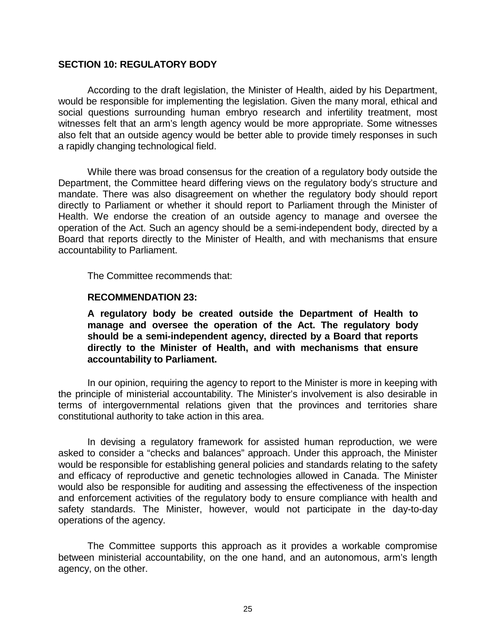## **SECTION 10: REGULATORY BODY**

According to the draft legislation, the Minister of Health, aided by his Department, would be responsible for implementing the legislation. Given the many moral, ethical and social questions surrounding human embryo research and infertility treatment, most witnesses felt that an arm's length agency would be more appropriate. Some witnesses also felt that an outside agency would be better able to provide timely responses in such a rapidly changing technological field.

While there was broad consensus for the creation of a regulatory body outside the Department, the Committee heard differing views on the regulatory body's structure and mandate. There was also disagreement on whether the regulatory body should report directly to Parliament or whether it should report to Parliament through the Minister of Health. We endorse the creation of an outside agency to manage and oversee the operation of the Act. Such an agency should be a semi-independent body, directed by a Board that reports directly to the Minister of Health, and with mechanisms that ensure accountability to Parliament.

The Committee recommends that:

#### **RECOMMENDATION 23:**

**A regulatory body be created outside the Department of Health to manage and oversee the operation of the Act. The regulatory body should be a semi-independent agency, directed by a Board that reports directly to the Minister of Health, and with mechanisms that ensure accountability to Parliament.** 

In our opinion, requiring the agency to report to the Minister is more in keeping with the principle of ministerial accountability. The Minister's involvement is also desirable in terms of intergovernmental relations given that the provinces and territories share constitutional authority to take action in this area.

In devising a regulatory framework for assisted human reproduction, we were asked to consider a "checks and balances" approach. Under this approach, the Minister would be responsible for establishing general policies and standards relating to the safety and efficacy of reproductive and genetic technologies allowed in Canada. The Minister would also be responsible for auditing and assessing the effectiveness of the inspection and enforcement activities of the regulatory body to ensure compliance with health and safety standards. The Minister, however, would not participate in the day-to-day operations of the agency.

The Committee supports this approach as it provides a workable compromise between ministerial accountability, on the one hand, and an autonomous, arm's length agency, on the other.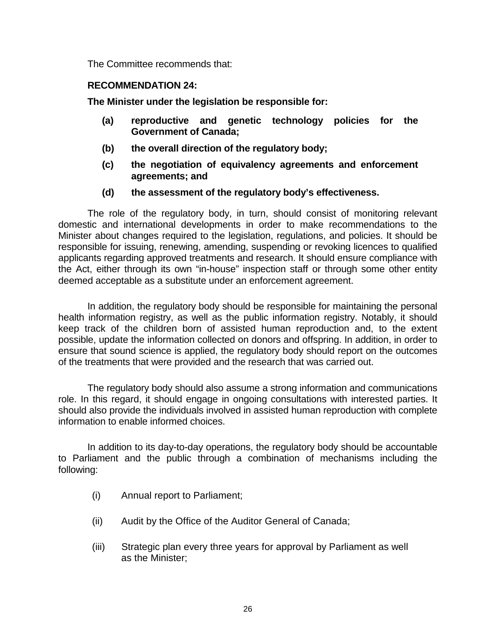The Committee recommends that:

## **RECOMMENDATION 24:**

**The Minister under the legislation be responsible for:** 

- **(a) reproductive and genetic technology policies for the Government of Canada;**
- **(b) the overall direction of the regulatory body;**
- **(c) the negotiation of equivalency agreements and enforcement agreements; and**
- **(d) the assessment of the regulatory body's effectiveness.**

The role of the regulatory body, in turn, should consist of monitoring relevant domestic and international developments in order to make recommendations to the Minister about changes required to the legislation, regulations, and policies. It should be responsible for issuing, renewing, amending, suspending or revoking licences to qualified applicants regarding approved treatments and research. It should ensure compliance with the Act, either through its own "in-house" inspection staff or through some other entity deemed acceptable as a substitute under an enforcement agreement.

In addition, the regulatory body should be responsible for maintaining the personal health information registry, as well as the public information registry. Notably, it should keep track of the children born of assisted human reproduction and, to the extent possible, update the information collected on donors and offspring. In addition, in order to ensure that sound science is applied, the regulatory body should report on the outcomes of the treatments that were provided and the research that was carried out.

The regulatory body should also assume a strong information and communications role. In this regard, it should engage in ongoing consultations with interested parties. It should also provide the individuals involved in assisted human reproduction with complete information to enable informed choices.

In addition to its day-to-day operations, the regulatory body should be accountable to Parliament and the public through a combination of mechanisms including the following:

- (i) Annual report to Parliament;
- (ii) Audit by the Office of the Auditor General of Canada;
- (iii) Strategic plan every three years for approval by Parliament as well as the Minister;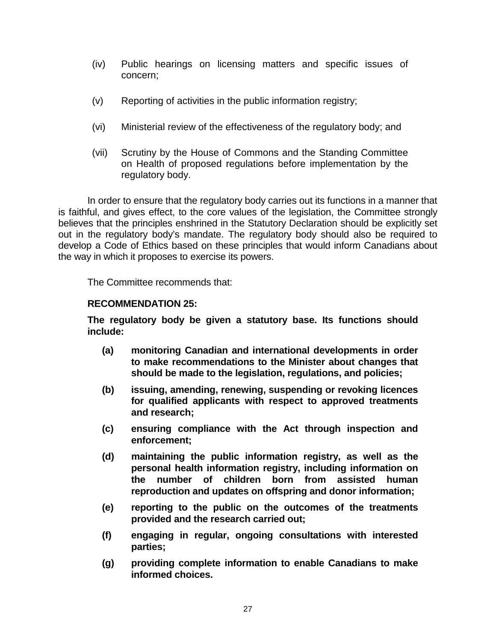- (iv) Public hearings on licensing matters and specific issues of concern;
- (v) Reporting of activities in the public information registry;
- (vi) Ministerial review of the effectiveness of the regulatory body; and
- (vii) Scrutiny by the House of Commons and the Standing Committee on Health of proposed regulations before implementation by the regulatory body.

In order to ensure that the regulatory body carries out its functions in a manner that is faithful, and gives effect, to the core values of the legislation, the Committee strongly believes that the principles enshrined in the Statutory Declaration should be explicitly set out in the regulatory body's mandate. The regulatory body should also be required to develop a Code of Ethics based on these principles that would inform Canadians about the way in which it proposes to exercise its powers.

The Committee recommends that:

## **RECOMMENDATION 25:**

**The regulatory body be given a statutory base. Its functions should include:** 

- **(a) monitoring Canadian and international developments in order to make recommendations to the Minister about changes that should be made to the legislation, regulations, and policies;**
- **(b) issuing, amending, renewing, suspending or revoking licences for qualified applicants with respect to approved treatments and research;**
- **(c) ensuring compliance with the Act through inspection and enforcement;**
- **(d) maintaining the public information registry, as well as the personal health information registry, including information on the number of children born from assisted human reproduction and updates on offspring and donor information;**
- **(e) reporting to the public on the outcomes of the treatments provided and the research carried out;**
- **(f) engaging in regular, ongoing consultations with interested parties;**
- **(g) providing complete information to enable Canadians to make informed choices.**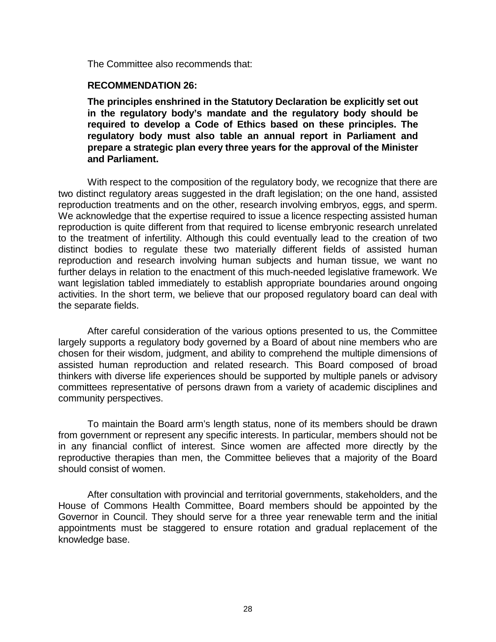The Committee also recommends that:

#### **RECOMMENDATION 26:**

**The principles enshrined in the Statutory Declaration be explicitly set out in the regulatory body's mandate and the regulatory body should be required to develop a Code of Ethics based on these principles. The regulatory body must also table an annual report in Parliament and prepare a strategic plan every three years for the approval of the Minister and Parliament.** 

With respect to the composition of the regulatory body, we recognize that there are two distinct regulatory areas suggested in the draft legislation; on the one hand, assisted reproduction treatments and on the other, research involving embryos, eggs, and sperm. We acknowledge that the expertise required to issue a licence respecting assisted human reproduction is quite different from that required to license embryonic research unrelated to the treatment of infertility. Although this could eventually lead to the creation of two distinct bodies to regulate these two materially different fields of assisted human reproduction and research involving human subjects and human tissue, we want no further delays in relation to the enactment of this much-needed legislative framework. We want legislation tabled immediately to establish appropriate boundaries around ongoing activities. In the short term, we believe that our proposed regulatory board can deal with the separate fields.

After careful consideration of the various options presented to us, the Committee largely supports a regulatory body governed by a Board of about nine members who are chosen for their wisdom, judgment, and ability to comprehend the multiple dimensions of assisted human reproduction and related research. This Board composed of broad thinkers with diverse life experiences should be supported by multiple panels or advisory committees representative of persons drawn from a variety of academic disciplines and community perspectives.

To maintain the Board arm's length status, none of its members should be drawn from government or represent any specific interests. In particular, members should not be in any financial conflict of interest. Since women are affected more directly by the reproductive therapies than men, the Committee believes that a majority of the Board should consist of women.

After consultation with provincial and territorial governments, stakeholders, and the House of Commons Health Committee, Board members should be appointed by the Governor in Council. They should serve for a three year renewable term and the initial appointments must be staggered to ensure rotation and gradual replacement of the knowledge base.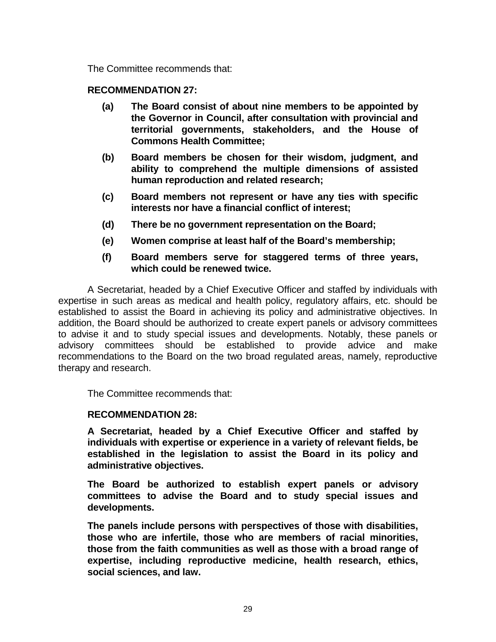The Committee recommends that:

# **RECOMMENDATION 27:**

- **(a) The Board consist of about nine members to be appointed by the Governor in Council, after consultation with provincial and territorial governments, stakeholders, and the House of Commons Health Committee;**
- **(b) Board members be chosen for their wisdom, judgment, and ability to comprehend the multiple dimensions of assisted human reproduction and related research;**
- **(c) Board members not represent or have any ties with specific interests nor have a financial conflict of interest;**
- **(d) There be no government representation on the Board;**
- **(e) Women comprise at least half of the Board's membership;**
- **(f) Board members serve for staggered terms of three years, which could be renewed twice.**

A Secretariat, headed by a Chief Executive Officer and staffed by individuals with expertise in such areas as medical and health policy, regulatory affairs, etc. should be established to assist the Board in achieving its policy and administrative objectives. In addition, the Board should be authorized to create expert panels or advisory committees to advise it and to study special issues and developments. Notably, these panels or advisory committees should be established to provide advice and make recommendations to the Board on the two broad regulated areas, namely, reproductive therapy and research.

The Committee recommends that:

# **RECOMMENDATION 28:**

**A Secretariat, headed by a Chief Executive Officer and staffed by individuals with expertise or experience in a variety of relevant fields, be established in the legislation to assist the Board in its policy and administrative objectives.** 

**The Board be authorized to establish expert panels or advisory committees to advise the Board and to study special issues and developments.** 

**The panels include persons with perspectives of those with disabilities, those who are infertile, those who are members of racial minorities, those from the faith communities as well as those with a broad range of expertise, including reproductive medicine, health research, ethics, social sciences, and law.**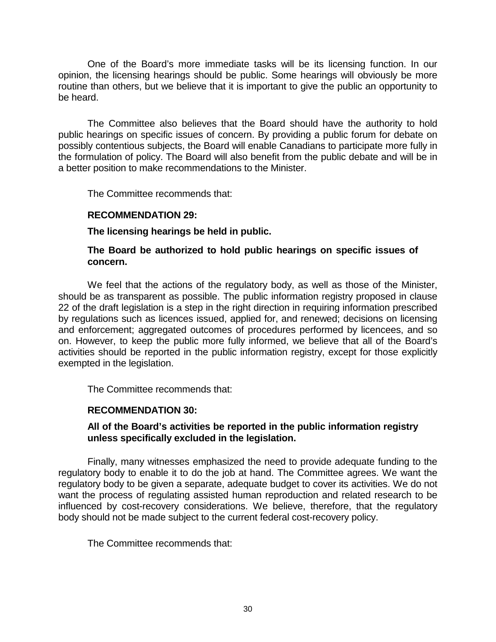One of the Board's more immediate tasks will be its licensing function. In our opinion, the licensing hearings should be public. Some hearings will obviously be more routine than others, but we believe that it is important to give the public an opportunity to be heard.

The Committee also believes that the Board should have the authority to hold public hearings on specific issues of concern. By providing a public forum for debate on possibly contentious subjects, the Board will enable Canadians to participate more fully in the formulation of policy. The Board will also benefit from the public debate and will be in a better position to make recommendations to the Minister.

The Committee recommends that:

# **RECOMMENDATION 29:**

**The licensing hearings be held in public.** 

# **The Board be authorized to hold public hearings on specific issues of concern.**

We feel that the actions of the regulatory body, as well as those of the Minister, should be as transparent as possible. The public information registry proposed in clause 22 of the draft legislation is a step in the right direction in requiring information prescribed by regulations such as licences issued, applied for, and renewed; decisions on licensing and enforcement; aggregated outcomes of procedures performed by licencees, and so on. However, to keep the public more fully informed, we believe that all of the Board's activities should be reported in the public information registry, except for those explicitly exempted in the legislation.

The Committee recommends that:

# **RECOMMENDATION 30:**

# **All of the Board's activities be reported in the public information registry unless specifically excluded in the legislation.**

Finally, many witnesses emphasized the need to provide adequate funding to the regulatory body to enable it to do the job at hand. The Committee agrees. We want the regulatory body to be given a separate, adequate budget to cover its activities. We do not want the process of regulating assisted human reproduction and related research to be influenced by cost-recovery considerations. We believe, therefore, that the regulatory body should not be made subject to the current federal cost-recovery policy.

The Committee recommends that: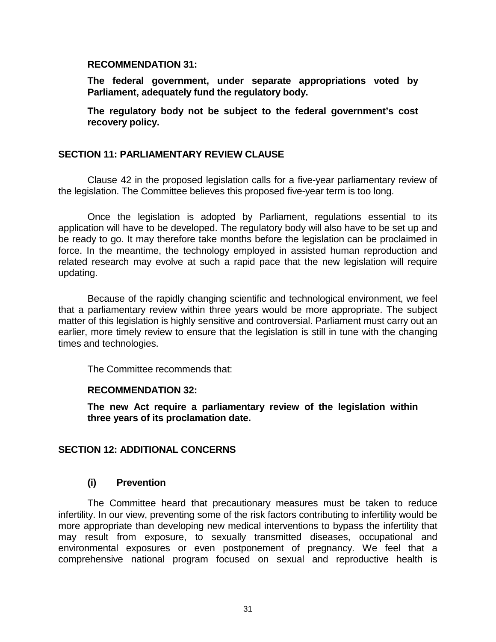#### **RECOMMENDATION 31:**

**The federal government, under separate appropriations voted by Parliament, adequately fund the regulatory body.** 

**The regulatory body not be subject to the federal government's cost recovery policy.** 

# **SECTION 11: PARLIAMENTARY REVIEW CLAUSE**

Clause 42 in the proposed legislation calls for a five-year parliamentary review of the legislation. The Committee believes this proposed five-year term is too long.

Once the legislation is adopted by Parliament, regulations essential to its application will have to be developed. The regulatory body will also have to be set up and be ready to go. It may therefore take months before the legislation can be proclaimed in force. In the meantime, the technology employed in assisted human reproduction and related research may evolve at such a rapid pace that the new legislation will require updating.

Because of the rapidly changing scientific and technological environment, we feel that a parliamentary review within three years would be more appropriate. The subject matter of this legislation is highly sensitive and controversial. Parliament must carry out an earlier, more timely review to ensure that the legislation is still in tune with the changing times and technologies.

The Committee recommends that:

# **RECOMMENDATION 32:**

**The new Act require a parliamentary review of the legislation within three years of its proclamation date.** 

# **SECTION 12: ADDITIONAL CONCERNS**

# **(i) Prevention**

The Committee heard that precautionary measures must be taken to reduce infertility. In our view, preventing some of the risk factors contributing to infertility would be more appropriate than developing new medical interventions to bypass the infertility that may result from exposure, to sexually transmitted diseases, occupational and environmental exposures or even postponement of pregnancy. We feel that a comprehensive national program focused on sexual and reproductive health is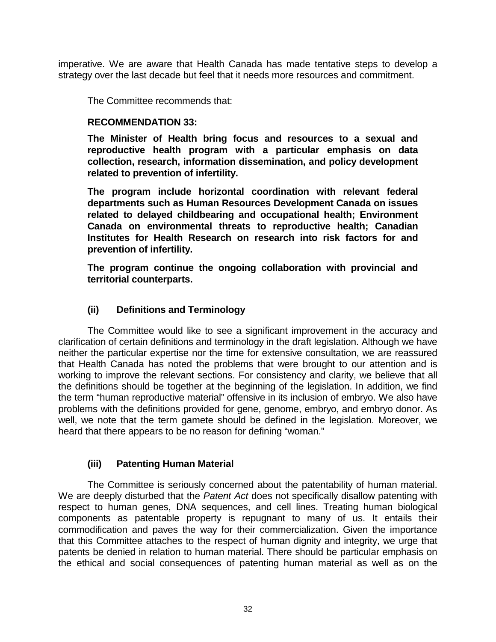imperative. We are aware that Health Canada has made tentative steps to develop a strategy over the last decade but feel that it needs more resources and commitment.

The Committee recommends that:

# **RECOMMENDATION 33:**

**The Minister of Health bring focus and resources to a sexual and reproductive health program with a particular emphasis on data collection, research, information dissemination, and policy development related to prevention of infertility.** 

**The program include horizontal coordination with relevant federal departments such as Human Resources Development Canada on issues related to delayed childbearing and occupational health; Environment Canada on environmental threats to reproductive health; Canadian Institutes for Health Research on research into risk factors for and prevention of infertility.** 

**The program continue the ongoing collaboration with provincial and territorial counterparts.** 

# **(ii) Definitions and Terminology**

The Committee would like to see a significant improvement in the accuracy and clarification of certain definitions and terminology in the draft legislation. Although we have neither the particular expertise nor the time for extensive consultation, we are reassured that Health Canada has noted the problems that were brought to our attention and is working to improve the relevant sections. For consistency and clarity, we believe that all the definitions should be together at the beginning of the legislation. In addition, we find the term "human reproductive material" offensive in its inclusion of embryo. We also have problems with the definitions provided for gene, genome, embryo, and embryo donor. As well, we note that the term gamete should be defined in the legislation. Moreover, we heard that there appears to be no reason for defining "woman."

# **(iii) Patenting Human Material**

The Committee is seriously concerned about the patentability of human material. We are deeply disturbed that the *Patent Act* does not specifically disallow patenting with respect to human genes, DNA sequences, and cell lines. Treating human biological components as patentable property is repugnant to many of us. It entails their commodification and paves the way for their commercialization. Given the importance that this Committee attaches to the respect of human dignity and integrity, we urge that patents be denied in relation to human material. There should be particular emphasis on the ethical and social consequences of patenting human material as well as on the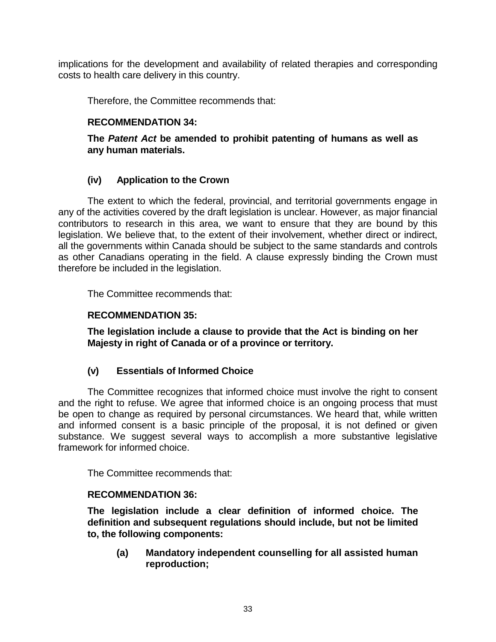implications for the development and availability of related therapies and corresponding costs to health care delivery in this country.

Therefore, the Committee recommends that:

# **RECOMMENDATION 34:**

**The** *Patent Act* **be amended to prohibit patenting of humans as well as any human materials.** 

# **(iv) Application to the Crown**

The extent to which the federal, provincial, and territorial governments engage in any of the activities covered by the draft legislation is unclear. However, as major financial contributors to research in this area, we want to ensure that they are bound by this legislation. We believe that, to the extent of their involvement, whether direct or indirect, all the governments within Canada should be subject to the same standards and controls as other Canadians operating in the field. A clause expressly binding the Crown must therefore be included in the legislation.

The Committee recommends that:

# **RECOMMENDATION 35:**

**The legislation include a clause to provide that the Act is binding on her Majesty in right of Canada or of a province or territory.** 

# **(v) Essentials of Informed Choice**

The Committee recognizes that informed choice must involve the right to consent and the right to refuse. We agree that informed choice is an ongoing process that must be open to change as required by personal circumstances. We heard that, while written and informed consent is a basic principle of the proposal, it is not defined or given substance. We suggest several ways to accomplish a more substantive legislative framework for informed choice.

The Committee recommends that:

# **RECOMMENDATION 36:**

**The legislation include a clear definition of informed choice. The definition and subsequent regulations should include, but not be limited to, the following components:** 

**(a) Mandatory independent counselling for all assisted human reproduction;**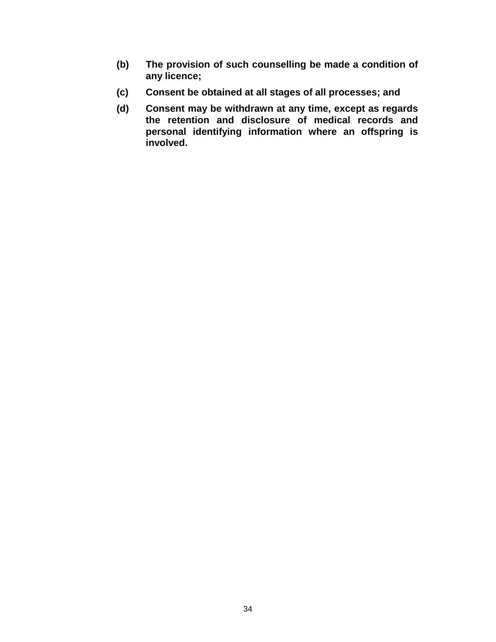- **(b) The provision of such counselling be made a condition of any licence;**
- **(c) Consent be obtained at all stages of all processes; and**
- **(d) Consent may be withdrawn at any time, except as regards the retention and disclosure of medical records and personal identifying information where an offspring is involved.**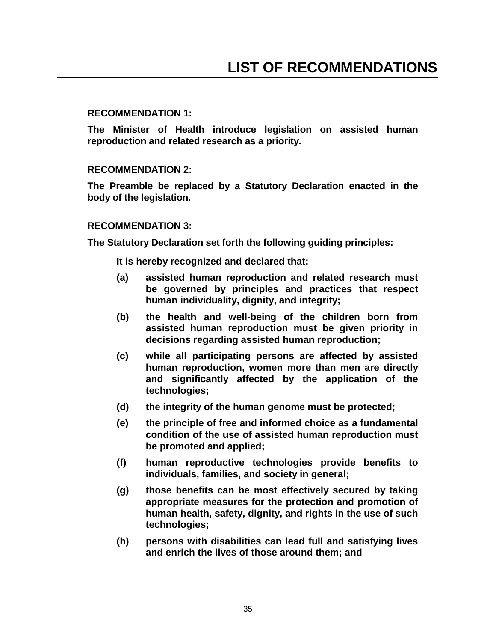## **RECOMMENDATION 1:**

**The Minister of Health introduce legislation on assisted human reproduction and related research as a priority.** 

## **RECOMMENDATION 2:**

**The Preamble be replaced by a Statutory Declaration enacted in the body of the legislation.** 

## **RECOMMENDATION 3:**

**The Statutory Declaration set forth the following guiding principles:** 

**It is hereby recognized and declared that:** 

- **(a) assisted human reproduction and related research must be governed by principles and practices that respect human individuality, dignity, and integrity;**
- **(b) the health and well-being of the children born from assisted human reproduction must be given priority in decisions regarding assisted human reproduction;**
- **(c) while all participating persons are affected by assisted human reproduction, women more than men are directly and significantly affected by the application of the technologies;**
- **(d) the integrity of the human genome must be protected;**
- **(e) the principle of free and informed choice as a fundamental condition of the use of assisted human reproduction must be promoted and applied;**
- **(f) human reproductive technologies provide benefits to individuals, families, and society in general;**
- **(g) those benefits can be most effectively secured by taking appropriate measures for the protection and promotion of human health, safety, dignity, and rights in the use of such technologies;**
- **(h) persons with disabilities can lead full and satisfying lives and enrich the lives of those around them; and**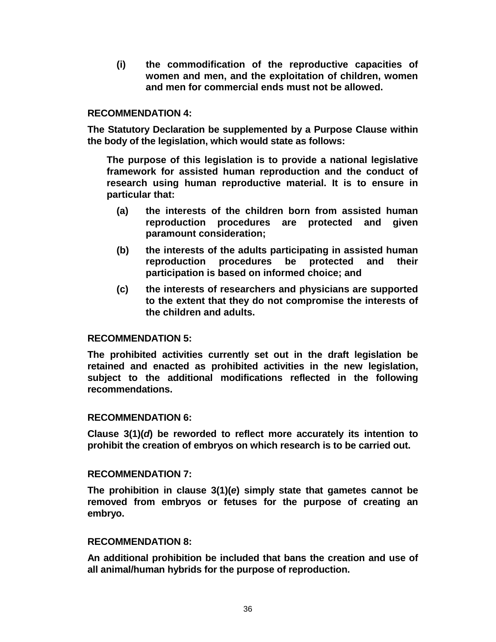**(i) the commodification of the reproductive capacities of women and men, and the exploitation of children, women and men for commercial ends must not be allowed.** 

## **RECOMMENDATION 4:**

**The Statutory Declaration be supplemented by a Purpose Clause within the body of the legislation, which would state as follows:** 

**The purpose of this legislation is to provide a national legislative framework for assisted human reproduction and the conduct of research using human reproductive material. It is to ensure in particular that:** 

- **(a) the interests of the children born from assisted human reproduction procedures are protected and given paramount consideration;**
- **(b) the interests of the adults participating in assisted human reproduction procedures be protected and their participation is based on informed choice; and**
- **(c) the interests of researchers and physicians are supported to the extent that they do not compromise the interests of the children and adults.**

#### **RECOMMENDATION 5:**

**The prohibited activities currently set out in the draft legislation be retained and enacted as prohibited activities in the new legislation, subject to the additional modifications reflected in the following recommendations.** 

#### **RECOMMENDATION 6:**

**Clause 3(1)(***d***) be reworded to reflect more accurately its intention to prohibit the creation of embryos on which research is to be carried out.** 

#### **RECOMMENDATION 7:**

**The prohibition in clause 3(1)(***e***) simply state that gametes cannot be removed from embryos or fetuses for the purpose of creating an embryo.** 

#### **RECOMMENDATION 8:**

**An additional prohibition be included that bans the creation and use of all animal/human hybrids for the purpose of reproduction.**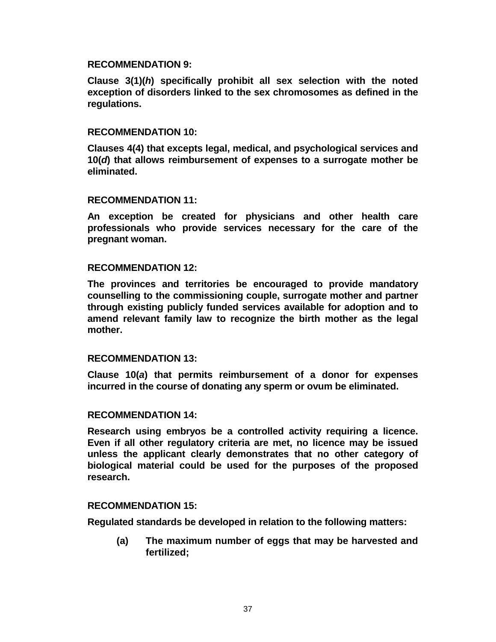#### **RECOMMENDATION 9:**

**Clause 3(1)(***h***) specifically prohibit all sex selection with the noted exception of disorders linked to the sex chromosomes as defined in the regulations.** 

#### **RECOMMENDATION 10:**

**Clauses 4(4) that excepts legal, medical, and psychological services and 10(***d***) that allows reimbursement of expenses to a surrogate mother be eliminated.** 

#### **RECOMMENDATION 11:**

**An exception be created for physicians and other health care professionals who provide services necessary for the care of the pregnant woman.** 

#### **RECOMMENDATION 12:**

**The provinces and territories be encouraged to provide mandatory counselling to the commissioning couple, surrogate mother and partner through existing publicly funded services available for adoption and to amend relevant family law to recognize the birth mother as the legal mother.** 

#### **RECOMMENDATION 13:**

**Clause 10(***a***) that permits reimbursement of a donor for expenses incurred in the course of donating any sperm or ovum be eliminated.** 

## **RECOMMENDATION 14:**

**Research using embryos be a controlled activity requiring a licence. Even if all other regulatory criteria are met, no licence may be issued unless the applicant clearly demonstrates that no other category of biological material could be used for the purposes of the proposed research.** 

#### **RECOMMENDATION 15:**

**Regulated standards be developed in relation to the following matters:** 

**(a) The maximum number of eggs that may be harvested and fertilized;**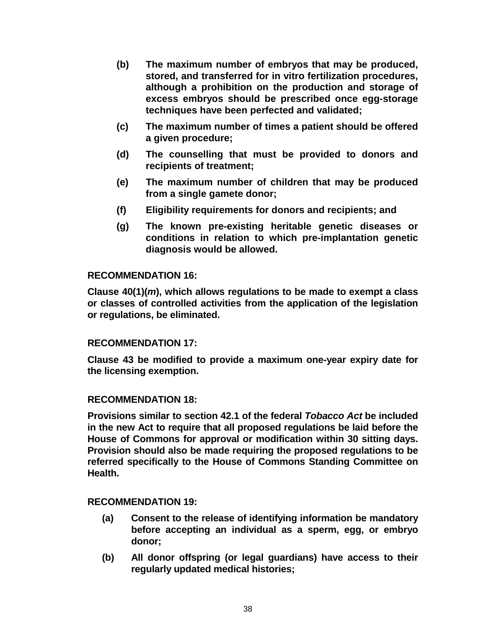- **(b) The maximum number of embryos that may be produced, stored, and transferred for in vitro fertilization procedures, although a prohibition on the production and storage of excess embryos should be prescribed once egg-storage techniques have been perfected and validated;**
- **(c) The maximum number of times a patient should be offered a given procedure;**
- **(d) The counselling that must be provided to donors and recipients of treatment;**
- **(e) The maximum number of children that may be produced from a single gamete donor;**
- **(f) Eligibility requirements for donors and recipients; and**
- **(g) The known pre-existing heritable genetic diseases or conditions in relation to which pre-implantation genetic diagnosis would be allowed.**

## **RECOMMENDATION 16:**

**Clause 40(1)(***m***), which allows regulations to be made to exempt a class or classes of controlled activities from the application of the legislation or regulations, be eliminated.** 

# **RECOMMENDATION 17:**

**Clause 43 be modified to provide a maximum one-year expiry date for the licensing exemption.** 

#### **RECOMMENDATION 18:**

**Provisions similar to section 42.1 of the federal** *Tobacco Act* **be included in the new Act to require that all proposed regulations be laid before the House of Commons for approval or modification within 30 sitting days. Provision should also be made requiring the proposed regulations to be referred specifically to the House of Commons Standing Committee on Health.** 

#### **RECOMMENDATION 19:**

- **(a) Consent to the release of identifying information be mandatory before accepting an individual as a sperm, egg, or embryo donor;**
- **(b) All donor offspring (or legal guardians) have access to their regularly updated medical histories;**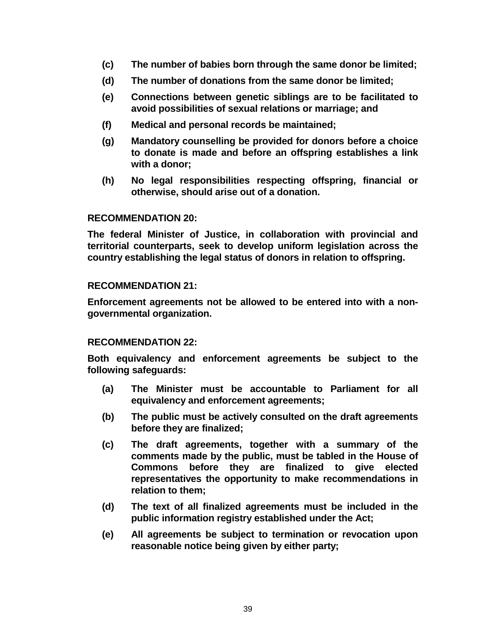- **(c) The number of babies born through the same donor be limited;**
- **(d) The number of donations from the same donor be limited;**
- **(e) Connections between genetic siblings are to be facilitated to avoid possibilities of sexual relations or marriage; and**
- **(f) Medical and personal records be maintained;**
- **(g) Mandatory counselling be provided for donors before a choice to donate is made and before an offspring establishes a link with a donor;**
- **(h) No legal responsibilities respecting offspring, financial or otherwise, should arise out of a donation.**

#### **RECOMMENDATION 20:**

**The federal Minister of Justice, in collaboration with provincial and territorial counterparts, seek to develop uniform legislation across the country establishing the legal status of donors in relation to offspring.** 

## **RECOMMENDATION 21:**

**Enforcement agreements not be allowed to be entered into with a nongovernmental organization.** 

#### **RECOMMENDATION 22:**

**Both equivalency and enforcement agreements be subject to the following safeguards:** 

- **(a) The Minister must be accountable to Parliament for all equivalency and enforcement agreements;**
- **(b) The public must be actively consulted on the draft agreements before they are finalized;**
- **(c) The draft agreements, together with a summary of the comments made by the public, must be tabled in the House of Commons before they are finalized to give elected representatives the opportunity to make recommendations in relation to them;**
- **(d) The text of all finalized agreements must be included in the public information registry established under the Act;**
- **(e) All agreements be subject to termination or revocation upon reasonable notice being given by either party;**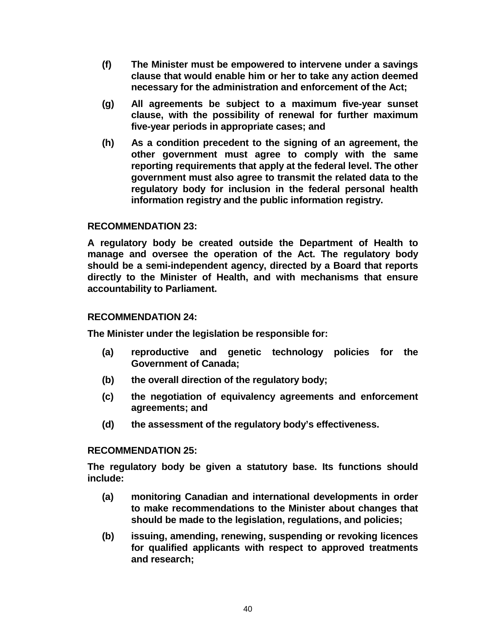- **(f) The Minister must be empowered to intervene under a savings clause that would enable him or her to take any action deemed necessary for the administration and enforcement of the Act;**
- **(g) All agreements be subject to a maximum five-year sunset clause, with the possibility of renewal for further maximum five-year periods in appropriate cases; and**
- **(h) As a condition precedent to the signing of an agreement, the other government must agree to comply with the same reporting requirements that apply at the federal level. The other government must also agree to transmit the related data to the regulatory body for inclusion in the federal personal health information registry and the public information registry.**

# **RECOMMENDATION 23:**

**A regulatory body be created outside the Department of Health to manage and oversee the operation of the Act. The regulatory body should be a semi-independent agency, directed by a Board that reports directly to the Minister of Health, and with mechanisms that ensure accountability to Parliament.** 

# **RECOMMENDATION 24:**

**The Minister under the legislation be responsible for:** 

- **(a) reproductive and genetic technology policies for the Government of Canada;**
- **(b) the overall direction of the regulatory body;**
- **(c) the negotiation of equivalency agreements and enforcement agreements; and**
- **(d) the assessment of the regulatory body's effectiveness.**

# **RECOMMENDATION 25:**

**The regulatory body be given a statutory base. Its functions should include:** 

- **(a) monitoring Canadian and international developments in order to make recommendations to the Minister about changes that should be made to the legislation, regulations, and policies;**
- **(b) issuing, amending, renewing, suspending or revoking licences for qualified applicants with respect to approved treatments and research;**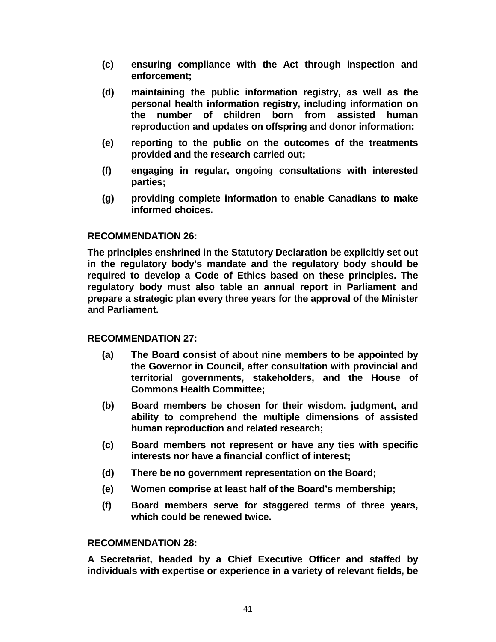- **(c) ensuring compliance with the Act through inspection and enforcement;**
- **(d) maintaining the public information registry, as well as the personal health information registry, including information on the number of children born from assisted human reproduction and updates on offspring and donor information;**
- **(e) reporting to the public on the outcomes of the treatments provided and the research carried out;**
- **(f) engaging in regular, ongoing consultations with interested parties;**
- **(g) providing complete information to enable Canadians to make informed choices.**

# **RECOMMENDATION 26:**

**The principles enshrined in the Statutory Declaration be explicitly set out in the regulatory body's mandate and the regulatory body should be required to develop a Code of Ethics based on these principles. The regulatory body must also table an annual report in Parliament and prepare a strategic plan every three years for the approval of the Minister and Parliament.** 

# **RECOMMENDATION 27:**

- **(a) The Board consist of about nine members to be appointed by the Governor in Council, after consultation with provincial and territorial governments, stakeholders, and the House of Commons Health Committee;**
- **(b) Board members be chosen for their wisdom, judgment, and ability to comprehend the multiple dimensions of assisted human reproduction and related research;**
- **(c) Board members not represent or have any ties with specific interests nor have a financial conflict of interest;**
- **(d) There be no government representation on the Board;**
- **(e) Women comprise at least half of the Board's membership;**
- **(f) Board members serve for staggered terms of three years, which could be renewed twice.**

# **RECOMMENDATION 28:**

**A Secretariat, headed by a Chief Executive Officer and staffed by individuals with expertise or experience in a variety of relevant fields, be**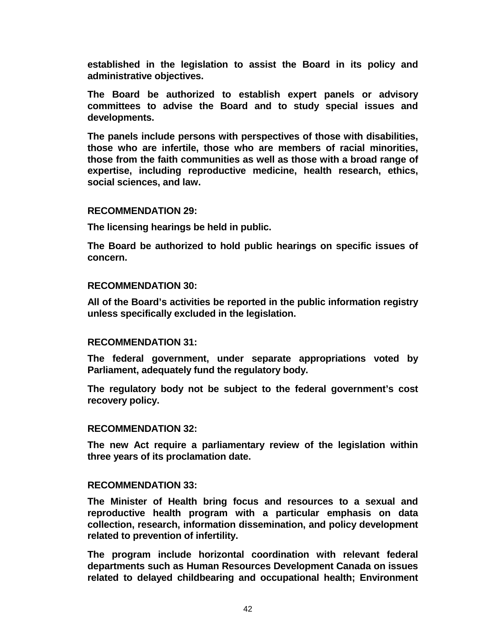**established in the legislation to assist the Board in its policy and administrative objectives.** 

**The Board be authorized to establish expert panels or advisory committees to advise the Board and to study special issues and developments.** 

**The panels include persons with perspectives of those with disabilities, those who are infertile, those who are members of racial minorities, those from the faith communities as well as those with a broad range of expertise, including reproductive medicine, health research, ethics, social sciences, and law.** 

#### **RECOMMENDATION 29:**

**The licensing hearings be held in public.** 

**The Board be authorized to hold public hearings on specific issues of concern.** 

#### **RECOMMENDATION 30:**

**All of the Board's activities be reported in the public information registry unless specifically excluded in the legislation.** 

#### **RECOMMENDATION 31:**

**The federal government, under separate appropriations voted by Parliament, adequately fund the regulatory body.** 

**The regulatory body not be subject to the federal government's cost recovery policy.** 

#### **RECOMMENDATION 32:**

**The new Act require a parliamentary review of the legislation within three years of its proclamation date.** 

#### **RECOMMENDATION 33:**

**The Minister of Health bring focus and resources to a sexual and reproductive health program with a particular emphasis on data collection, research, information dissemination, and policy development related to prevention of infertility.** 

**The program include horizontal coordination with relevant federal departments such as Human Resources Development Canada on issues related to delayed childbearing and occupational health; Environment**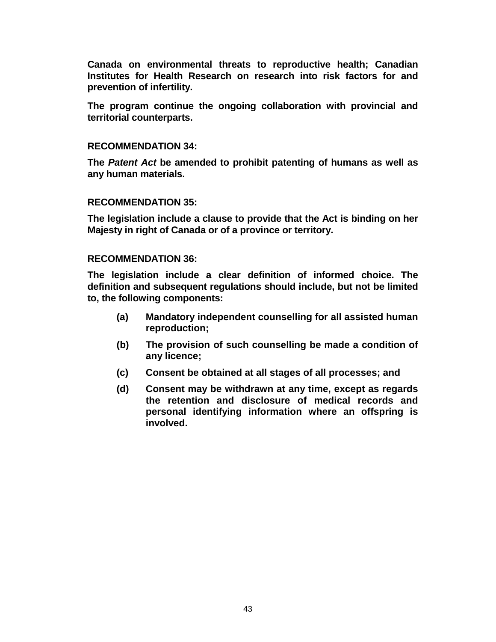**Canada on environmental threats to reproductive health; Canadian Institutes for Health Research on research into risk factors for and prevention of infertility.** 

**The program continue the ongoing collaboration with provincial and territorial counterparts.** 

## **RECOMMENDATION 34:**

**The** *Patent Act* **be amended to prohibit patenting of humans as well as any human materials.** 

## **RECOMMENDATION 35:**

**The legislation include a clause to provide that the Act is binding on her Majesty in right of Canada or of a province or territory.** 

## **RECOMMENDATION 36:**

**The legislation include a clear definition of informed choice. The definition and subsequent regulations should include, but not be limited to, the following components:** 

- **(a) Mandatory independent counselling for all assisted human reproduction;**
- **(b) The provision of such counselling be made a condition of any licence;**
- **(c) Consent be obtained at all stages of all processes; and**
- **(d) Consent may be withdrawn at any time, except as regards the retention and disclosure of medical records and personal identifying information where an offspring is involved.**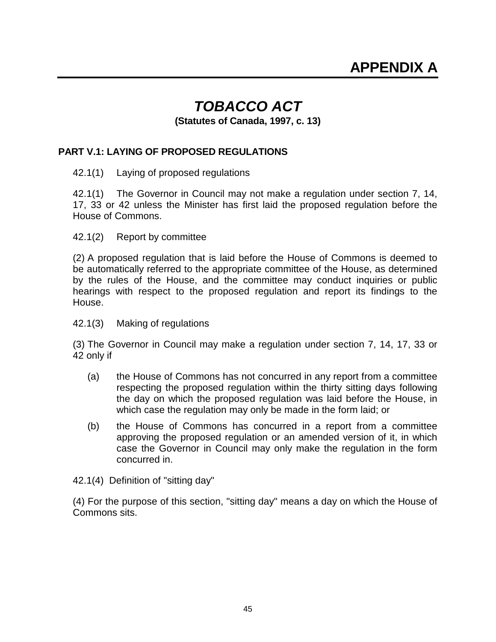# *TOBACCO ACT*

 **(Statutes of Canada, 1997, c. 13)** 

# **PART V.1: LAYING OF PROPOSED REGULATIONS**

42.1(1) Laying of proposed regulations

42.1(1) The Governor in Council may not make a regulation under section 7, 14, 17, 33 or 42 unless the Minister has first laid the proposed regulation before the House of Commons.

42.1(2) Report by committee

(2) A proposed regulation that is laid before the House of Commons is deemed to be automatically referred to the appropriate committee of the House, as determined by the rules of the House, and the committee may conduct inquiries or public hearings with respect to the proposed regulation and report its findings to the House.

42.1(3) Making of regulations

(3) The Governor in Council may make a regulation under section 7, 14, 17, 33 or 42 only if

- (a) the House of Commons has not concurred in any report from a committee respecting the proposed regulation within the thirty sitting days following the day on which the proposed regulation was laid before the House, in which case the regulation may only be made in the form laid; or
- (b) the House of Commons has concurred in a report from a committee approving the proposed regulation or an amended version of it, in which case the Governor in Council may only make the regulation in the form concurred in.
- 42.1(4) Definition of "sitting day"

(4) For the purpose of this section, "sitting day" means a day on which the House of Commons sits.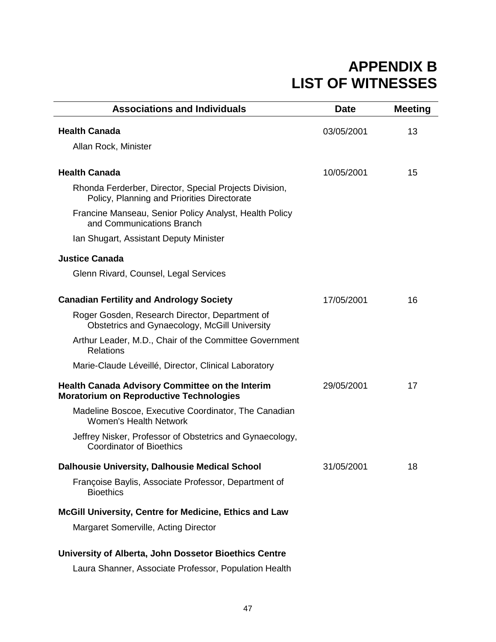# **APPENDIX B LIST OF WITNESSES**

| <b>Associations and Individuals</b>                                                                      | <b>Date</b> | <b>Meeting</b> |
|----------------------------------------------------------------------------------------------------------|-------------|----------------|
| <b>Health Canada</b>                                                                                     | 03/05/2001  | 13             |
| Allan Rock, Minister                                                                                     |             |                |
| <b>Health Canada</b>                                                                                     | 10/05/2001  | 15             |
| Rhonda Ferderber, Director, Special Projects Division,<br>Policy, Planning and Priorities Directorate    |             |                |
| Francine Manseau, Senior Policy Analyst, Health Policy<br>and Communications Branch                      |             |                |
| Ian Shugart, Assistant Deputy Minister                                                                   |             |                |
| <b>Justice Canada</b>                                                                                    |             |                |
| Glenn Rivard, Counsel, Legal Services                                                                    |             |                |
| <b>Canadian Fertility and Andrology Society</b>                                                          | 17/05/2001  | 16             |
|                                                                                                          |             |                |
| Roger Gosden, Research Director, Department of<br>Obstetrics and Gynaecology, McGill University          |             |                |
| Arthur Leader, M.D., Chair of the Committee Government<br><b>Relations</b>                               |             |                |
| Marie-Claude Léveillé, Director, Clinical Laboratory                                                     |             |                |
| <b>Health Canada Advisory Committee on the Interim</b><br><b>Moratorium on Reproductive Technologies</b> | 29/05/2001  | 17             |
| Madeline Boscoe, Executive Coordinator, The Canadian<br><b>Women's Health Network</b>                    |             |                |
| Jeffrey Nisker, Professor of Obstetrics and Gynaecology,<br><b>Coordinator of Bioethics</b>              |             |                |
| Dalhousie University, Dalhousie Medical School                                                           | 31/05/2001  | 18             |
| Françoise Baylis, Associate Professor, Department of<br><b>Bioethics</b>                                 |             |                |
| McGill University, Centre for Medicine, Ethics and Law                                                   |             |                |
| Margaret Somerville, Acting Director                                                                     |             |                |
| University of Alberta, John Dossetor Bioethics Centre                                                    |             |                |

Laura Shanner, Associate Professor, Population Health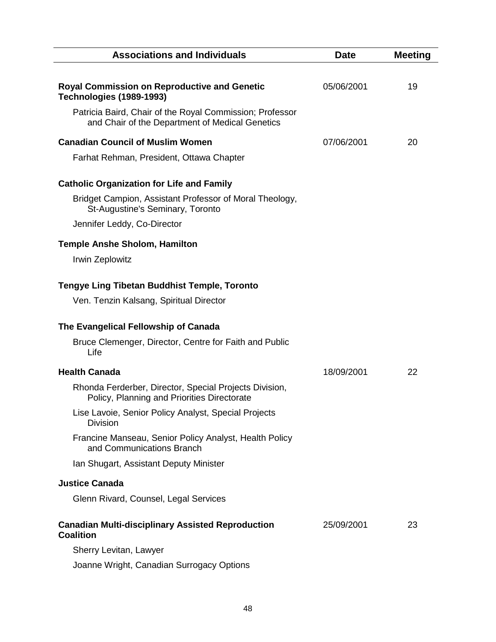| <b>Associations and Individuals</b>                                                                         | <b>Date</b> | <b>Meeting</b> |
|-------------------------------------------------------------------------------------------------------------|-------------|----------------|
| <b>Royal Commission on Reproductive and Genetic</b><br>Technologies (1989-1993)                             | 05/06/2001  | 19             |
| Patricia Baird, Chair of the Royal Commission; Professor<br>and Chair of the Department of Medical Genetics |             |                |
| <b>Canadian Council of Muslim Women</b>                                                                     | 07/06/2001  | 20             |
| Farhat Rehman, President, Ottawa Chapter                                                                    |             |                |
| <b>Catholic Organization for Life and Family</b>                                                            |             |                |
| Bridget Campion, Assistant Professor of Moral Theology,<br>St-Augustine's Seminary, Toronto                 |             |                |
| Jennifer Leddy, Co-Director                                                                                 |             |                |
| <b>Temple Anshe Sholom, Hamilton</b>                                                                        |             |                |
| Irwin Zeplowitz                                                                                             |             |                |
| <b>Tengye Ling Tibetan Buddhist Temple, Toronto</b>                                                         |             |                |
| Ven. Tenzin Kalsang, Spiritual Director                                                                     |             |                |
| The Evangelical Fellowship of Canada                                                                        |             |                |
| Bruce Clemenger, Director, Centre for Faith and Public<br>Life                                              |             |                |
| <b>Health Canada</b>                                                                                        | 18/09/2001  | 22             |
| Rhonda Ferderber, Director, Special Projects Division,<br>Policy, Planning and Priorities Directorate       |             |                |
| Lise Lavoie, Senior Policy Analyst, Special Projects<br><b>Division</b>                                     |             |                |
| Francine Manseau, Senior Policy Analyst, Health Policy<br>and Communications Branch                         |             |                |
| Ian Shugart, Assistant Deputy Minister                                                                      |             |                |
| <b>Justice Canada</b>                                                                                       |             |                |
| Glenn Rivard, Counsel, Legal Services                                                                       |             |                |
| <b>Canadian Multi-disciplinary Assisted Reproduction</b><br><b>Coalition</b>                                | 25/09/2001  | 23             |
| Sherry Levitan, Lawyer                                                                                      |             |                |
| Joanne Wright, Canadian Surrogacy Options                                                                   |             |                |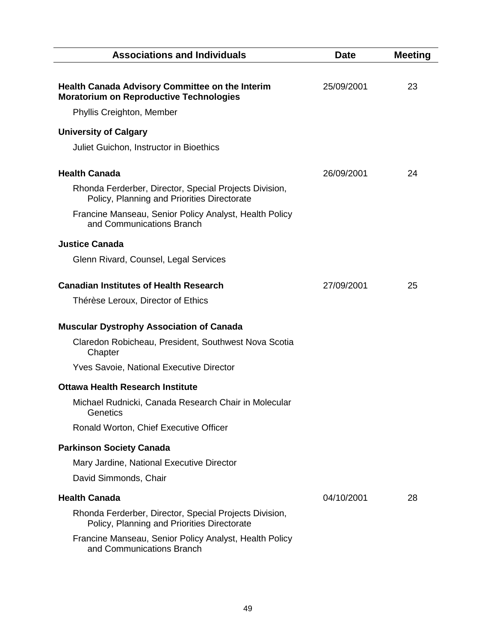| <b>Associations and Individuals</b>                                                                      | <b>Date</b> | <b>Meeting</b> |
|----------------------------------------------------------------------------------------------------------|-------------|----------------|
| <b>Health Canada Advisory Committee on the Interim</b><br><b>Moratorium on Reproductive Technologies</b> | 25/09/2001  | 23             |
| Phyllis Creighton, Member                                                                                |             |                |
| <b>University of Calgary</b>                                                                             |             |                |
| Juliet Guichon, Instructor in Bioethics                                                                  |             |                |
| <b>Health Canada</b>                                                                                     | 26/09/2001  | 24             |
| Rhonda Ferderber, Director, Special Projects Division,<br>Policy, Planning and Priorities Directorate    |             |                |
| Francine Manseau, Senior Policy Analyst, Health Policy<br>and Communications Branch                      |             |                |
| <b>Justice Canada</b>                                                                                    |             |                |
| Glenn Rivard, Counsel, Legal Services                                                                    |             |                |
| <b>Canadian Institutes of Health Research</b>                                                            | 27/09/2001  | 25             |
| Thérèse Leroux, Director of Ethics                                                                       |             |                |
| <b>Muscular Dystrophy Association of Canada</b>                                                          |             |                |
| Claredon Robicheau, President, Southwest Nova Scotia<br>Chapter                                          |             |                |
| <b>Yves Savoie, National Executive Director</b>                                                          |             |                |
| <b>Ottawa Health Research Institute</b>                                                                  |             |                |
| Michael Rudnicki, Canada Research Chair in Molecular<br>Genetics                                         |             |                |
| Ronald Worton, Chief Executive Officer                                                                   |             |                |
| <b>Parkinson Society Canada</b>                                                                          |             |                |
| Mary Jardine, National Executive Director                                                                |             |                |
| David Simmonds, Chair                                                                                    |             |                |
| <b>Health Canada</b>                                                                                     | 04/10/2001  | 28             |
| Rhonda Ferderber, Director, Special Projects Division,<br>Policy, Planning and Priorities Directorate    |             |                |
| Francine Manseau, Senior Policy Analyst, Health Policy<br>and Communications Branch                      |             |                |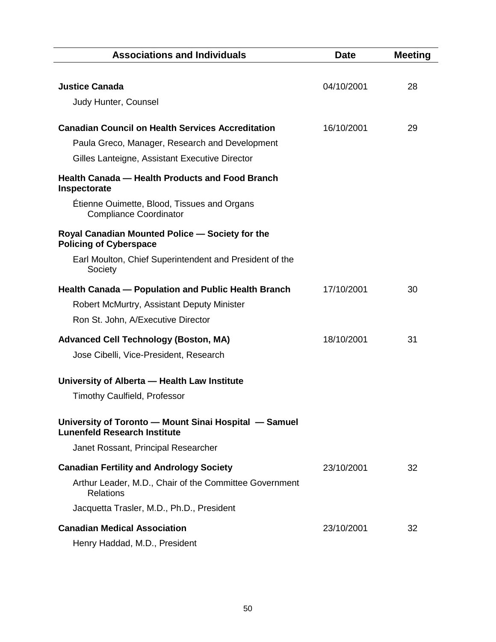| <b>Associations and Individuals</b>                                                          | <b>Date</b> | <b>Meeting</b> |
|----------------------------------------------------------------------------------------------|-------------|----------------|
|                                                                                              |             |                |
| <b>Justice Canada</b>                                                                        | 04/10/2001  | 28             |
| Judy Hunter, Counsel                                                                         |             |                |
| <b>Canadian Council on Health Services Accreditation</b>                                     | 16/10/2001  | 29             |
| Paula Greco, Manager, Research and Development                                               |             |                |
| Gilles Lanteigne, Assistant Executive Director                                               |             |                |
| <b>Health Canada – Health Products and Food Branch</b><br>Inspectorate                       |             |                |
| Étienne Ouimette, Blood, Tissues and Organs<br><b>Compliance Coordinator</b>                 |             |                |
| Royal Canadian Mounted Police - Society for the<br><b>Policing of Cyberspace</b>             |             |                |
| Earl Moulton, Chief Superintendent and President of the<br>Society                           |             |                |
| Health Canada - Population and Public Health Branch                                          | 17/10/2001  | 30             |
| Robert McMurtry, Assistant Deputy Minister                                                   |             |                |
| Ron St. John, A/Executive Director                                                           |             |                |
| <b>Advanced Cell Technology (Boston, MA)</b>                                                 | 18/10/2001  | 31             |
| Jose Cibelli, Vice-President, Research                                                       |             |                |
| University of Alberta - Health Law Institute                                                 |             |                |
| <b>Timothy Caulfield, Professor</b>                                                          |             |                |
| University of Toronto - Mount Sinai Hospital - Samuel<br><b>Lunenfeld Research Institute</b> |             |                |
| Janet Rossant, Principal Researcher                                                          |             |                |
| <b>Canadian Fertility and Andrology Society</b>                                              | 23/10/2001  | 32             |
| Arthur Leader, M.D., Chair of the Committee Government<br><b>Relations</b>                   |             |                |
| Jacquetta Trasler, M.D., Ph.D., President                                                    |             |                |
| <b>Canadian Medical Association</b>                                                          | 23/10/2001  | 32             |
| Henry Haddad, M.D., President                                                                |             |                |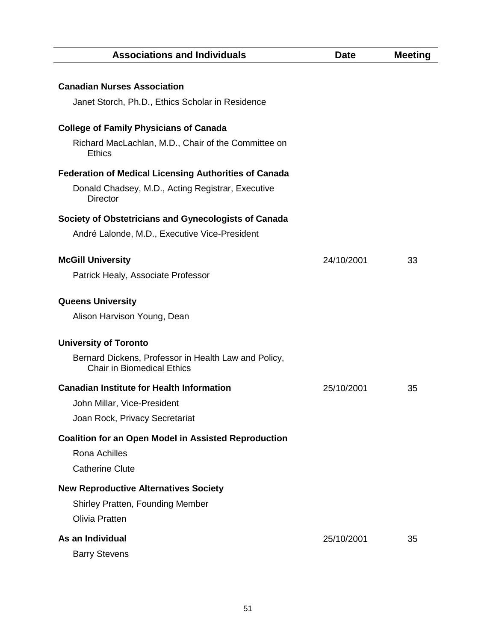| <b>Associations and Individuals</b>                                                       | <b>Date</b> | <b>Meeting</b> |
|-------------------------------------------------------------------------------------------|-------------|----------------|
|                                                                                           |             |                |
| <b>Canadian Nurses Association</b>                                                        |             |                |
| Janet Storch, Ph.D., Ethics Scholar in Residence                                          |             |                |
| <b>College of Family Physicians of Canada</b>                                             |             |                |
| Richard MacLachlan, M.D., Chair of the Committee on<br><b>Ethics</b>                      |             |                |
| <b>Federation of Medical Licensing Authorities of Canada</b>                              |             |                |
| Donald Chadsey, M.D., Acting Registrar, Executive<br><b>Director</b>                      |             |                |
| Society of Obstetricians and Gynecologists of Canada                                      |             |                |
| André Lalonde, M.D., Executive Vice-President                                             |             |                |
|                                                                                           |             |                |
| <b>McGill University</b>                                                                  | 24/10/2001  | 33             |
| Patrick Healy, Associate Professor                                                        |             |                |
| <b>Queens University</b>                                                                  |             |                |
| Alison Harvison Young, Dean                                                               |             |                |
| <b>University of Toronto</b>                                                              |             |                |
| Bernard Dickens, Professor in Health Law and Policy,<br><b>Chair in Biomedical Ethics</b> |             |                |
| <b>Canadian Institute for Health Information</b>                                          | 25/10/2001  | 35             |
| John Millar, Vice-President                                                               |             |                |
| Joan Rock, Privacy Secretariat                                                            |             |                |
| <b>Coalition for an Open Model in Assisted Reproduction</b>                               |             |                |
| Rona Achilles                                                                             |             |                |
| <b>Catherine Clute</b>                                                                    |             |                |
| <b>New Reproductive Alternatives Society</b>                                              |             |                |
| Shirley Pratten, Founding Member                                                          |             |                |
| <b>Olivia Pratten</b>                                                                     |             |                |
| As an Individual                                                                          | 25/10/2001  | 35             |
| <b>Barry Stevens</b>                                                                      |             |                |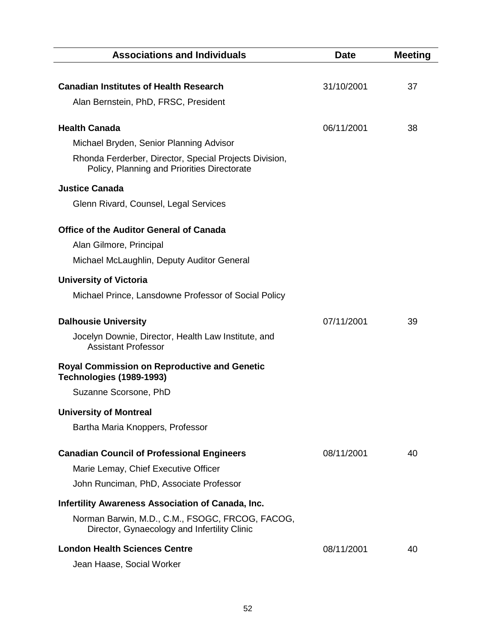| <b>Associations and Individuals</b>                                                                   | <b>Date</b> | <b>Meeting</b> |
|-------------------------------------------------------------------------------------------------------|-------------|----------------|
|                                                                                                       |             |                |
| <b>Canadian Institutes of Health Research</b>                                                         | 31/10/2001  | 37             |
| Alan Bernstein, PhD, FRSC, President                                                                  |             |                |
|                                                                                                       |             |                |
| <b>Health Canada</b>                                                                                  | 06/11/2001  | 38             |
| Michael Bryden, Senior Planning Advisor                                                               |             |                |
| Rhonda Ferderber, Director, Special Projects Division,<br>Policy, Planning and Priorities Directorate |             |                |
| <b>Justice Canada</b>                                                                                 |             |                |
| Glenn Rivard, Counsel, Legal Services                                                                 |             |                |
|                                                                                                       |             |                |
| <b>Office of the Auditor General of Canada</b>                                                        |             |                |
| Alan Gilmore, Principal                                                                               |             |                |
| Michael McLaughlin, Deputy Auditor General                                                            |             |                |
| <b>University of Victoria</b>                                                                         |             |                |
| Michael Prince, Lansdowne Professor of Social Policy                                                  |             |                |
| <b>Dalhousie University</b>                                                                           | 07/11/2001  | 39             |
| Jocelyn Downie, Director, Health Law Institute, and                                                   |             |                |
| <b>Assistant Professor</b>                                                                            |             |                |
| Royal Commission on Reproductive and Genetic<br>Technologies (1989-1993)                              |             |                |
| Suzanne Scorsone, PhD                                                                                 |             |                |
| <b>University of Montreal</b>                                                                         |             |                |
| Bartha Maria Knoppers, Professor                                                                      |             |                |
|                                                                                                       |             |                |
| <b>Canadian Council of Professional Engineers</b>                                                     | 08/11/2001  | 40             |
| Marie Lemay, Chief Executive Officer                                                                  |             |                |
| John Runciman, PhD, Associate Professor                                                               |             |                |
| Infertility Awareness Association of Canada, Inc.                                                     |             |                |
| Norman Barwin, M.D., C.M., FSOGC, FRCOG, FACOG,                                                       |             |                |
| Director, Gynaecology and Infertility Clinic                                                          |             |                |
| <b>London Health Sciences Centre</b>                                                                  | 08/11/2001  | 40             |
| Jean Haase, Social Worker                                                                             |             |                |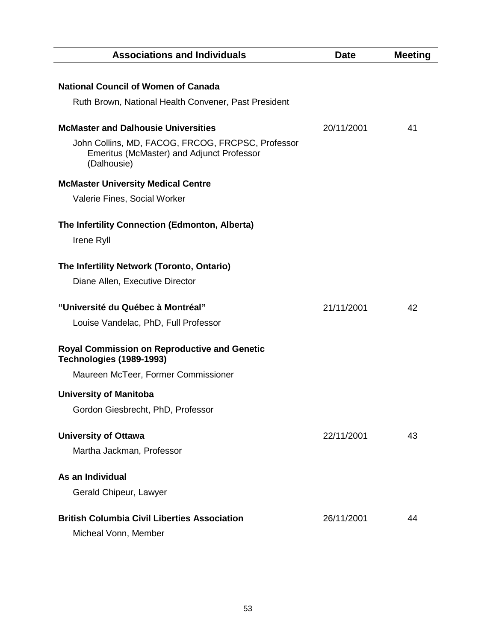| <b>Associations and Individuals</b>                                                                           | <b>Date</b> | <b>Meeting</b> |
|---------------------------------------------------------------------------------------------------------------|-------------|----------------|
| <b>National Council of Women of Canada</b>                                                                    |             |                |
| Ruth Brown, National Health Convener, Past President                                                          |             |                |
| <b>McMaster and Dalhousie Universities</b>                                                                    | 20/11/2001  | 41             |
| John Collins, MD, FACOG, FRCOG, FRCPSC, Professor<br>Emeritus (McMaster) and Adjunct Professor<br>(Dalhousie) |             |                |
| <b>McMaster University Medical Centre</b>                                                                     |             |                |
| Valerie Fines, Social Worker                                                                                  |             |                |
| The Infertility Connection (Edmonton, Alberta)                                                                |             |                |
| Irene Ryll                                                                                                    |             |                |
| The Infertility Network (Toronto, Ontario)                                                                    |             |                |
| Diane Allen, Executive Director                                                                               |             |                |
| "Université du Québec à Montréal"                                                                             | 21/11/2001  | 42             |
| Louise Vandelac, PhD, Full Professor                                                                          |             |                |
| Royal Commission on Reproductive and Genetic<br>Technologies (1989-1993)                                      |             |                |
| Maureen McTeer, Former Commissioner                                                                           |             |                |
| <b>University of Manitoba</b>                                                                                 |             |                |
| Gordon Giesbrecht, PhD, Professor                                                                             |             |                |
| <b>University of Ottawa</b>                                                                                   | 22/11/2001  | 43             |
| Martha Jackman, Professor                                                                                     |             |                |
| As an Individual                                                                                              |             |                |
| Gerald Chipeur, Lawyer                                                                                        |             |                |
| <b>British Columbia Civil Liberties Association</b>                                                           | 26/11/2001  | 44             |
| Micheal Vonn, Member                                                                                          |             |                |
|                                                                                                               |             |                |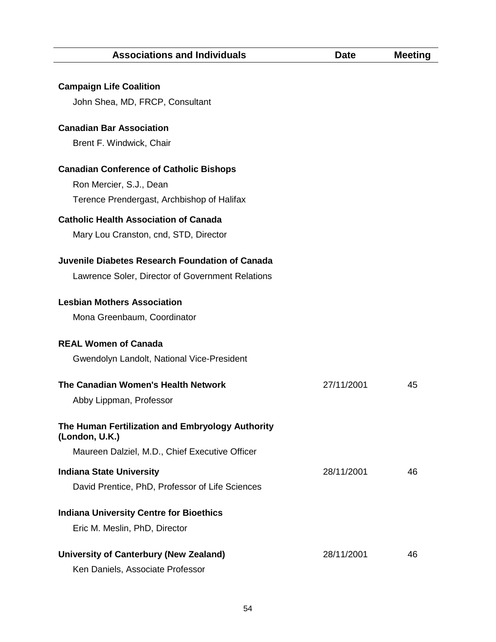**Campaign Life Coalition** 

| John Shea, MD, FRCP, Consultant                                    |            |    |
|--------------------------------------------------------------------|------------|----|
| <b>Canadian Bar Association</b>                                    |            |    |
| Brent F. Windwick, Chair                                           |            |    |
| <b>Canadian Conference of Catholic Bishops</b>                     |            |    |
| Ron Mercier, S.J., Dean                                            |            |    |
| Terence Prendergast, Archbishop of Halifax                         |            |    |
| <b>Catholic Health Association of Canada</b>                       |            |    |
| Mary Lou Cranston, cnd, STD, Director                              |            |    |
| Juvenile Diabetes Research Foundation of Canada                    |            |    |
| Lawrence Soler, Director of Government Relations                   |            |    |
| <b>Lesbian Mothers Association</b>                                 |            |    |
| Mona Greenbaum, Coordinator                                        |            |    |
| <b>REAL Women of Canada</b>                                        |            |    |
| Gwendolyn Landolt, National Vice-President                         |            |    |
| The Canadian Women's Health Network                                | 27/11/2001 | 45 |
| Abby Lippman, Professor                                            |            |    |
| The Human Fertilization and Embryology Authority<br>(London, U.K.) |            |    |
| Maureen Dalziel, M.D., Chief Executive Officer                     |            |    |
| <b>Indiana State University</b>                                    | 28/11/2001 | 46 |
| David Prentice, PhD, Professor of Life Sciences                    |            |    |
| <b>Indiana University Centre for Bioethics</b>                     |            |    |
| Eric M. Meslin, PhD, Director                                      |            |    |
| <b>University of Canterbury (New Zealand)</b>                      | 28/11/2001 | 46 |
| Ken Daniels, Associate Professor                                   |            |    |
|                                                                    |            |    |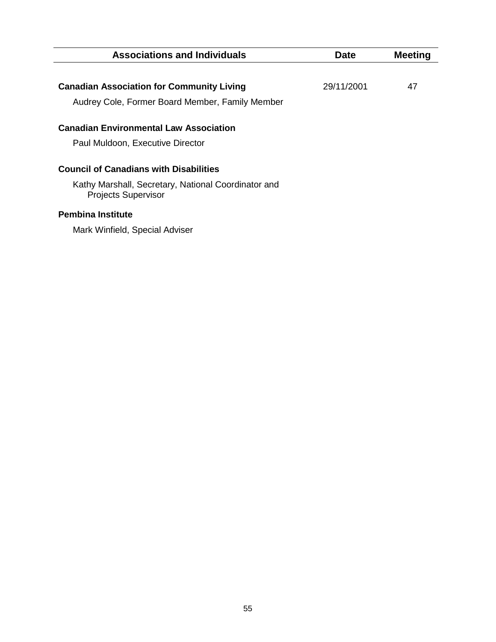| <b>Associations and Individuals</b>                                                                                                | Date       | <b>Meeting</b> |
|------------------------------------------------------------------------------------------------------------------------------------|------------|----------------|
|                                                                                                                                    |            |                |
| <b>Canadian Association for Community Living</b>                                                                                   | 29/11/2001 | 47             |
| Audrey Cole, Former Board Member, Family Member                                                                                    |            |                |
| <b>Canadian Environmental Law Association</b>                                                                                      |            |                |
| Paul Muldoon, Executive Director                                                                                                   |            |                |
| <b>Council of Canadians with Disabilities</b><br>Kathy Marshall, Secretary, National Coordinator and<br><b>Projects Supervisor</b> |            |                |
| <b>Pembina Institute</b>                                                                                                           |            |                |

Mark Winfield, Special Adviser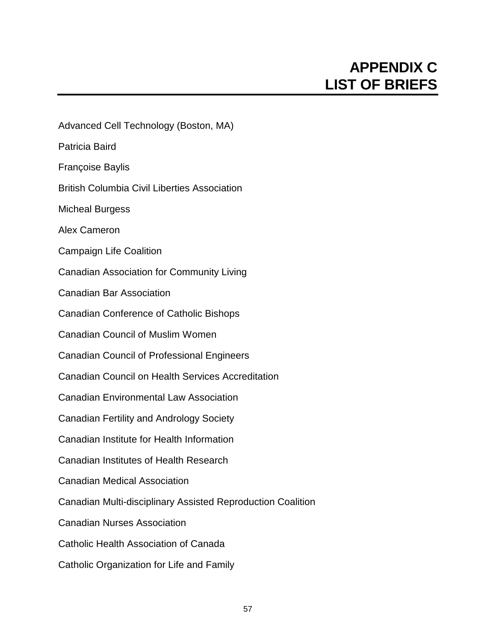# **APPENDIX C LIST OF BRIEFS**

Advanced Cell Technology (Boston, MA) Patricia Baird Françoise Baylis British Columbia Civil Liberties Association Micheal Burgess Alex Cameron Campaign Life Coalition Canadian Association for Community Living Canadian Bar Association Canadian Conference of Catholic Bishops Canadian Council of Muslim Women Canadian Council of Professional Engineers Canadian Council on Health Services Accreditation Canadian Environmental Law Association Canadian Fertility and Andrology Society Canadian Institute for Health Information Canadian Institutes of Health Research Canadian Medical Association Canadian Multi-disciplinary Assisted Reproduction Coalition Canadian Nurses Association Catholic Health Association of Canada

Catholic Organization for Life and Family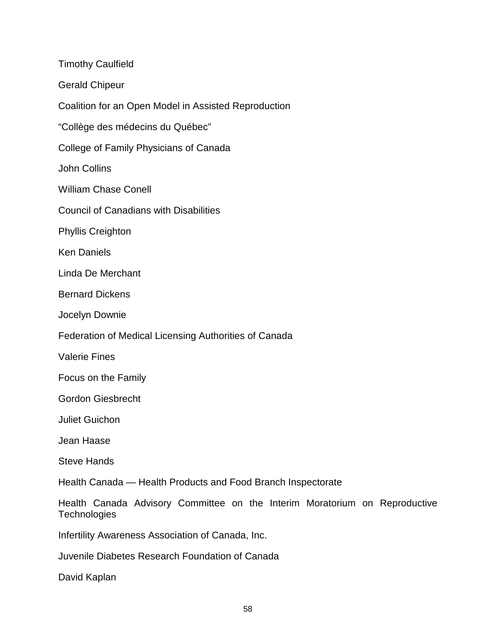| <b>Timothy Caulfield</b>                                                                   |
|--------------------------------------------------------------------------------------------|
| <b>Gerald Chipeur</b>                                                                      |
| Coalition for an Open Model in Assisted Reproduction                                       |
| "Collège des médecins du Québec"                                                           |
| College of Family Physicians of Canada                                                     |
| John Collins                                                                               |
| <b>William Chase Conell</b>                                                                |
| <b>Council of Canadians with Disabilities</b>                                              |
| <b>Phyllis Creighton</b>                                                                   |
| <b>Ken Daniels</b>                                                                         |
| Linda De Merchant                                                                          |
| <b>Bernard Dickens</b>                                                                     |
| Jocelyn Downie                                                                             |
| Federation of Medical Licensing Authorities of Canada                                      |
| <b>Valerie Fines</b>                                                                       |
| Focus on the Family                                                                        |
| <b>Gordon Giesbrecht</b>                                                                   |
| <b>Juliet Guichon</b>                                                                      |
| Jean Haase                                                                                 |
| <b>Steve Hands</b>                                                                         |
| Health Canada - Health Products and Food Branch Inspectorate                               |
| Health Canada Advisory Committee on the Interim Moratorium on Reproductive<br>Technologies |
| Infertility Awareness Association of Canada, Inc.                                          |
| Juvenile Diabetes Research Foundation of Canada                                            |

David Kaplan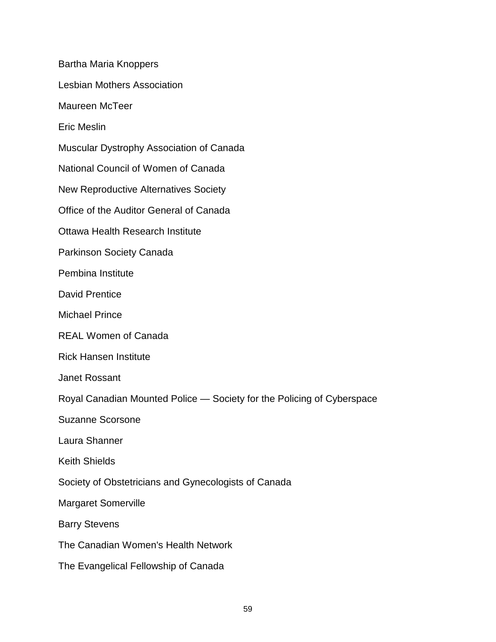Bartha Maria Knoppers Lesbian Mothers Association Maureen McTeer Eric Meslin Muscular Dystrophy Association of Canada National Council of Women of Canada New Reproductive Alternatives Society Office of the Auditor General of Canada Ottawa Health Research Institute Parkinson Society Canada Pembina Institute David Prentice Michael Prince REAL Women of Canada Rick Hansen Institute Janet Rossant Royal Canadian Mounted Police — Society for the Policing of Cyberspace Suzanne Scorsone Laura Shanner Keith Shields Society of Obstetricians and Gynecologists of Canada Margaret Somerville Barry Stevens The Canadian Women's Health Network The Evangelical Fellowship of Canada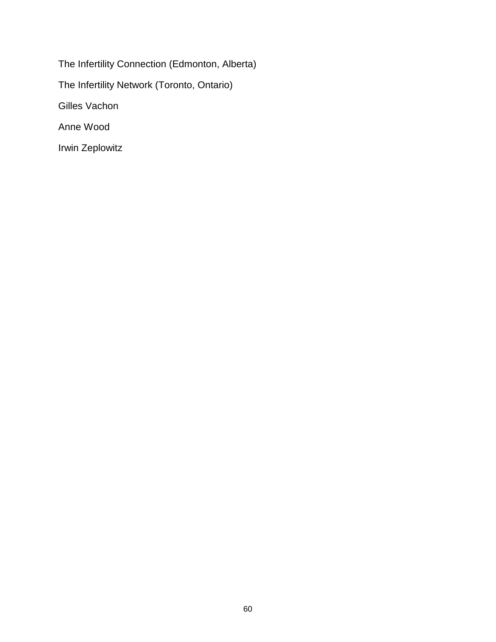The Infertility Connection (Edmonton, Alberta) The Infertility Network (Toronto, Ontario) Gilles Vachon Anne Wood Irwin Zeplowitz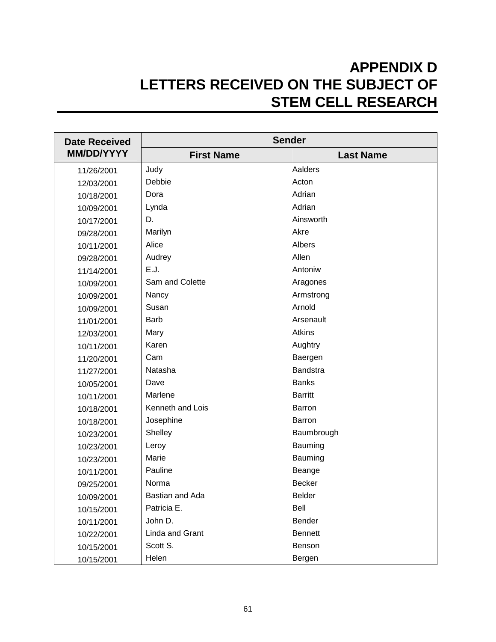# **APPENDIX D LETTERS RECEIVED ON THE SUBJECT OF STEM CELL RESEARCH**

| <b>Date Received</b> |                   | <b>Sender</b>    |  |
|----------------------|-------------------|------------------|--|
| <b>MM/DD/YYYY</b>    | <b>First Name</b> | <b>Last Name</b> |  |
| 11/26/2001           | Judy              | Aalders          |  |
| 12/03/2001           | Debbie            | Acton            |  |
| 10/18/2001           | Dora              | Adrian           |  |
| 10/09/2001           | Lynda             | Adrian           |  |
| 10/17/2001           | D.                | Ainsworth        |  |
| 09/28/2001           | Marilyn           | Akre             |  |
| 10/11/2001           | Alice             | Albers           |  |
| 09/28/2001           | Audrey            | Allen            |  |
| 11/14/2001           | E.J.              | Antoniw          |  |
| 10/09/2001           | Sam and Colette   | Aragones         |  |
| 10/09/2001           | Nancy             | Armstrong        |  |
| 10/09/2001           | Susan             | Arnold           |  |
| 11/01/2001           | <b>Barb</b>       | Arsenault        |  |
| 12/03/2001           | Mary              | <b>Atkins</b>    |  |
| 10/11/2001           | Karen             | Aughtry          |  |
| 11/20/2001           | Cam               | Baergen          |  |
| 11/27/2001           | Natasha           | <b>Bandstra</b>  |  |
| 10/05/2001           | Dave              | <b>Banks</b>     |  |
| 10/11/2001           | Marlene           | <b>Barritt</b>   |  |
| 10/18/2001           | Kenneth and Lois  | Barron           |  |
| 10/18/2001           | Josephine         | Barron           |  |
| 10/23/2001           | Shelley           | Baumbrough       |  |
| 10/23/2001           | Leroy             | Bauming          |  |
| 10/23/2001           | Marie             | Bauming          |  |
| 10/11/2001           | Pauline           | Beange           |  |
| 09/25/2001           | Norma             | <b>Becker</b>    |  |
| 10/09/2001           | Bastian and Ada   | Belder           |  |
| 10/15/2001           | Patricia E.       | Bell             |  |
| 10/11/2001           | John D.           | Bender           |  |
| 10/22/2001           | Linda and Grant   | <b>Bennett</b>   |  |
| 10/15/2001           | Scott S.          | Benson           |  |
| 10/15/2001           | Helen             | Bergen           |  |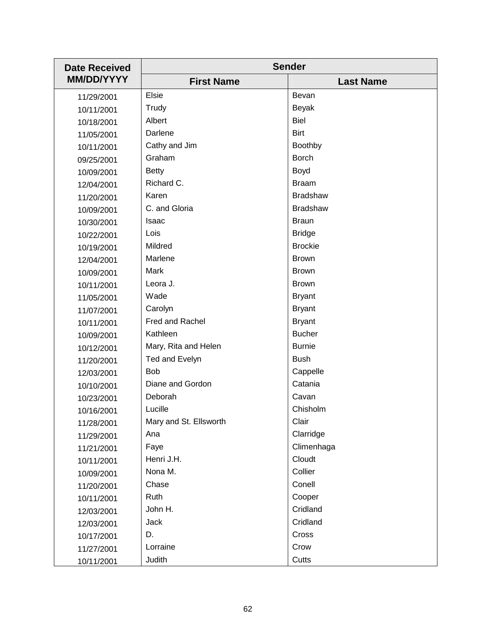| <b>Date Received</b> | <b>Sender</b>          |                  |
|----------------------|------------------------|------------------|
| <b>MM/DD/YYYY</b>    | <b>First Name</b>      | <b>Last Name</b> |
| 11/29/2001           | <b>Elsie</b>           | Bevan            |
| 10/11/2001           | Trudy                  | Beyak            |
| 10/18/2001           | Albert                 | Biel             |
| 11/05/2001           | Darlene                | <b>Birt</b>      |
| 10/11/2001           | Cathy and Jim          | <b>Boothby</b>   |
| 09/25/2001           | Graham                 | <b>Borch</b>     |
| 10/09/2001           | <b>Betty</b>           | Boyd             |
| 12/04/2001           | Richard C.             | <b>Braam</b>     |
| 11/20/2001           | Karen                  | <b>Bradshaw</b>  |
| 10/09/2001           | C. and Gloria          | <b>Bradshaw</b>  |
| 10/30/2001           | Isaac                  | <b>Braun</b>     |
| 10/22/2001           | Lois                   | <b>Bridge</b>    |
| 10/19/2001           | Mildred                | <b>Brockie</b>   |
| 12/04/2001           | Marlene                | <b>Brown</b>     |
| 10/09/2001           | Mark                   | <b>Brown</b>     |
| 10/11/2001           | Leora J.               | <b>Brown</b>     |
| 11/05/2001           | Wade                   | <b>Bryant</b>    |
| 11/07/2001           | Carolyn                | <b>Bryant</b>    |
| 10/11/2001           | Fred and Rachel        | <b>Bryant</b>    |
| 10/09/2001           | Kathleen               | <b>Bucher</b>    |
| 10/12/2001           | Mary, Rita and Helen   | <b>Burnie</b>    |
| 11/20/2001           | Ted and Evelyn         | <b>Bush</b>      |
| 12/03/2001           | <b>Bob</b>             | Cappelle         |
| 10/10/2001           | Diane and Gordon       | Catania          |
| 10/23/2001           | Deborah                | Cavan            |
| 10/16/2001           | Lucille                | Chisholm         |
| 11/28/2001           | Mary and St. Ellsworth | Clair            |
| 11/29/2001           | Ana                    | Clarridge        |
| 11/21/2001           | Faye                   | Climenhaga       |
| 10/11/2001           | Henri J.H.             | Cloudt           |
| 10/09/2001           | Nona M.                | Collier          |
| 11/20/2001           | Chase                  | Conell           |
| 10/11/2001           | Ruth                   | Cooper           |
| 12/03/2001           | John H.                | Cridland         |
| 12/03/2001           | Jack                   | Cridland         |
| 10/17/2001           | D.                     | Cross            |
| 11/27/2001           | Lorraine               | Crow             |
| 10/11/2001           | Judith                 | Cutts            |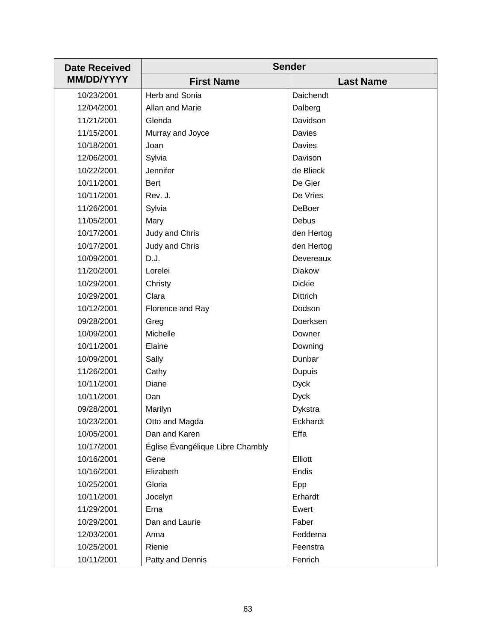| <b>Date Received</b> | <b>Sender</b>                    |                  |
|----------------------|----------------------------------|------------------|
| <b>MM/DD/YYYY</b>    | <b>First Name</b>                | <b>Last Name</b> |
| 10/23/2001           | Herb and Sonia                   | Daichendt        |
| 12/04/2001           | Allan and Marie                  | Dalberg          |
| 11/21/2001           | Glenda                           | Davidson         |
| 11/15/2001           | Murray and Joyce                 | Davies           |
| 10/18/2001           | Joan                             | Davies           |
| 12/06/2001           | Sylvia                           | Davison          |
| 10/22/2001           | Jennifer                         | de Blieck        |
| 10/11/2001           | <b>Bert</b>                      | De Gier          |
| 10/11/2001           | Rev. J.                          | De Vries         |
| 11/26/2001           | Sylvia                           | <b>DeBoer</b>    |
| 11/05/2001           | Mary                             | Debus            |
| 10/17/2001           | Judy and Chris                   | den Hertog       |
| 10/17/2001           | Judy and Chris                   | den Hertog       |
| 10/09/2001           | D.J.                             | Devereaux        |
| 11/20/2001           | Lorelei                          | <b>Diakow</b>    |
| 10/29/2001           | Christy                          | <b>Dickie</b>    |
| 10/29/2001           | Clara                            | <b>Dittrich</b>  |
| 10/12/2001           | Florence and Ray                 | Dodson           |
| 09/28/2001           | Greg                             | Doerksen         |
| 10/09/2001           | Michelle                         | Downer           |
| 10/11/2001           | Elaine                           | Downing          |
| 10/09/2001           | Sally                            | Dunbar           |
| 11/26/2001           | Cathy                            | <b>Dupuis</b>    |
| 10/11/2001           | Diane                            | <b>Dyck</b>      |
| 10/11/2001           | Dan                              | <b>Dyck</b>      |
| 09/28/2001           | Marilyn                          | Dykstra          |
| 10/23/2001           | Otto and Magda                   | Eckhardt         |
| 10/05/2001           | Dan and Karen                    | Effa             |
| 10/17/2001           | Église Évangélique Libre Chambly |                  |
| 10/16/2001           | Gene                             | Elliott          |
| 10/16/2001           | Elizabeth                        | Endis            |
| 10/25/2001           | Gloria                           | Epp              |
| 10/11/2001           | Jocelyn                          | Erhardt          |
| 11/29/2001           | Erna                             | Ewert            |
| 10/29/2001           | Dan and Laurie                   | Faber            |
| 12/03/2001           | Anna                             | Feddema          |
| 10/25/2001           | Rienie                           | Feenstra         |
| 10/11/2001           | Patty and Dennis                 | Fenrich          |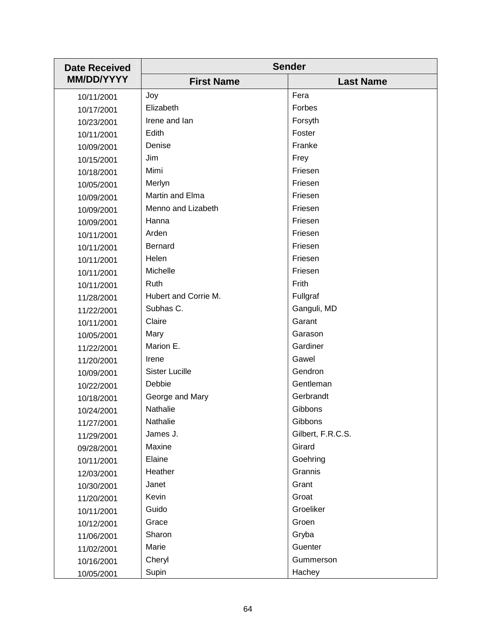| <b>Date Received</b> | <b>Sender</b>         |                   |
|----------------------|-----------------------|-------------------|
| <b>MM/DD/YYYY</b>    | <b>First Name</b>     | <b>Last Name</b>  |
| 10/11/2001           | Joy                   | Fera              |
| 10/17/2001           | Elizabeth             | Forbes            |
| 10/23/2001           | Irene and Ian         | Forsyth           |
| 10/11/2001           | Edith                 | Foster            |
| 10/09/2001           | Denise                | Franke            |
| 10/15/2001           | Jim                   | Frey              |
| 10/18/2001           | Mimi                  | Friesen           |
| 10/05/2001           | Merlyn                | Friesen           |
| 10/09/2001           | Martin and Elma       | Friesen           |
| 10/09/2001           | Menno and Lizabeth    | Friesen           |
| 10/09/2001           | Hanna                 | Friesen           |
| 10/11/2001           | Arden                 | Friesen           |
| 10/11/2001           | <b>Bernard</b>        | Friesen           |
| 10/11/2001           | Helen                 | Friesen           |
| 10/11/2001           | Michelle              | Friesen           |
| 10/11/2001           | Ruth                  | Frith             |
| 11/28/2001           | Hubert and Corrie M.  | Fullgraf          |
| 11/22/2001           | Subhas C.             | Ganguli, MD       |
| 10/11/2001           | Claire                | Garant            |
| 10/05/2001           | Mary                  | Garason           |
| 11/22/2001           | Marion E.             | Gardiner          |
| 11/20/2001           | Irene                 | Gawel             |
| 10/09/2001           | <b>Sister Lucille</b> | Gendron           |
| 10/22/2001           | Debbie                | Gentleman         |
| 10/18/2001           | George and Mary       | Gerbrandt         |
| 10/24/2001           | Nathalie              | Gibbons           |
| 11/27/2001           | Nathalie              | Gibbons           |
| 11/29/2001           | James J.              | Gilbert, F.R.C.S. |
| 09/28/2001           | Maxine                | Girard            |
| 10/11/2001           | Elaine                | Goehring          |
| 12/03/2001           | Heather               | Grannis           |
| 10/30/2001           | Janet                 | Grant             |
| 11/20/2001           | Kevin                 | Groat             |
| 10/11/2001           | Guido                 | Groeliker         |
| 10/12/2001           | Grace                 | Groen             |
| 11/06/2001           | Sharon                | Gryba             |
| 11/02/2001           | Marie                 | Guenter           |
| 10/16/2001           | Cheryl                | Gummerson         |
| 10/05/2001           | Supin                 | Hachey            |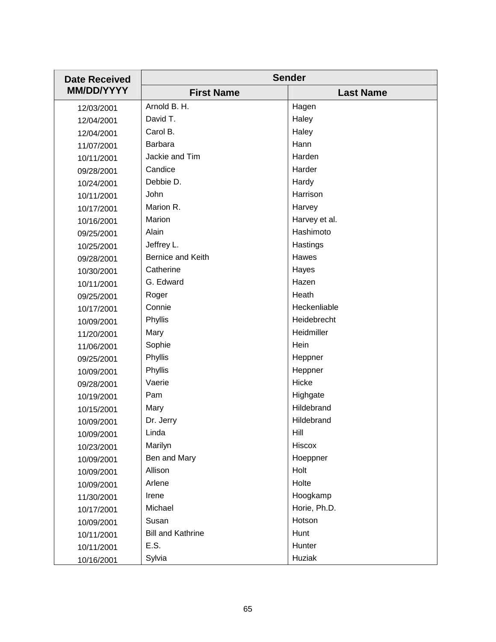| <b>Date Received</b> | <b>Sender</b>            |                  |
|----------------------|--------------------------|------------------|
| <b>MM/DD/YYYY</b>    | <b>First Name</b>        | <b>Last Name</b> |
| 12/03/2001           | Arnold B. H.             | Hagen            |
| 12/04/2001           | David T.                 | Haley            |
| 12/04/2001           | Carol B.                 | Haley            |
| 11/07/2001           | Barbara                  | Hann             |
| 10/11/2001           | Jackie and Tim           | Harden           |
| 09/28/2001           | Candice                  | Harder           |
| 10/24/2001           | Debbie D.                | Hardy            |
| 10/11/2001           | John                     | Harrison         |
| 10/17/2001           | Marion R.                | Harvey           |
| 10/16/2001           | Marion                   | Harvey et al.    |
| 09/25/2001           | Alain                    | Hashimoto        |
| 10/25/2001           | Jeffrey L.               | Hastings         |
| 09/28/2001           | Bernice and Keith        | Hawes            |
| 10/30/2001           | Catherine                | Hayes            |
| 10/11/2001           | G. Edward                | Hazen            |
| 09/25/2001           | Roger                    | Heath            |
| 10/17/2001           | Connie                   | Heckenliable     |
| 10/09/2001           | Phyllis                  | Heidebrecht      |
| 11/20/2001           | Mary                     | Heidmiller       |
| 11/06/2001           | Sophie                   | Hein             |
| 09/25/2001           | Phyllis                  | Heppner          |
| 10/09/2001           | Phyllis                  | Heppner          |
| 09/28/2001           | Vaerie                   | Hicke            |
| 10/19/2001           | Pam                      | Highgate         |
| 10/15/2001           | Mary                     | Hildebrand       |
| 10/09/2001           | Dr. Jerry                | Hildebrand       |
| 10/09/2001           | Linda                    | Hill             |
| 10/23/2001           | Marilyn                  | Hiscox           |
| 10/09/2001           | Ben and Mary             | Hoeppner         |
| 10/09/2001           | Allison                  | Holt             |
| 10/09/2001           | Arlene                   | Holte            |
| 11/30/2001           | Irene                    | Hoogkamp         |
| 10/17/2001           | Michael                  | Horie, Ph.D.     |
| 10/09/2001           | Susan                    | Hotson           |
| 10/11/2001           | <b>Bill and Kathrine</b> | Hunt             |
| 10/11/2001           | E.S.                     | Hunter           |
| 10/16/2001           | Sylvia                   | Huziak           |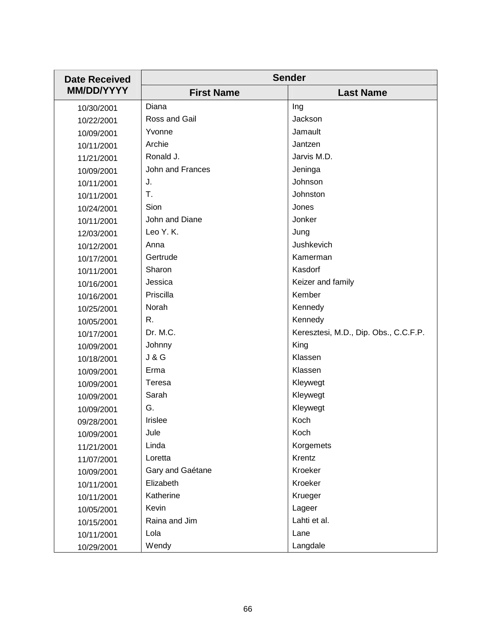| <b>Date Received</b> | <b>Sender</b>     |                                       |
|----------------------|-------------------|---------------------------------------|
| <b>MM/DD/YYYY</b>    | <b>First Name</b> | <b>Last Name</b>                      |
| 10/30/2001           | Diana             | Ing                                   |
| 10/22/2001           | Ross and Gail     | Jackson                               |
| 10/09/2001           | Yvonne            | Jamault                               |
| 10/11/2001           | Archie            | Jantzen                               |
| 11/21/2001           | Ronald J.         | Jarvis M.D.                           |
| 10/09/2001           | John and Frances  | Jeninga                               |
| 10/11/2001           | J.                | Johnson                               |
| 10/11/2001           | T.                | Johnston                              |
| 10/24/2001           | Sion              | Jones                                 |
| 10/11/2001           | John and Diane    | Jonker                                |
| 12/03/2001           | Leo Y. K.         | Jung                                  |
| 10/12/2001           | Anna              | Jushkevich                            |
| 10/17/2001           | Gertrude          | Kamerman                              |
| 10/11/2001           | Sharon            | Kasdorf                               |
| 10/16/2001           | Jessica           | Keizer and family                     |
| 10/16/2001           | Priscilla         | Kember                                |
| 10/25/2001           | Norah             | Kennedy                               |
| 10/05/2001           | R.                | Kennedy                               |
| 10/17/2001           | Dr. M.C.          | Keresztesi, M.D., Dip. Obs., C.C.F.P. |
| 10/09/2001           | Johnny            | King                                  |
| 10/18/2001           | <b>J &amp; G</b>  | Klassen                               |
| 10/09/2001           | Erma              | Klassen                               |
| 10/09/2001           | Teresa            | Kleywegt                              |
| 10/09/2001           | Sarah             | Kleywegt                              |
| 10/09/2001           | G.                | Kleywegt                              |
| 09/28/2001           | <b>Irislee</b>    | Koch                                  |
| 10/09/2001           | Jule              | Koch                                  |
| 11/21/2001           | Linda             | Korgemets                             |
| 11/07/2001           | Loretta           | Krentz                                |
| 10/09/2001           | Gary and Gaétane  | Kroeker                               |
| 10/11/2001           | Elizabeth         | Kroeker                               |
| 10/11/2001           | Katherine         | Krueger                               |
| 10/05/2001           | Kevin             | Lageer                                |
| 10/15/2001           | Raina and Jim     | Lahti et al.                          |
| 10/11/2001           | Lola              | Lane                                  |
| 10/29/2001           | Wendy             | Langdale                              |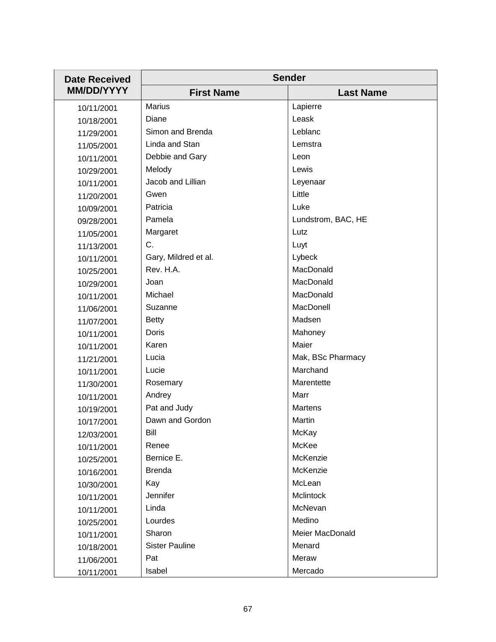| <b>Date Received</b> | <b>Sender</b>         |                    |
|----------------------|-----------------------|--------------------|
| <b>MM/DD/YYYY</b>    | <b>First Name</b>     | <b>Last Name</b>   |
| 10/11/2001           | <b>Marius</b>         | Lapierre           |
| 10/18/2001           | Diane                 | Leask              |
| 11/29/2001           | Simon and Brenda      | Leblanc            |
| 11/05/2001           | Linda and Stan        | Lemstra            |
| 10/11/2001           | Debbie and Gary       | Leon               |
| 10/29/2001           | Melody                | Lewis              |
| 10/11/2001           | Jacob and Lillian     | Leyenaar           |
| 11/20/2001           | Gwen                  | Little             |
| 10/09/2001           | Patricia              | Luke               |
| 09/28/2001           | Pamela                | Lundstrom, BAC, HE |
| 11/05/2001           | Margaret              | Lutz               |
| 11/13/2001           | C.                    | Luyt               |
| 10/11/2001           | Gary, Mildred et al.  | Lybeck             |
| 10/25/2001           | Rev. H.A.             | MacDonald          |
| 10/29/2001           | Joan                  | MacDonald          |
| 10/11/2001           | Michael               | MacDonald          |
| 11/06/2001           | Suzanne               | MacDonell          |
| 11/07/2001           | <b>Betty</b>          | Madsen             |
| 10/11/2001           | Doris                 | Mahoney            |
| 10/11/2001           | Karen                 | Maier              |
| 11/21/2001           | Lucia                 | Mak, BSc Pharmacy  |
| 10/11/2001           | Lucie                 | Marchand           |
| 11/30/2001           | Rosemary              | Marentette         |
| 10/11/2001           | Andrey                | Marr               |
| 10/19/2001           | Pat and Judy          | <b>Martens</b>     |
| 10/17/2001           | Dawn and Gordon       | Martin             |
| 12/03/2001           | Bill                  | McKay              |
| 10/11/2001           | Renee                 | McKee              |
| 10/25/2001           | Bernice E.            | McKenzie           |
| 10/16/2001           | <b>Brenda</b>         | McKenzie           |
| 10/30/2001           | Kay                   | McLean             |
| 10/11/2001           | Jennifer              | Mclintock          |
| 10/11/2001           | Linda                 | McNevan            |
| 10/25/2001           | Lourdes               | Medino             |
| 10/11/2001           | Sharon                | Meier MacDonald    |
| 10/18/2001           | <b>Sister Pauline</b> | Menard             |
| 11/06/2001           | Pat                   | Meraw              |
| 10/11/2001           | Isabel                | Mercado            |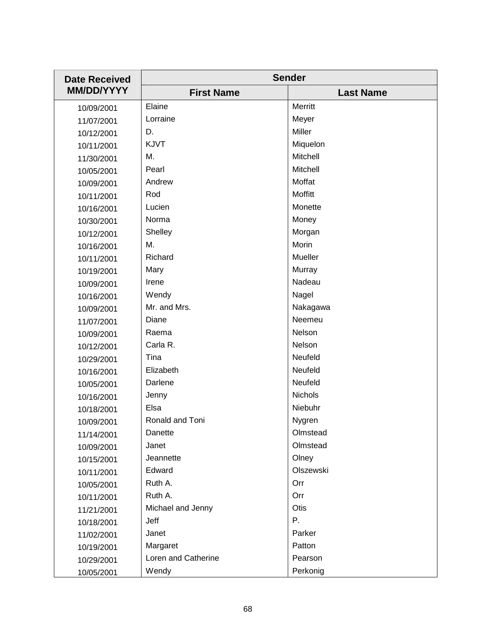| <b>Date Received</b> | <b>Sender</b>       |                  |
|----------------------|---------------------|------------------|
| <b>MM/DD/YYYY</b>    | <b>First Name</b>   | <b>Last Name</b> |
| 10/09/2001           | Elaine              | Merritt          |
| 11/07/2001           | Lorraine            | Meyer            |
| 10/12/2001           | D.                  | Miller           |
| 10/11/2001           | KJVT                | Miquelon         |
| 11/30/2001           | Μ.                  | <b>Mitchell</b>  |
| 10/05/2001           | Pearl               | Mitchell         |
| 10/09/2001           | Andrew              | Moffat           |
| 10/11/2001           | Rod                 | Moffitt          |
| 10/16/2001           | Lucien              | Monette          |
| 10/30/2001           | Norma               | Money            |
| 10/12/2001           | Shelley             | Morgan           |
| 10/16/2001           | Μ.                  | Morin            |
| 10/11/2001           | Richard             | Mueller          |
| 10/19/2001           | Mary                | Murray           |
| 10/09/2001           | Irene               | Nadeau           |
| 10/16/2001           | Wendy               | Nagel            |
| 10/09/2001           | Mr. and Mrs.        | Nakagawa         |
| 11/07/2001           | Diane               | Neemeu           |
| 10/09/2001           | Raema               | Nelson           |
| 10/12/2001           | Carla R.            | Nelson           |
| 10/29/2001           | Tina                | Neufeld          |
| 10/16/2001           | Elizabeth           | Neufeld          |
| 10/05/2001           | Darlene             | Neufeld          |
| 10/16/2001           | Jenny               | <b>Nichols</b>   |
| 10/18/2001           | Elsa                | Niebuhr          |
| 10/09/2001           | Ronald and Toni     | Nygren           |
| 11/14/2001           | Danette             | Olmstead         |
| 10/09/2001           | Janet               | Olmstead         |
| 10/15/2001           | Jeannette           | Olney            |
| 10/11/2001           | Edward              | Olszewski        |
| 10/05/2001           | Ruth A.             | Orr              |
| 10/11/2001           | Ruth A.             | Orr              |
| 11/21/2001           | Michael and Jenny   | Otis             |
| 10/18/2001           | Jeff                | Ρ.               |
| 11/02/2001           | Janet               | Parker           |
| 10/19/2001           | Margaret            | Patton           |
| 10/29/2001           | Loren and Catherine | Pearson          |
| 10/05/2001           | Wendy               | Perkonig         |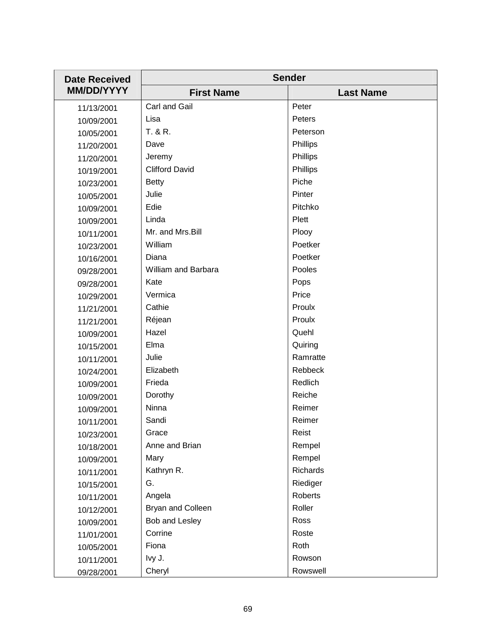| <b>Date Received</b> | <b>Sender</b>         |                  |
|----------------------|-----------------------|------------------|
| <b>MM/DD/YYYY</b>    | <b>First Name</b>     | <b>Last Name</b> |
| 11/13/2001           | Carl and Gail         | Peter            |
| 10/09/2001           | Lisa                  | Peters           |
| 10/05/2001           | T. & R.               | Peterson         |
| 11/20/2001           | Dave                  | Phillips         |
| 11/20/2001           | Jeremy                | Phillips         |
| 10/19/2001           | <b>Clifford David</b> | Phillips         |
| 10/23/2001           | <b>Betty</b>          | Piche            |
| 10/05/2001           | Julie                 | Pinter           |
| 10/09/2001           | Edie                  | Pitchko          |
| 10/09/2001           | Linda                 | Plett            |
| 10/11/2001           | Mr. and Mrs.Bill      | Plooy            |
| 10/23/2001           | William               | Poetker          |
| 10/16/2001           | Diana                 | Poetker          |
| 09/28/2001           | William and Barbara   | Pooles           |
| 09/28/2001           | Kate                  | Pops             |
| 10/29/2001           | Vermica               | Price            |
| 11/21/2001           | Cathie                | Proulx           |
| 11/21/2001           | Réjean                | Proulx           |
| 10/09/2001           | Hazel                 | Quehl            |
| 10/15/2001           | Elma                  | Quiring          |
| 10/11/2001           | Julie                 | Ramratte         |
| 10/24/2001           | Elizabeth             | Rebbeck          |
| 10/09/2001           | Frieda                | Redlich          |
| 10/09/2001           | Dorothy               | Reiche           |
| 10/09/2001           | Ninna                 | Reimer           |
| 10/11/2001           | Sandi                 | Reimer           |
| 10/23/2001           | Grace                 | Reist            |
| 10/18/2001           | Anne and Brian        | Rempel           |
| 10/09/2001           | Mary                  | Rempel           |
| 10/11/2001           | Kathryn R.            | Richards         |
| 10/15/2001           | G.                    | Riediger         |
| 10/11/2001           | Angela                | Roberts          |
| 10/12/2001           | Bryan and Colleen     | Roller           |
| 10/09/2001           | Bob and Lesley        | Ross             |
| 11/01/2001           | Corrine               | Roste            |
| 10/05/2001           | Fiona                 | Roth             |
| 10/11/2001           | Ivy J.                | Rowson           |
| 09/28/2001           | Cheryl                | Rowswell         |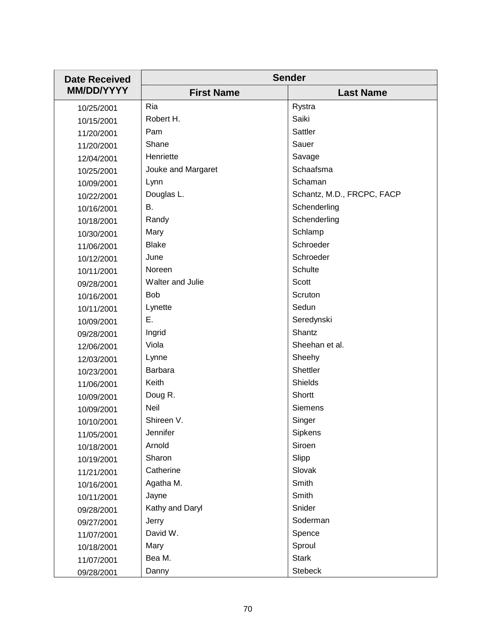| <b>Date Received</b> | <b>Sender</b>      |                            |
|----------------------|--------------------|----------------------------|
| <b>MM/DD/YYYY</b>    | <b>First Name</b>  | <b>Last Name</b>           |
| 10/25/2001           | Ria                | Rystra                     |
| 10/15/2001           | Robert H.          | Saiki                      |
| 11/20/2001           | Pam                | Sattler                    |
| 11/20/2001           | Shane              | Sauer                      |
| 12/04/2001           | Henriette          | Savage                     |
| 10/25/2001           | Jouke and Margaret | Schaafsma                  |
| 10/09/2001           | Lynn               | Schaman                    |
| 10/22/2001           | Douglas L.         | Schantz, M.D., FRCPC, FACP |
| 10/16/2001           | В.                 | Schenderling               |
| 10/18/2001           | Randy              | Schenderling               |
| 10/30/2001           | Mary               | Schlamp                    |
| 11/06/2001           | <b>Blake</b>       | Schroeder                  |
| 10/12/2001           | June               | Schroeder                  |
| 10/11/2001           | Noreen             | Schulte                    |
| 09/28/2001           | Walter and Julie   | Scott                      |
| 10/16/2001           | <b>Bob</b>         | Scruton                    |
| 10/11/2001           | Lynette            | Sedun                      |
| 10/09/2001           | Ε.                 | Seredynski                 |
| 09/28/2001           | Ingrid             | Shantz                     |
| 12/06/2001           | Viola              | Sheehan et al.             |
| 12/03/2001           | Lynne              | Sheehy                     |
| 10/23/2001           | Barbara            | Shettler                   |
| 11/06/2001           | Keith              | <b>Shields</b>             |
| 10/09/2001           | Doug R.            | Shortt                     |
| 10/09/2001           | Neil               | <b>Siemens</b>             |
| 10/10/2001           | Shireen V.         | Singer                     |
| 11/05/2001           | Jennifer           | Sipkens                    |
| 10/18/2001           | Arnold             | Siroen                     |
| 10/19/2001           | Sharon             | Slipp                      |
| 11/21/2001           | Catherine          | Slovak                     |
| 10/16/2001           | Agatha M.          | Smith                      |
| 10/11/2001           | Jayne              | Smith                      |
| 09/28/2001           | Kathy and Daryl    | Snider                     |
| 09/27/2001           | Jerry              | Soderman                   |
| 11/07/2001           | David W.           | Spence                     |
| 10/18/2001           | Mary               | Sproul                     |
| 11/07/2001           | Bea M.             | <b>Stark</b>               |
| 09/28/2001           | Danny              | <b>Stebeck</b>             |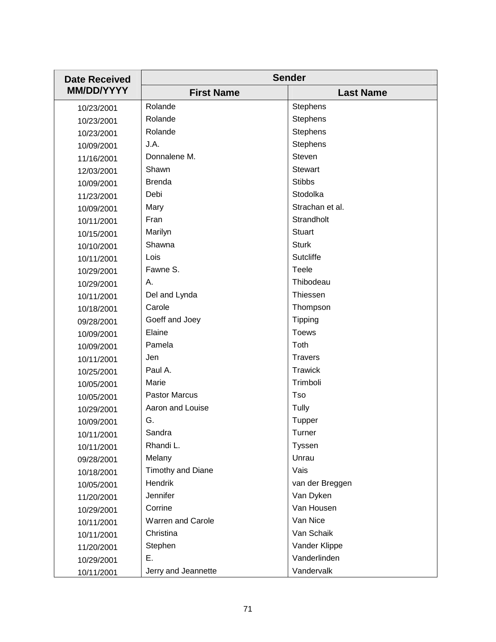| <b>Date Received</b> | <b>Sender</b>            |                  |
|----------------------|--------------------------|------------------|
| <b>MM/DD/YYYY</b>    | <b>First Name</b>        | <b>Last Name</b> |
| 10/23/2001           | Rolande                  | <b>Stephens</b>  |
| 10/23/2001           | Rolande                  | Stephens         |
| 10/23/2001           | Rolande                  | Stephens         |
| 10/09/2001           | J.A.                     | Stephens         |
| 11/16/2001           | Donnalene M.             | Steven           |
| 12/03/2001           | Shawn                    | <b>Stewart</b>   |
| 10/09/2001           | <b>Brenda</b>            | <b>Stibbs</b>    |
| 11/23/2001           | Debi                     | Stodolka         |
| 10/09/2001           | Mary                     | Strachan et al.  |
| 10/11/2001           | Fran                     | Strandholt       |
| 10/15/2001           | Marilyn                  | <b>Stuart</b>    |
| 10/10/2001           | Shawna                   | <b>Sturk</b>     |
| 10/11/2001           | Lois                     | Sutcliffe        |
| 10/29/2001           | Fawne S.                 | Teele            |
| 10/29/2001           | Α.                       | Thibodeau        |
| 10/11/2001           | Del and Lynda            | Thiessen         |
| 10/18/2001           | Carole                   | Thompson         |
| 09/28/2001           | Goeff and Joey           | <b>Tipping</b>   |
| 10/09/2001           | Elaine                   | <b>Toews</b>     |
| 10/09/2001           | Pamela                   | Toth             |
| 10/11/2001           | Jen                      | <b>Travers</b>   |
| 10/25/2001           | Paul A.                  | <b>Trawick</b>   |
| 10/05/2001           | Marie                    | Trimboli         |
| 10/05/2001           | <b>Pastor Marcus</b>     | Tso              |
| 10/29/2001           | Aaron and Louise         | Tully            |
| 10/09/2001           | G.                       | Tupper           |
| 10/11/2001           | Sandra                   | Turner           |
| 10/11/2001           | Rhandi L.                | Tyssen           |
| 09/28/2001           | Melany                   | Unrau            |
| 10/18/2001           | Timothy and Diane        | Vais             |
| 10/05/2001           | Hendrik                  | van der Breggen  |
| 11/20/2001           | Jennifer                 | Van Dyken        |
| 10/29/2001           | Corrine                  | Van Housen       |
| 10/11/2001           | <b>Warren and Carole</b> | Van Nice         |
| 10/11/2001           | Christina                | Van Schaik       |
| 11/20/2001           | Stephen                  | Vander Klippe    |
| 10/29/2001           | Ε.                       | Vanderlinden     |
| 10/11/2001           | Jerry and Jeannette      | Vandervalk       |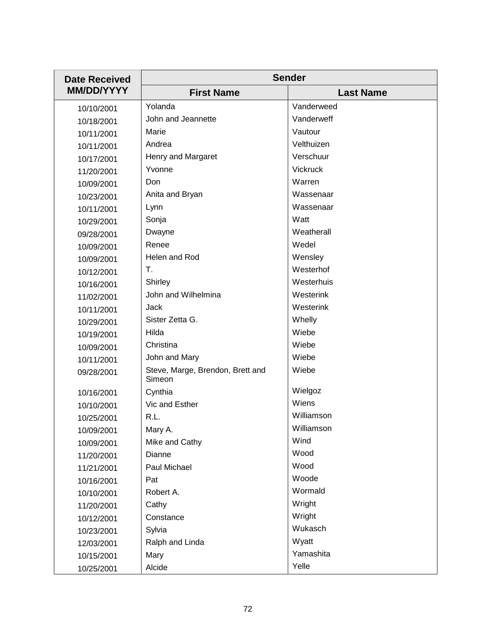| <b>Date Received</b> | <b>Sender</b>                              |                  |
|----------------------|--------------------------------------------|------------------|
| <b>MM/DD/YYYY</b>    | <b>First Name</b>                          | <b>Last Name</b> |
| 10/10/2001           | Yolanda                                    | Vanderweed       |
| 10/18/2001           | John and Jeannette                         | Vanderweff       |
| 10/11/2001           | Marie                                      | Vautour          |
| 10/11/2001           | Andrea                                     | Velthuizen       |
| 10/17/2001           | Henry and Margaret                         | Verschuur        |
| 11/20/2001           | Yvonne                                     | <b>Vickruck</b>  |
| 10/09/2001           | Don                                        | Warren           |
| 10/23/2001           | Anita and Bryan                            | Wassenaar        |
| 10/11/2001           | Lynn                                       | Wassenaar        |
| 10/29/2001           | Sonja                                      | Watt             |
| 09/28/2001           | Dwayne                                     | Weatherall       |
| 10/09/2001           | Renee                                      | Wedel            |
| 10/09/2001           | Helen and Rod                              | Wensley          |
| 10/12/2001           | T.                                         | Westerhof        |
| 10/16/2001           | Shirley                                    | Westerhuis       |
| 11/02/2001           | John and Wilhelmina                        | Westerink        |
| 10/11/2001           | Jack                                       | Westerink        |
| 10/29/2001           | Sister Zetta G.                            | Whelly           |
| 10/19/2001           | Hilda                                      | Wiebe            |
| 10/09/2001           | Christina                                  | Wiebe            |
| 10/11/2001           | John and Mary                              | Wiebe            |
| 09/28/2001           | Steve, Marge, Brendon, Brett and<br>Simeon | Wiebe            |
| 10/16/2001           | Cynthia                                    | Wielgoz          |
| 10/10/2001           | Vic and Esther                             | Wiens            |
| 10/25/2001           | R.L.                                       | Williamson       |
| 10/09/2001           | Mary A.                                    | Williamson       |
| 10/09/2001           | Mike and Cathy                             | Wind             |
| 11/20/2001           | Dianne                                     | Wood             |
| 11/21/2001           | Paul Michael                               | Wood             |
| 10/16/2001           | Pat                                        | Woode            |
| 10/10/2001           | Robert A.                                  | Wormald          |
| 11/20/2001           | Cathy                                      | Wright           |
| 10/12/2001           | Constance                                  | Wright           |
| 10/23/2001           | Sylvia                                     | Wukasch          |
| 12/03/2001           | Ralph and Linda                            | Wyatt            |
| 10/15/2001           | Mary                                       | Yamashita        |
| 10/25/2001           | Alcide                                     | Yelle            |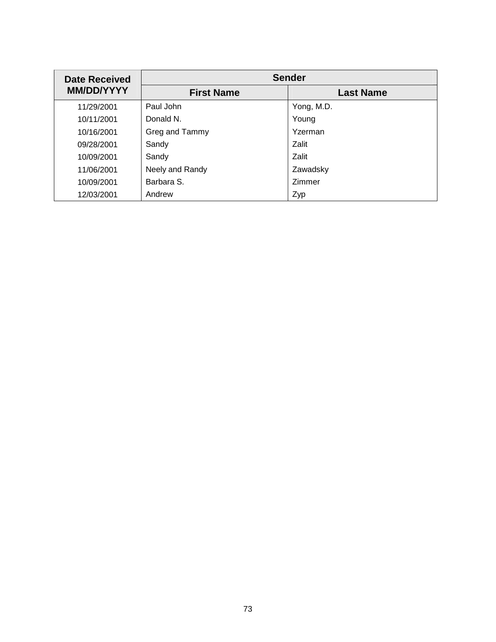| <b>Date Received</b><br><b>MM/DD/YYYY</b> | <b>Sender</b>     |                  |
|-------------------------------------------|-------------------|------------------|
|                                           | <b>First Name</b> | <b>Last Name</b> |
| 11/29/2001                                | Paul John         | Yong, M.D.       |
| 10/11/2001                                | Donald N.         | Young            |
| 10/16/2001                                | Greg and Tammy    | Yzerman          |
| 09/28/2001                                | Sandy             | Zalit            |
| 10/09/2001                                | Sandy             | Zalit            |
| 11/06/2001                                | Neely and Randy   | Zawadsky         |
| 10/09/2001                                | Barbara S.        | Zimmer           |
| 12/03/2001                                | Andrew            | Zyp              |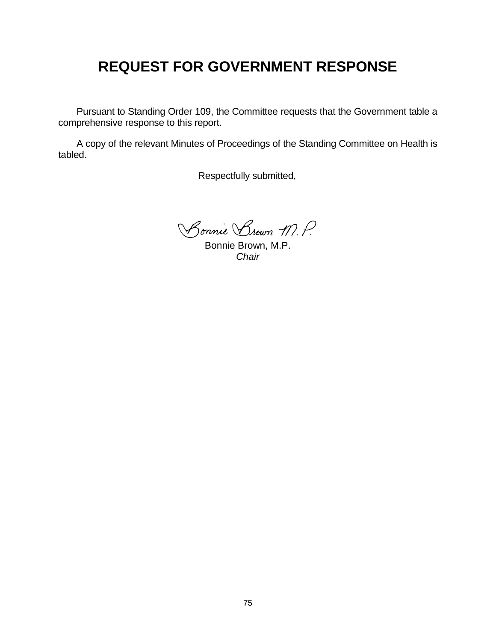# **REQUEST FOR GOVERNMENT RESPONSE**

 Pursuant to Standing Order 109, the Committee requests that the Government table a comprehensive response to this report.

 A copy of the relevant Minutes of Proceedings of the Standing Committee on Health is tabled.

Respectfully submitted,

Bonnie Brown M.P.

Bonnie Brown, M.P. *Chair*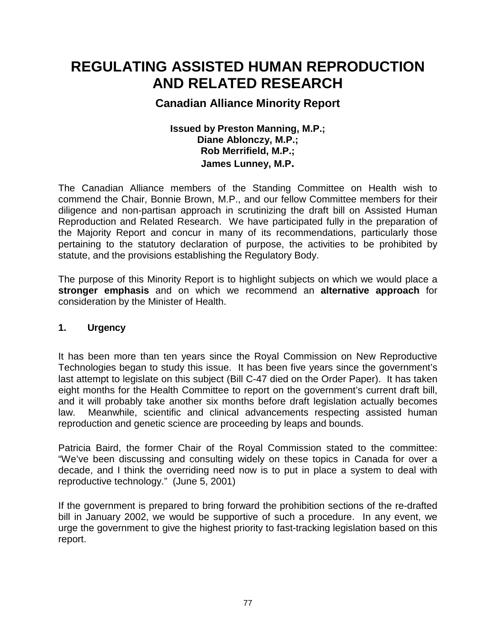# **REGULATING ASSISTED HUMAN REPRODUCTION AND RELATED RESEARCH**

## **Canadian Alliance Minority Report**

### **Issued by Preston Manning, M.P.; Diane Ablonczy, M.P.; Rob Merrifield, M.P.; James Lunney, M.P.**

The Canadian Alliance members of the Standing Committee on Health wish to commend the Chair, Bonnie Brown, M.P., and our fellow Committee members for their diligence and non-partisan approach in scrutinizing the draft bill on Assisted Human Reproduction and Related Research. We have participated fully in the preparation of the Majority Report and concur in many of its recommendations, particularly those pertaining to the statutory declaration of purpose, the activities to be prohibited by statute, and the provisions establishing the Regulatory Body.

The purpose of this Minority Report is to highlight subjects on which we would place a **stronger emphasis** and on which we recommend an **alternative approach** for consideration by the Minister of Health.

### **1. Urgency**

It has been more than ten years since the Royal Commission on New Reproductive Technologies began to study this issue. It has been five years since the government's last attempt to legislate on this subject (Bill C-47 died on the Order Paper). It has taken eight months for the Health Committee to report on the government's current draft bill, and it will probably take another six months before draft legislation actually becomes law. Meanwhile, scientific and clinical advancements respecting assisted human reproduction and genetic science are proceeding by leaps and bounds.

Patricia Baird, the former Chair of the Royal Commission stated to the committee: "We've been discussing and consulting widely on these topics in Canada for over a decade, and I think the overriding need now is to put in place a system to deal with reproductive technology." (June 5, 2001)

If the government is prepared to bring forward the prohibition sections of the re-drafted bill in January 2002, we would be supportive of such a procedure. In any event, we urge the government to give the highest priority to fast-tracking legislation based on this report.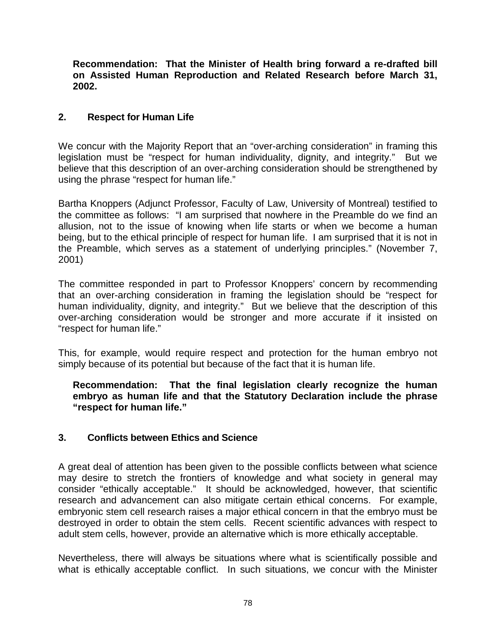**Recommendation: That the Minister of Health bring forward a re-drafted bill on Assisted Human Reproduction and Related Research before March 31, 2002.** 

### **2. Respect for Human Life**

We concur with the Majority Report that an "over-arching consideration" in framing this legislation must be "respect for human individuality, dignity, and integrity." But we believe that this description of an over-arching consideration should be strengthened by using the phrase "respect for human life."

Bartha Knoppers (Adjunct Professor, Faculty of Law, University of Montreal) testified to the committee as follows: "I am surprised that nowhere in the Preamble do we find an allusion, not to the issue of knowing when life starts or when we become a human being, but to the ethical principle of respect for human life. I am surprised that it is not in the Preamble, which serves as a statement of underlying principles." (November 7, 2001)

The committee responded in part to Professor Knoppers' concern by recommending that an over-arching consideration in framing the legislation should be "respect for human individuality, dignity, and integrity." But we believe that the description of this over-arching consideration would be stronger and more accurate if it insisted on "respect for human life."

This, for example, would require respect and protection for the human embryo not simply because of its potential but because of the fact that it is human life.

**Recommendation: That the final legislation clearly recognize the human embryo as human life and that the Statutory Declaration include the phrase "respect for human life."** 

### **3. Conflicts between Ethics and Science**

A great deal of attention has been given to the possible conflicts between what science may desire to stretch the frontiers of knowledge and what society in general may consider "ethically acceptable." It should be acknowledged, however, that scientific research and advancement can also mitigate certain ethical concerns. For example, embryonic stem cell research raises a major ethical concern in that the embryo must be destroyed in order to obtain the stem cells. Recent scientific advances with respect to adult stem cells, however, provide an alternative which is more ethically acceptable.

Nevertheless, there will always be situations where what is scientifically possible and what is ethically acceptable conflict. In such situations, we concur with the Minister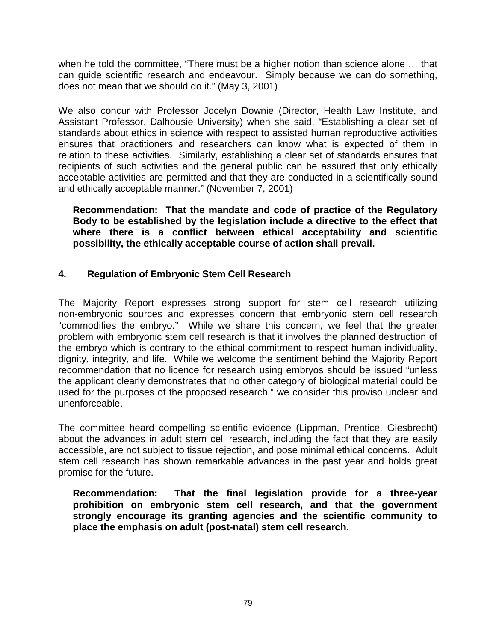when he told the committee, "There must be a higher notion than science alone … that can guide scientific research and endeavour. Simply because we can do something, does not mean that we should do it." (May 3, 2001)

We also concur with Professor Jocelyn Downie (Director, Health Law Institute, and Assistant Professor, Dalhousie University) when she said, "Establishing a clear set of standards about ethics in science with respect to assisted human reproductive activities ensures that practitioners and researchers can know what is expected of them in relation to these activities. Similarly, establishing a clear set of standards ensures that recipients of such activities and the general public can be assured that only ethically acceptable activities are permitted and that they are conducted in a scientifically sound and ethically acceptable manner." (November 7, 2001)

**Recommendation: That the mandate and code of practice of the Regulatory Body to be established by the legislation include a directive to the effect that where there is a conflict between ethical acceptability and scientific possibility, the ethically acceptable course of action shall prevail.** 

### **4. Regulation of Embryonic Stem Cell Research**

The Majority Report expresses strong support for stem cell research utilizing non-embryonic sources and expresses concern that embryonic stem cell research "commodifies the embryo." While we share this concern, we feel that the greater problem with embryonic stem cell research is that it involves the planned destruction of the embryo which is contrary to the ethical commitment to respect human individuality, dignity, integrity, and life. While we welcome the sentiment behind the Majority Report recommendation that no licence for research using embryos should be issued "unless the applicant clearly demonstrates that no other category of biological material could be used for the purposes of the proposed research," we consider this proviso unclear and unenforceable.

The committee heard compelling scientific evidence (Lippman, Prentice, Giesbrecht) about the advances in adult stem cell research, including the fact that they are easily accessible, are not subject to tissue rejection, and pose minimal ethical concerns. Adult stem cell research has shown remarkable advances in the past year and holds great promise for the future.

**Recommendation: That the final legislation provide for a three-year prohibition on embryonic stem cell research, and that the government strongly encourage its granting agencies and the scientific community to place the emphasis on adult (post-natal) stem cell research.**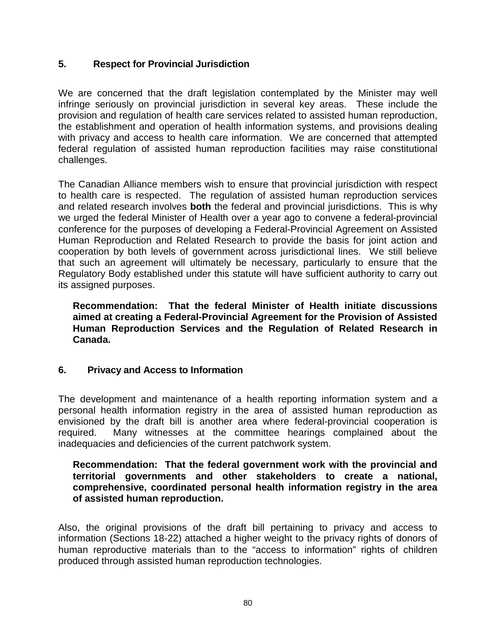### **5. Respect for Provincial Jurisdiction**

We are concerned that the draft legislation contemplated by the Minister may well infringe seriously on provincial jurisdiction in several key areas. These include the provision and regulation of health care services related to assisted human reproduction, the establishment and operation of health information systems, and provisions dealing with privacy and access to health care information. We are concerned that attempted federal regulation of assisted human reproduction facilities may raise constitutional challenges.

The Canadian Alliance members wish to ensure that provincial jurisdiction with respect to health care is respected. The regulation of assisted human reproduction services and related research involves **both** the federal and provincial jurisdictions. This is why we urged the federal Minister of Health over a year ago to convene a federal-provincial conference for the purposes of developing a Federal-Provincial Agreement on Assisted Human Reproduction and Related Research to provide the basis for joint action and cooperation by both levels of government across jurisdictional lines. We still believe that such an agreement will ultimately be necessary, particularly to ensure that the Regulatory Body established under this statute will have sufficient authority to carry out its assigned purposes.

**Recommendation: That the federal Minister of Health initiate discussions aimed at creating a Federal-Provincial Agreement for the Provision of Assisted Human Reproduction Services and the Regulation of Related Research in Canada.** 

### **6. Privacy and Access to Information**

The development and maintenance of a health reporting information system and a personal health information registry in the area of assisted human reproduction as envisioned by the draft bill is another area where federal-provincial cooperation is required. Many witnesses at the committee hearings complained about the inadequacies and deficiencies of the current patchwork system.

#### **Recommendation: That the federal government work with the provincial and territorial governments and other stakeholders to create a national, comprehensive, coordinated personal health information registry in the area of assisted human reproduction.**

Also, the original provisions of the draft bill pertaining to privacy and access to information (Sections 18-22) attached a higher weight to the privacy rights of donors of human reproductive materials than to the "access to information" rights of children produced through assisted human reproduction technologies.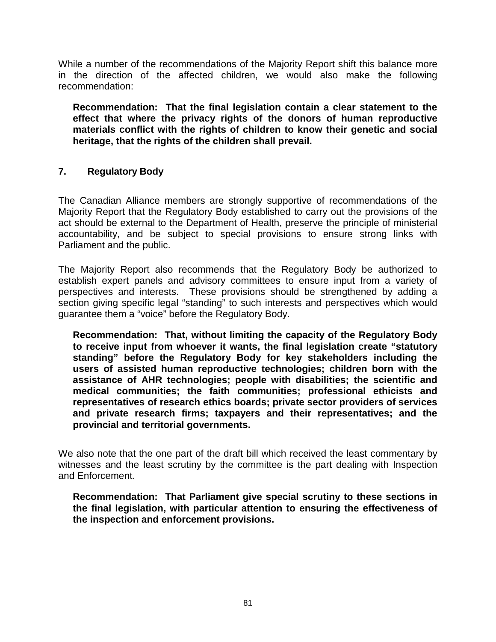While a number of the recommendations of the Majority Report shift this balance more in the direction of the affected children, we would also make the following recommendation:

**Recommendation: That the final legislation contain a clear statement to the effect that where the privacy rights of the donors of human reproductive materials conflict with the rights of children to know their genetic and social heritage, that the rights of the children shall prevail.** 

### **7. Regulatory Body**

The Canadian Alliance members are strongly supportive of recommendations of the Majority Report that the Regulatory Body established to carry out the provisions of the act should be external to the Department of Health, preserve the principle of ministerial accountability, and be subject to special provisions to ensure strong links with Parliament and the public.

The Majority Report also recommends that the Regulatory Body be authorized to establish expert panels and advisory committees to ensure input from a variety of perspectives and interests. These provisions should be strengthened by adding a section giving specific legal "standing" to such interests and perspectives which would guarantee them a "voice" before the Regulatory Body.

**Recommendation: That, without limiting the capacity of the Regulatory Body to receive input from whoever it wants, the final legislation create "statutory standing" before the Regulatory Body for key stakeholders including the users of assisted human reproductive technologies; children born with the assistance of AHR technologies; people with disabilities; the scientific and medical communities; the faith communities; professional ethicists and representatives of research ethics boards; private sector providers of services and private research firms; taxpayers and their representatives; and the provincial and territorial governments.** 

We also note that the one part of the draft bill which received the least commentary by witnesses and the least scrutiny by the committee is the part dealing with Inspection and Enforcement.

**Recommendation: That Parliament give special scrutiny to these sections in the final legislation, with particular attention to ensuring the effectiveness of the inspection and enforcement provisions.**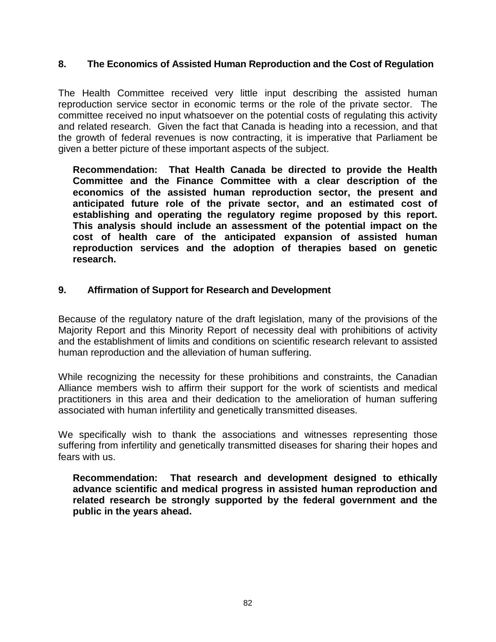### **8. The Economics of Assisted Human Reproduction and the Cost of Regulation**

The Health Committee received very little input describing the assisted human reproduction service sector in economic terms or the role of the private sector. The committee received no input whatsoever on the potential costs of regulating this activity and related research. Given the fact that Canada is heading into a recession, and that the growth of federal revenues is now contracting, it is imperative that Parliament be given a better picture of these important aspects of the subject.

**Recommendation: That Health Canada be directed to provide the Health Committee and the Finance Committee with a clear description of the economics of the assisted human reproduction sector, the present and anticipated future role of the private sector, and an estimated cost of establishing and operating the regulatory regime proposed by this report. This analysis should include an assessment of the potential impact on the cost of health care of the anticipated expansion of assisted human reproduction services and the adoption of therapies based on genetic research.** 

### **9. Affirmation of Support for Research and Development**

Because of the regulatory nature of the draft legislation, many of the provisions of the Majority Report and this Minority Report of necessity deal with prohibitions of activity and the establishment of limits and conditions on scientific research relevant to assisted human reproduction and the alleviation of human suffering.

While recognizing the necessity for these prohibitions and constraints, the Canadian Alliance members wish to affirm their support for the work of scientists and medical practitioners in this area and their dedication to the amelioration of human suffering associated with human infertility and genetically transmitted diseases.

We specifically wish to thank the associations and witnesses representing those suffering from infertility and genetically transmitted diseases for sharing their hopes and fears with us.

**Recommendation: That research and development designed to ethically advance scientific and medical progress in assisted human reproduction and related research be strongly supported by the federal government and the public in the years ahead.**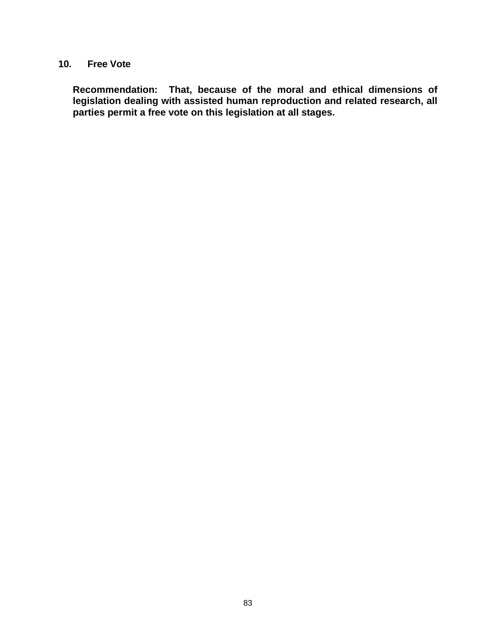### **10. Free Vote**

**Recommendation: That, because of the moral and ethical dimensions of legislation dealing with assisted human reproduction and related research, all parties permit a free vote on this legislation at all stages.**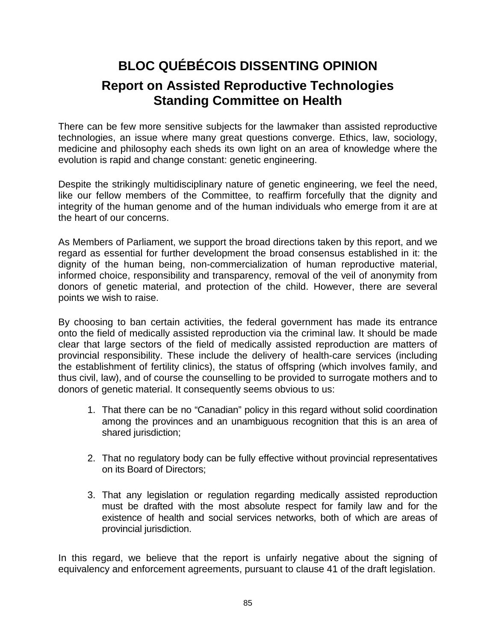# **BLOC QUÉBÉCOIS DISSENTING OPINION Report on Assisted Reproductive Technologies Standing Committee on Health**

There can be few more sensitive subjects for the lawmaker than assisted reproductive technologies, an issue where many great questions converge. Ethics, law, sociology, medicine and philosophy each sheds its own light on an area of knowledge where the evolution is rapid and change constant: genetic engineering.

Despite the strikingly multidisciplinary nature of genetic engineering, we feel the need, like our fellow members of the Committee, to reaffirm forcefully that the dignity and integrity of the human genome and of the human individuals who emerge from it are at the heart of our concerns.

As Members of Parliament, we support the broad directions taken by this report, and we regard as essential for further development the broad consensus established in it: the dignity of the human being, non-commercialization of human reproductive material, informed choice, responsibility and transparency, removal of the veil of anonymity from donors of genetic material, and protection of the child. However, there are several points we wish to raise.

By choosing to ban certain activities, the federal government has made its entrance onto the field of medically assisted reproduction via the criminal law. It should be made clear that large sectors of the field of medically assisted reproduction are matters of provincial responsibility. These include the delivery of health-care services (including the establishment of fertility clinics), the status of offspring (which involves family, and thus civil, law), and of course the counselling to be provided to surrogate mothers and to donors of genetic material. It consequently seems obvious to us:

- 1. That there can be no "Canadian" policy in this regard without solid coordination among the provinces and an unambiguous recognition that this is an area of shared jurisdiction;
- 2. That no regulatory body can be fully effective without provincial representatives on its Board of Directors;
- 3. That any legislation or regulation regarding medically assisted reproduction must be drafted with the most absolute respect for family law and for the existence of health and social services networks, both of which are areas of provincial jurisdiction.

In this regard, we believe that the report is unfairly negative about the signing of equivalency and enforcement agreements, pursuant to clause 41 of the draft legislation.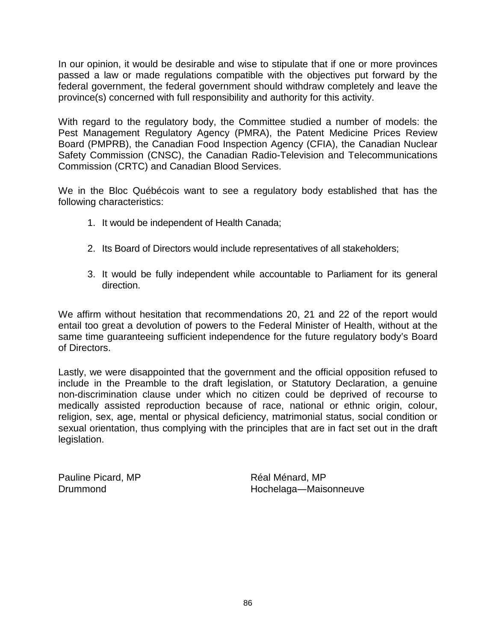In our opinion, it would be desirable and wise to stipulate that if one or more provinces passed a law or made regulations compatible with the objectives put forward by the federal government, the federal government should withdraw completely and leave the province(s) concerned with full responsibility and authority for this activity.

With regard to the regulatory body, the Committee studied a number of models: the Pest Management Regulatory Agency (PMRA), the Patent Medicine Prices Review Board (PMPRB), the Canadian Food Inspection Agency (CFIA), the Canadian Nuclear Safety Commission (CNSC), the Canadian Radio-Television and Telecommunications Commission (CRTC) and Canadian Blood Services.

We in the Bloc Québécois want to see a regulatory body established that has the following characteristics:

- 1. It would be independent of Health Canada;
- 2. Its Board of Directors would include representatives of all stakeholders;
- 3. It would be fully independent while accountable to Parliament for its general direction.

We affirm without hesitation that recommendations 20, 21 and 22 of the report would entail too great a devolution of powers to the Federal Minister of Health, without at the same time guaranteeing sufficient independence for the future regulatory body's Board of Directors.

Lastly, we were disappointed that the government and the official opposition refused to include in the Preamble to the draft legislation, or Statutory Declaration, a genuine non-discrimination clause under which no citizen could be deprived of recourse to medically assisted reproduction because of race, national or ethnic origin, colour, religion, sex, age, mental or physical deficiency, matrimonial status, social condition or sexual orientation, thus complying with the principles that are in fact set out in the draft legislation.

Pauline Picard, MP Drummond

Réal Ménard, MP Hochelaga―Maisonneuve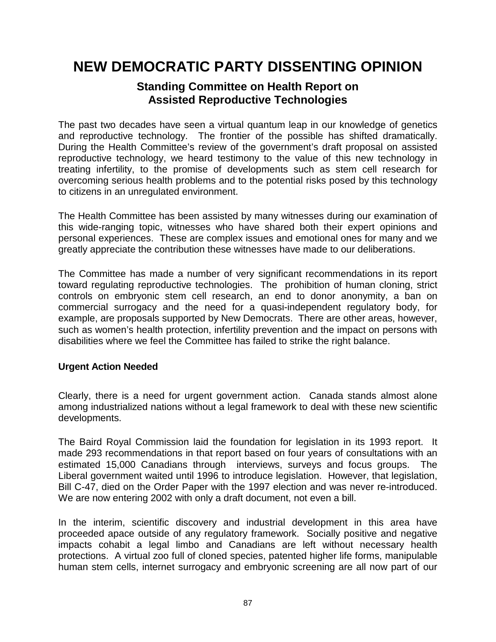## **NEW DEMOCRATIC PARTY DISSENTING OPINION**

### **Standing Committee on Health Report on Assisted Reproductive Technologies**

The past two decades have seen a virtual quantum leap in our knowledge of genetics and reproductive technology. The frontier of the possible has shifted dramatically. During the Health Committee's review of the government's draft proposal on assisted reproductive technology, we heard testimony to the value of this new technology in treating infertility, to the promise of developments such as stem cell research for overcoming serious health problems and to the potential risks posed by this technology to citizens in an unregulated environment.

The Health Committee has been assisted by many witnesses during our examination of this wide-ranging topic, witnesses who have shared both their expert opinions and personal experiences. These are complex issues and emotional ones for many and we greatly appreciate the contribution these witnesses have made to our deliberations.

The Committee has made a number of very significant recommendations in its report toward regulating reproductive technologies. The prohibition of human cloning, strict controls on embryonic stem cell research, an end to donor anonymity, a ban on commercial surrogacy and the need for a quasi-independent regulatory body, for example, are proposals supported by New Democrats. There are other areas, however, such as women's health protection, infertility prevention and the impact on persons with disabilities where we feel the Committee has failed to strike the right balance.

### **Urgent Action Needed**

Clearly, there is a need for urgent government action. Canada stands almost alone among industrialized nations without a legal framework to deal with these new scientific developments.

The Baird Royal Commission laid the foundation for legislation in its 1993 report. It made 293 recommendations in that report based on four years of consultations with an estimated 15,000 Canadians through interviews, surveys and focus groups. The Liberal government waited until 1996 to introduce legislation. However, that legislation, Bill C-47, died on the Order Paper with the 1997 election and was never re-introduced. We are now entering 2002 with only a draft document, not even a bill.

In the interim, scientific discovery and industrial development in this area have proceeded apace outside of any regulatory framework. Socially positive and negative impacts cohabit a legal limbo and Canadians are left without necessary health protections. A virtual zoo full of cloned species, patented higher life forms, manipulable human stem cells, internet surrogacy and embryonic screening are all now part of our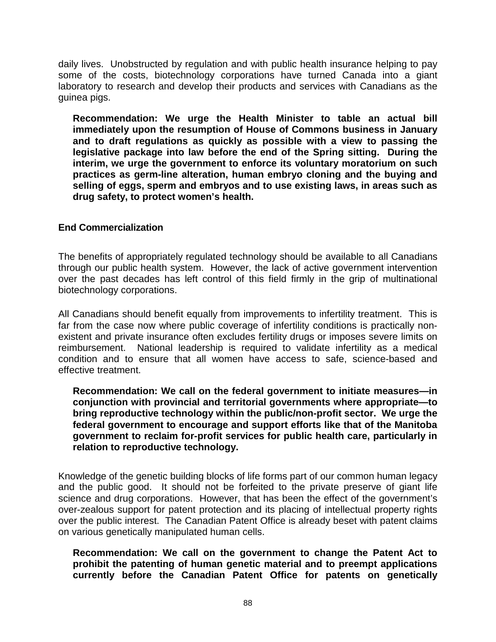daily lives. Unobstructed by regulation and with public health insurance helping to pay some of the costs, biotechnology corporations have turned Canada into a giant laboratory to research and develop their products and services with Canadians as the guinea pigs.

**Recommendation: We urge the Health Minister to table an actual bill immediately upon the resumption of House of Commons business in January and to draft regulations as quickly as possible with a view to passing the legislative package into law before the end of the Spring sitting. During the interim, we urge the government to enforce its voluntary moratorium on such practices as germ-line alteration, human embryo cloning and the buying and selling of eggs, sperm and embryos and to use existing laws, in areas such as drug safety, to protect women's health.** 

### **End Commercialization**

The benefits of appropriately regulated technology should be available to all Canadians through our public health system. However, the lack of active government intervention over the past decades has left control of this field firmly in the grip of multinational biotechnology corporations.

All Canadians should benefit equally from improvements to infertility treatment. This is far from the case now where public coverage of infertility conditions is practically nonexistent and private insurance often excludes fertility drugs or imposes severe limits on reimbursement. National leadership is required to validate infertility as a medical condition and to ensure that all women have access to safe, science-based and effective treatment.

**Recommendation: We call on the federal government to initiate measures—in conjunction with provincial and territorial governments where appropriate—to bring reproductive technology within the public/non-profit sector. We urge the federal government to encourage and support efforts like that of the Manitoba government to reclaim for-profit services for public health care, particularly in relation to reproductive technology.** 

Knowledge of the genetic building blocks of life forms part of our common human legacy and the public good. It should not be forfeited to the private preserve of giant life science and drug corporations. However, that has been the effect of the government's over-zealous support for patent protection and its placing of intellectual property rights over the public interest. The Canadian Patent Office is already beset with patent claims on various genetically manipulated human cells.

**Recommendation: We call on the government to change the Patent Act to prohibit the patenting of human genetic material and to preempt applications currently before the Canadian Patent Office for patents on genetically**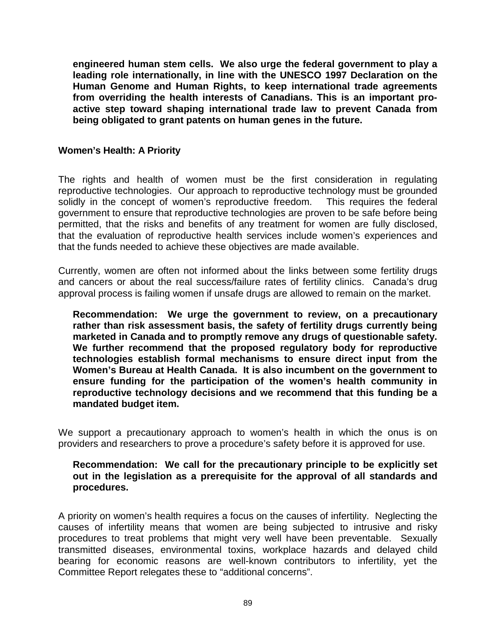**engineered human stem cells. We also urge the federal government to play a leading role internationally, in line with the UNESCO 1997 Declaration on the Human Genome and Human Rights, to keep international trade agreements from overriding the health interests of Canadians. This is an important proactive step toward shaping international trade law to prevent Canada from being obligated to grant patents on human genes in the future.** 

### **Women's Health: A Priority**

The rights and health of women must be the first consideration in regulating reproductive technologies. Our approach to reproductive technology must be grounded solidly in the concept of women's reproductive freedom. This requires the federal government to ensure that reproductive technologies are proven to be safe before being permitted, that the risks and benefits of any treatment for women are fully disclosed, that the evaluation of reproductive health services include women's experiences and that the funds needed to achieve these objectives are made available.

Currently, women are often not informed about the links between some fertility drugs and cancers or about the real success/failure rates of fertility clinics. Canada's drug approval process is failing women if unsafe drugs are allowed to remain on the market.

**Recommendation: We urge the government to review, on a precautionary rather than risk assessment basis, the safety of fertility drugs currently being marketed in Canada and to promptly remove any drugs of questionable safety. We further recommend that the proposed regulatory body for reproductive technologies establish formal mechanisms to ensure direct input from the Women's Bureau at Health Canada. It is also incumbent on the government to ensure funding for the participation of the women's health community in reproductive technology decisions and we recommend that this funding be a mandated budget item.** 

We support a precautionary approach to women's health in which the onus is on providers and researchers to prove a procedure's safety before it is approved for use.

### **Recommendation: We call for the precautionary principle to be explicitly set out in the legislation as a prerequisite for the approval of all standards and procedures.**

A priority on women's health requires a focus on the causes of infertility. Neglecting the causes of infertility means that women are being subjected to intrusive and risky procedures to treat problems that might very well have been preventable. Sexually transmitted diseases, environmental toxins, workplace hazards and delayed child bearing for economic reasons are well-known contributors to infertility, yet the Committee Report relegates these to "additional concerns".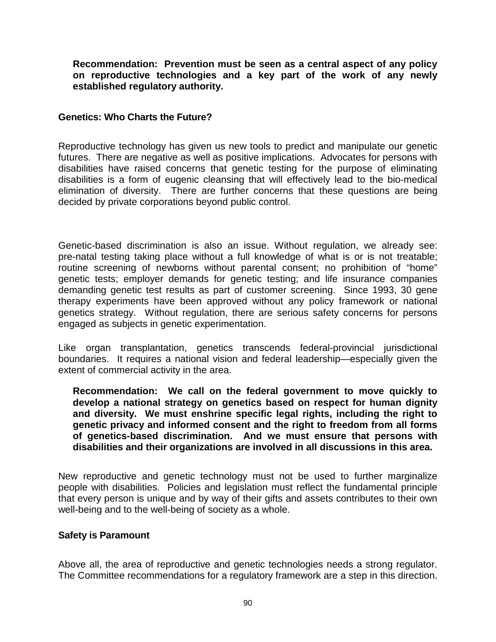**Recommendation: Prevention must be seen as a central aspect of any policy on reproductive technologies and a key part of the work of any newly established regulatory authority.** 

### **Genetics: Who Charts the Future?**

Reproductive technology has given us new tools to predict and manipulate our genetic futures. There are negative as well as positive implications. Advocates for persons with disabilities have raised concerns that genetic testing for the purpose of eliminating disabilities is a form of eugenic cleansing that will effectively lead to the bio-medical elimination of diversity. There are further concerns that these questions are being decided by private corporations beyond public control.

Genetic-based discrimination is also an issue. Without regulation, we already see: pre-natal testing taking place without a full knowledge of what is or is not treatable; routine screening of newborns without parental consent; no prohibition of "home" genetic tests; employer demands for genetic testing; and life insurance companies demanding genetic test results as part of customer screening. Since 1993, 30 gene therapy experiments have been approved without any policy framework or national genetics strategy. Without regulation, there are serious safety concerns for persons engaged as subjects in genetic experimentation.

Like organ transplantation, genetics transcends federal-provincial jurisdictional boundaries. It requires a national vision and federal leadership—especially given the extent of commercial activity in the area.

**Recommendation: We call on the federal government to move quickly to develop a national strategy on genetics based on respect for human dignity and diversity. We must enshrine specific legal rights, including the right to genetic privacy and informed consent and the right to freedom from all forms of genetics-based discrimination. And we must ensure that persons with disabilities and their organizations are involved in all discussions in this area.** 

New reproductive and genetic technology must not be used to further marginalize people with disabilities. Policies and legislation must reflect the fundamental principle that every person is unique and by way of their gifts and assets contributes to their own well-being and to the well-being of society as a whole.

#### **Safety is Paramount**

Above all, the area of reproductive and genetic technologies needs a strong regulator. The Committee recommendations for a regulatory framework are a step in this direction.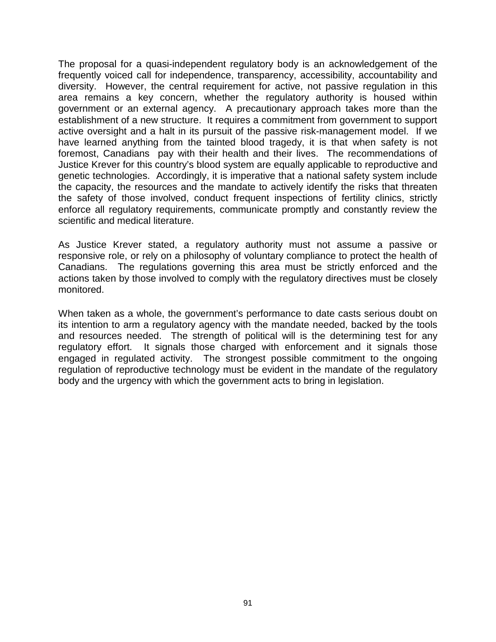The proposal for a quasi-independent regulatory body is an acknowledgement of the frequently voiced call for independence, transparency, accessibility, accountability and diversity. However, the central requirement for active, not passive regulation in this area remains a key concern, whether the regulatory authority is housed within government or an external agency. A precautionary approach takes more than the establishment of a new structure. It requires a commitment from government to support active oversight and a halt in its pursuit of the passive risk-management model. If we have learned anything from the tainted blood tragedy, it is that when safety is not foremost, Canadians pay with their health and their lives. The recommendations of Justice Krever for this country's blood system are equally applicable to reproductive and genetic technologies. Accordingly, it is imperative that a national safety system include the capacity, the resources and the mandate to actively identify the risks that threaten the safety of those involved, conduct frequent inspections of fertility clinics, strictly enforce all regulatory requirements, communicate promptly and constantly review the scientific and medical literature.

As Justice Krever stated, a regulatory authority must not assume a passive or responsive role, or rely on a philosophy of voluntary compliance to protect the health of Canadians. The regulations governing this area must be strictly enforced and the actions taken by those involved to comply with the regulatory directives must be closely monitored.

When taken as a whole, the government's performance to date casts serious doubt on its intention to arm a regulatory agency with the mandate needed, backed by the tools and resources needed. The strength of political will is the determining test for any regulatory effort. It signals those charged with enforcement and it signals those engaged in regulated activity. The strongest possible commitment to the ongoing regulation of reproductive technology must be evident in the mandate of the regulatory body and the urgency with which the government acts to bring in legislation.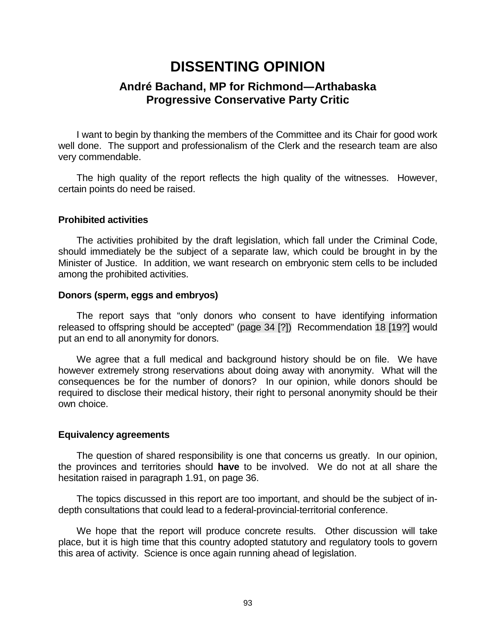## **DISSENTING OPINION**

### **André Bachand, MP for Richmond―Arthabaska Progressive Conservative Party Critic**

 I want to begin by thanking the members of the Committee and its Chair for good work well done. The support and professionalism of the Clerk and the research team are also very commendable.

 The high quality of the report reflects the high quality of the witnesses. However, certain points do need be raised.

#### **Prohibited activities**

 The activities prohibited by the draft legislation, which fall under the Criminal Code, should immediately be the subject of a separate law, which could be brought in by the Minister of Justice. In addition, we want research on embryonic stem cells to be included among the prohibited activities.

#### **Donors (sperm, eggs and embryos)**

 The report says that "only donors who consent to have identifying information released to offspring should be accepted" (page 34 [?]) Recommendation 18 [19?] would put an end to all anonymity for donors.

 We agree that a full medical and background history should be on file. We have however extremely strong reservations about doing away with anonymity. What will the consequences be for the number of donors? In our opinion, while donors should be required to disclose their medical history, their right to personal anonymity should be their own choice.

#### **Equivalency agreements**

 The question of shared responsibility is one that concerns us greatly. In our opinion, the provinces and territories should **have** to be involved. We do not at all share the hesitation raised in paragraph 1.91, on page 36.

 The topics discussed in this report are too important, and should be the subject of indepth consultations that could lead to a federal-provincial-territorial conference.

 We hope that the report will produce concrete results. Other discussion will take place, but it is high time that this country adopted statutory and regulatory tools to govern this area of activity. Science is once again running ahead of legislation.